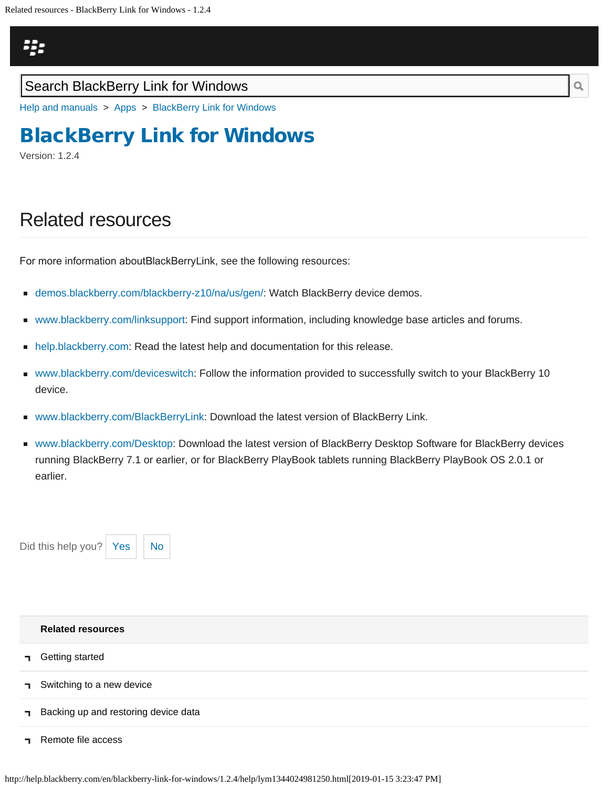# <span id="page-0-0"></span>Щ,

### Search BlackBerry Link for Windows

[Help and manuals](http://help.blackberry.com/en/) > [Apps](http://help.blackberry.com/en/category/apps/) > [BlackBerry Link for Windows](http://help.blackberry.com/en/blackberry-link-for-windows/1.2.4/)

# [BlackBerry Link for Windows](http://help.blackberry.com/en/blackberry-link-for-windows/1.2.4/)

Version: 1.2.4

# Related resources

For more information about BlackBerry Link, see the following resources:

- [demos.blackberry.com/blackberry-z10/na/us/gen/:](http://demos.blackberry.com/blackberry-z10/na/us/gen/) Watch BlackBerry device demos.
- [www.blackberry.com/linksupport](http://blackberry.com/linksupport): Find support information, including knowledge base articles and forums.
- [help.blackberry.com:](http://help.blackberry.com/) Read the latest help and documentation for this release.  $\blacksquare$
- [www.blackberry.com/deviceswitch:](http://www.blackberry.com/deviceswitch) Follow the information provided to successfully switch to your BlackBerry 10 device.
- [www.blackberry.com/BlackBerryLink:](http://www.blackberry.com/BlackBerryLink) Download the latest version of BlackBerry Link.
- [www.blackberry.com/Desktop:](http://www.blackberry.com/Desktop) Download the latest version of BlackBerry Desktop Software for BlackBerry devices running BlackBerry 7.1 or earlier, or for BlackBerry PlayBook tablets running BlackBerry PlayBook OS 2.0.1 or earlier.





|              | <b>Related resources</b>             |
|--------------|--------------------------------------|
| $\mathbf{L}$ | Getting started                      |
|              | Switching to a new device            |
| $\mathbf{I}$ | Backing up and restoring device data |

[Remote file access](#page-10-0)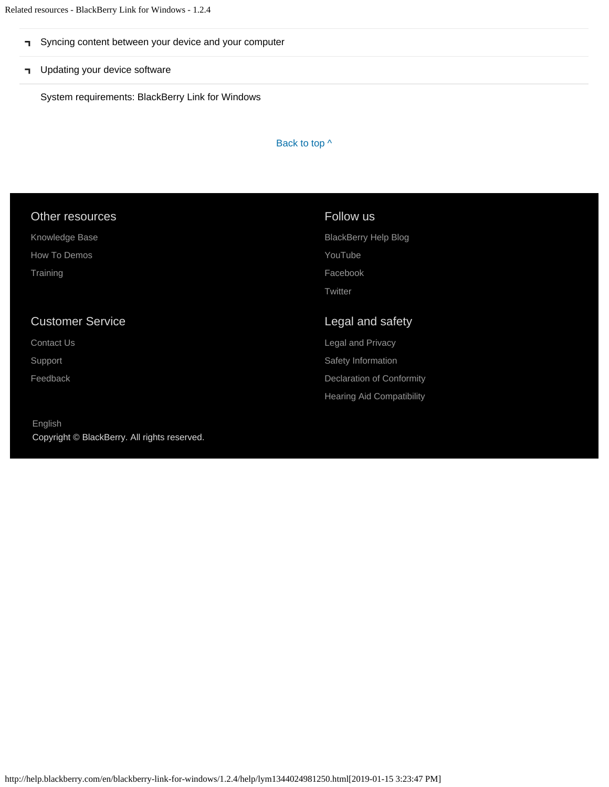- [Syncing content between your device and your computer](#page-12-0)
- **T** [Updating your device software](#page-14-0)

[System requirements: BlackBerry Link for Windows](#page-16-0)

Back to top  $\wedge$ 

| Other resources         | Follow us                        |
|-------------------------|----------------------------------|
| Knowledge Base          | <b>BlackBerry Help Blog</b>      |
| How To Demos            | YouTube                          |
| Training                | Facebook                         |
|                         | Twitter                          |
|                         |                                  |
|                         |                                  |
| <b>Customer Service</b> | Legal and safety                 |
| Contact Us              | Legal and Privacy                |
| Support                 | Safety Information               |
| Feedback                | <b>Declaration of Conformity</b> |
|                         | <b>Hearing Aid Compatibility</b> |

[English](http://help.blackberry.com/en/selectLang?prev=blackberry-link-for-windows/1.2.4/help/lym1344024981250.html) Copyright © BlackBerry. All rights reserved.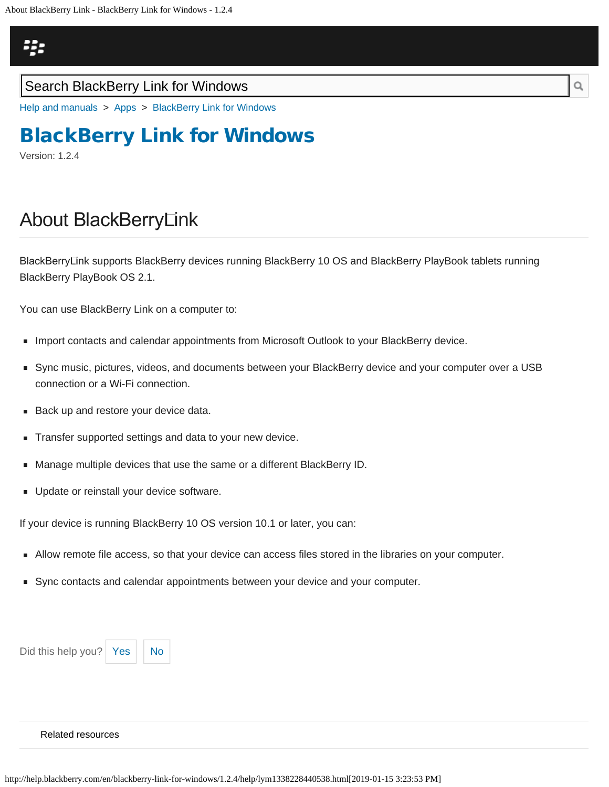## <span id="page-2-0"></span>Щ,

### Search BlackBerry Link for Windows

[Help and manuals](http://help.blackberry.com/en/) > [Apps](http://help.blackberry.com/en/category/apps/) > [BlackBerry Link for Windows](http://help.blackberry.com/en/blackberry-link-for-windows/1.2.4/)

# [BlackBerry Link for Windows](http://help.blackberry.com/en/blackberry-link-for-windows/1.2.4/)

Version: 1.2.4

# About BlackBerry Link

BlackBerry Link supports BlackBerry devices running BlackBerry 10 OS and BlackBerry PlayBook tablets running BlackBerry PlayBook OS 2.1.

You can use BlackBerry Link on a computer to:

- **Import contacts and calendar appointments from Microsoft Outlook to your BlackBerry device.**
- Sync music, pictures, videos, and documents between your BlackBerry device and your computer over a USB connection or a Wi-Fi connection.
- Back up and restore your device data.
- Transfer supported settings and data to your new device.
- Manage multiple devices that use the same or a different BlackBerry ID.
- **Update or reinstall your device software.**

If your device is running BlackBerry 10 OS version 10.1 or later, you can:

- Allow remote file access, so that your device can access files stored in the libraries on your computer.
- Sync contacts and calendar appointments between your device and your computer.

Did this help you?  $Yes \mid No$  $Yes \mid No$  $Yes \mid No$ 



#### [Related resources](#page-0-0)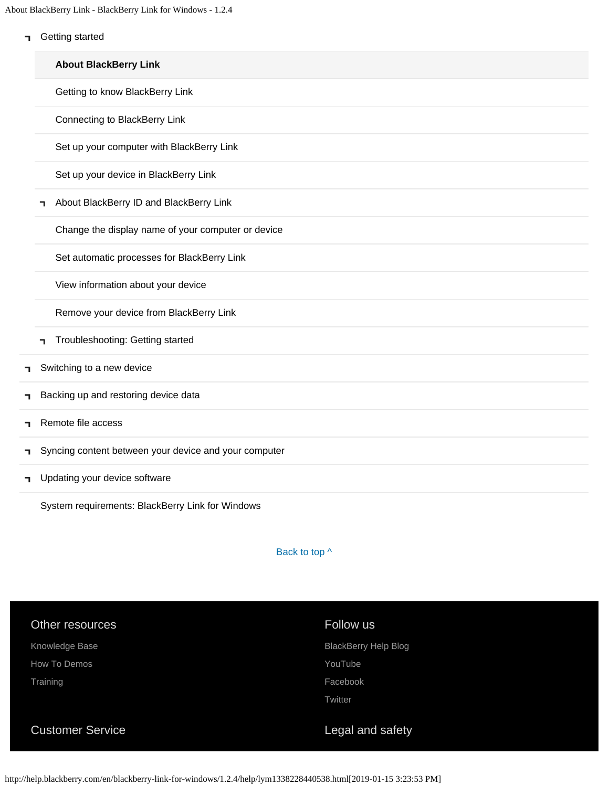About BlackBerry Link - BlackBerry Link for Windows - 1.2.4

**T** [Getting started](#page-2-0)

|    |   | <b>About BlackBerry Link</b>                          |
|----|---|-------------------------------------------------------|
|    |   | Getting to know BlackBerry Link                       |
|    |   | Connecting to BlackBerry Link                         |
|    |   | Set up your computer with BlackBerry Link             |
|    |   | Set up your device in BlackBerry Link                 |
|    | ┑ | About BlackBerry ID and BlackBerry Link               |
|    |   | Change the display name of your computer or device    |
|    |   | Set automatic processes for BlackBerry Link           |
|    |   | View information about your device                    |
|    |   | Remove your device from BlackBerry Link               |
|    | ٦ | Troubleshooting: Getting started                      |
| п. |   | Switching to a new device                             |
| п. |   | Backing up and restoring device data                  |
| ٦  |   | Remote file access                                    |
| п. |   | Syncing content between your device and your computer |
| п. |   | Updating your device software                         |

[System requirements: BlackBerry Link for Windows](#page-16-0)

Back to top  $\wedge$ 

| Other resources         | Follow us                   |
|-------------------------|-----------------------------|
| Knowledge Base          | <b>BlackBerry Help Blog</b> |
| How To Demos            | YouTube                     |
| Training                | Facebook                    |
|                         | Twitter                     |
| <b>Customer Service</b> | Legal and safety            |

http://help.blackberry.com/en/blackberry-link-for-windows/1.2.4/help/lym1338228440538.html[2019-01-15 3:23:53 PM]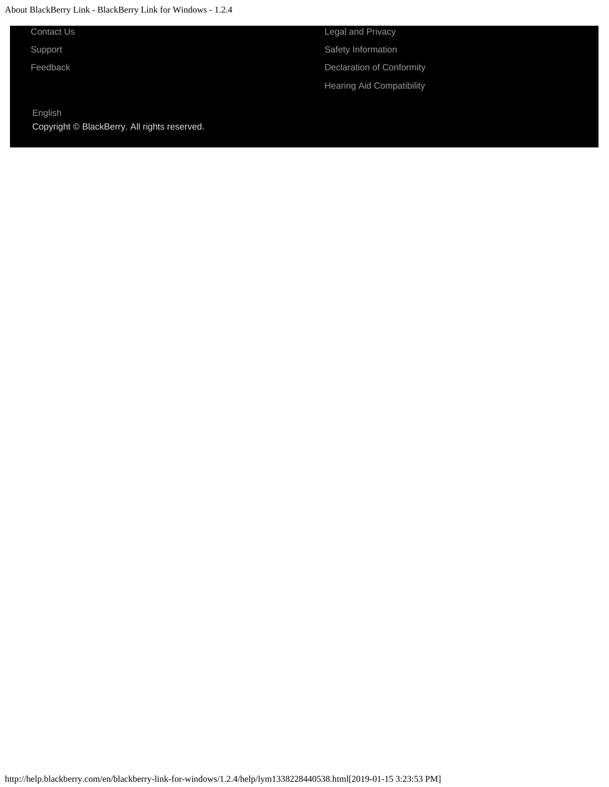#### About BlackBerry Link - BlackBerry Link for Windows - 1.2.4

[Contact Us](http://web.blackberry.com/customer-service/contact-us.html)

[Support](http://web.blackberry.com/support.html)

[Feedback](https://blackberry.icanmakeitbetter.com/?source=532c96c687167fb55f000067)

[English](http://help.blackberry.com/en/selectLang?prev=blackberry-link-for-windows/1.2.4/help/lym1338228440538.html) Copyright © BlackBerry. All rights reserved. [Legal and Privacy](http://blackberry.com/legal) [Safety Information](http://help.blackberry.com/en/content/sib/index.html) [Declaration of Conformity](http://help.blackberry.com/en/content/doc/index.html) [Hearing Aid Compatibility](http://help.blackberry.com/en/content/hac/index.html)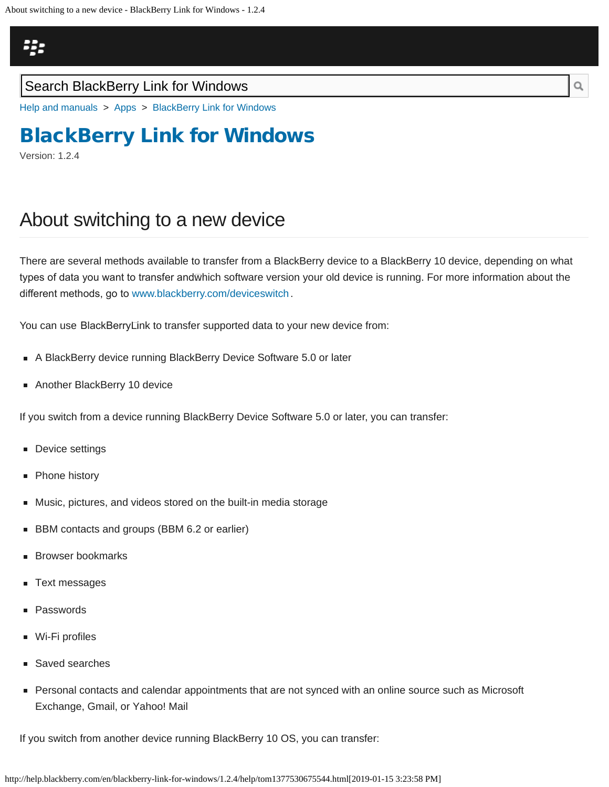## <span id="page-5-0"></span>ą,

### Search BlackBerry Link for Windows

[Help and manuals](http://help.blackberry.com/en/) > [Apps](http://help.blackberry.com/en/category/apps/) > [BlackBerry Link for Windows](http://help.blackberry.com/en/blackberry-link-for-windows/1.2.4/)

# [BlackBerry Link for Windows](http://help.blackberry.com/en/blackberry-link-for-windows/1.2.4/)

Version: 1.2.4

### About switching to a new device

There are several methods available to transfer from a BlackBerry device to a BlackBerry 10 device, depending on what types of data you want to transfer andwhich software version your old device is running. For more information about the diferent methods, go to [www.blackberry.com/deviceswitch](http://www.blackberry.com/deviceswitch).

You can use BlackBerryLink to transfer supported data to your new device from:

- A BlackBerry device running BlackBerry Device Software 5.0 or later
- Another BlackBerry 10 device

If you switch from a device running BlackBerry Device Software 5.0 or later, you can transfer:

- **Device settings**
- Phone history
- Music, pictures, and videos stored on the built-in media storage
- **BBM** contacts and groups (BBM 6.2 or earlier)
- Browser bookmarks
- Text messages
- Passwords
- Wi-Fi profiles
- Saved searches
- **Personal contacts and calendar appointments that are not synced with an online source such as Microsoft** Exchange, Gmail, or Yahoo! Mail

If you switch from another device running BlackBerry 10 OS, you can transfer:

http://help.blackberry.com/en/blackberry-link-for-windows/1.2.4/help/tom1377530675544.html[2019-01-15 3:23:58 PM]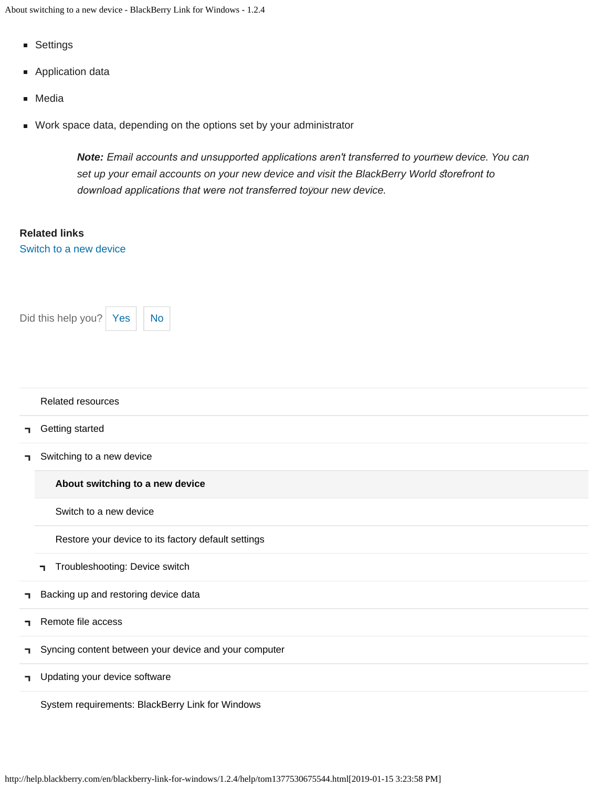- Settings
- **Application data**
- Media
- Work space data, depending on the options set by your administrator

*Note: Email accounts and unsupported applications aren't transferred to your new device. You can* set up your email accounts on your new device and visit the BlackBerry World storefront to *download applications that were not transferred to your new device.*

#### **Related links**

[Switch to a new device](#page-44-0)



#### [Related resources](#page-0-0)

- [Getting started](#page-2-0) E.
- [Switching to a new device](#page-5-0) п.

**[About switching to a new device](#page-5-0)**

[Switch to a new device](#page-44-0)

[Restore your device to its factory default settings](#page-47-0)

- [Troubleshooting: Device switch](#page-49-0)  $\blacksquare$
- [Backing up and restoring device data](#page-8-0) п,
- [Remote file access](#page-10-0) Ť.
- [Syncing content between your device and your computer](#page-12-0) ٦
- **T** [Updating your device software](#page-14-0)

[System requirements: BlackBerry Link for Windows](#page-16-0)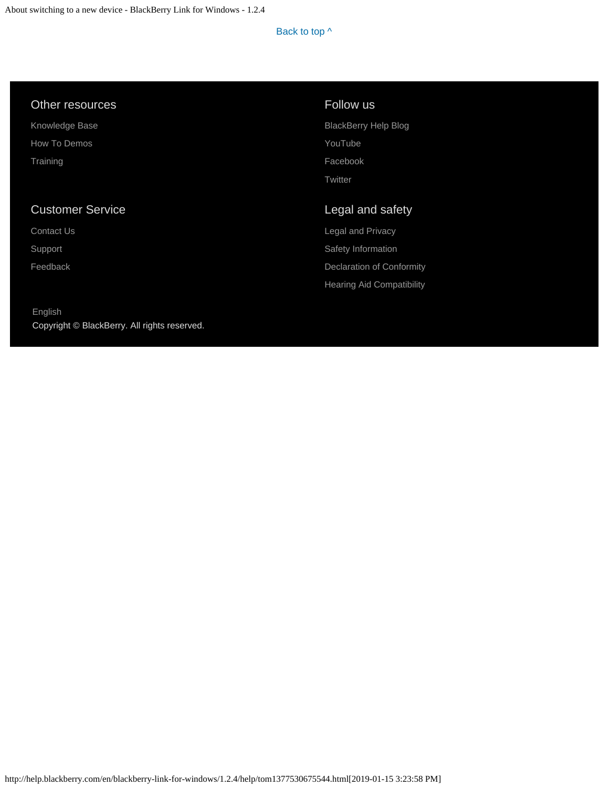#### Other resources

[Knowledge Base](http://support.blackberry.com/kb) [How To Demos](http://web.blackberry.com/support/blackberry-101.html) **[Training](http://blackberry.com/training)** 

### Customer Service

[Contact Us](http://web.blackberry.com/customer-service/contact-us.html)

[Support](http://web.blackberry.com/support.html)

[Feedback](https://blackberry.icanmakeitbetter.com/?source=532c96c687167fb55f000067)

[English](http://help.blackberry.com/en/selectLang?prev=blackberry-link-for-windows/1.2.4/help/tom1377530675544.html) Copyright © BlackBerry. All rights reserved.

### Follow us

[BlackBerry Help Blog](http://helpblog.blackberry.com/) [YouTube](https://www.youtube.com/user/blackberrysupport) [Facebook](https://facebook.com/BlackBerry) **[Twitter](https://twitter.com/blackberry)** 

### Legal and safety

[Legal and Privacy](http://blackberry.com/legal) [Safety Information](http://help.blackberry.com/en/content/sib/index.html) [Declaration of Conformity](http://help.blackberry.com/en/content/doc/index.html) [Hearing Aid Compatibility](http://help.blackberry.com/en/content/hac/index.html)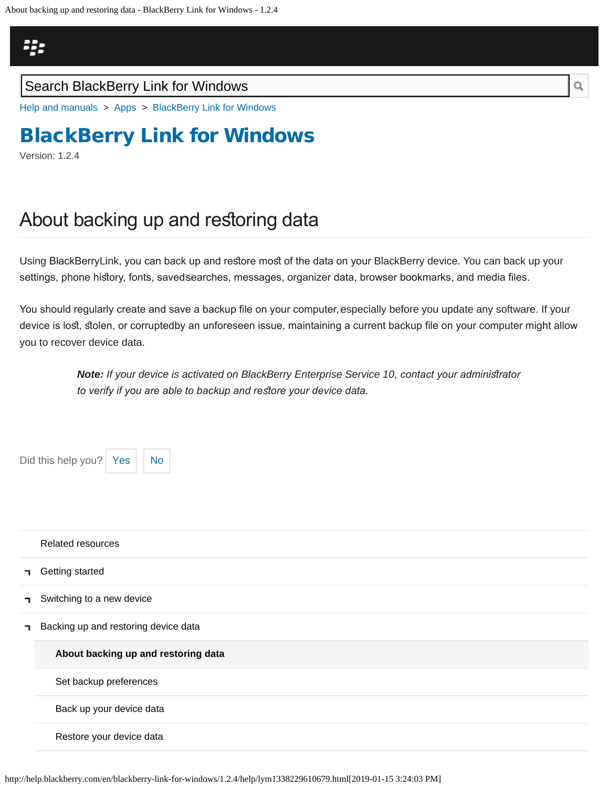<span id="page-8-0"></span>

### Search BlackBerry Link for Windows

[Help and manuals](http://help.blackberry.com/en/) > [Apps](http://help.blackberry.com/en/category/apps/) > [BlackBerry Link for Windows](http://help.blackberry.com/en/blackberry-link-for-windows/1.2.4/)

# [BlackBerry Link for Windows](http://help.blackberry.com/en/blackberry-link-for-windows/1.2.4/)

Version: 1.2.4

п

٦

٦

# About backing up and restoring data

Using BlackBerryLink, you can back up and restore most of the data on your BlackBerry device. You can back up your settings, phone history, fonts, saved $\bar{\text{s}}$ earches, messages, organizer data, browser bookmarks, and media files.

You should regularly create and save a backup file on your computer,ēspecially before you update any software. If your device is lost, stolen, or corruptedნy an unforeseen issue, maintaining a current backup file on your computer might allow you to recover device data.

> *Note: If your device is activated on BlackBerry Enterprise Service 10, contact your adminisrator to verify if you are able to back up and resore your device data.*

http://help.blackberry.com/en/blackberry-link-for-windows/1.2.4/help/lym1338229610679.html[2019-01-15 3:24:03 PM] Did this help you?  $Yes \mid No$  $Yes \mid No$  $Yes \mid No$ [Related resources](#page-0-0) [Getting started](#page-2-0) [Switching to a new device](#page-5-0) [Backing up and restoring device data](#page-8-0) **[About backing up and restoring data](#page-8-0)** [Set backup preferences](#page-51-0) [Back up your device data](#page-54-0) [Restore your device data](#page-56-0)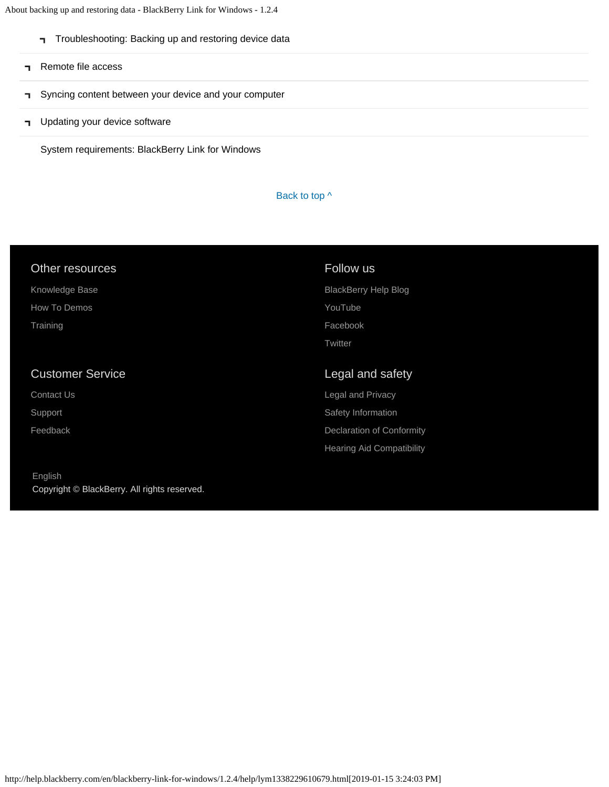About backing up and restoring data - BlackBerry Link for Windows - 1.2.4

- [Troubleshooting: Backing up and restoring device data](#page-58-0)
- [Remote file access](#page-10-0)

[English](http://help.blackberry.com/en/selectLang?prev=blackberry-link-for-windows/1.2.4/help/lym1338229610679.html)

Copyright © BlackBerry. All rights reserved.

- [Syncing content between your device and your computer](#page-12-0) F.
- **T** [Updating your device software](#page-14-0)

[System requirements: BlackBerry Link for Windows](#page-16-0)

#### Back to top  $\wedge$

| Other resources         | Follow us                        |
|-------------------------|----------------------------------|
| Knowledge Base          | <b>BlackBerry Help Blog</b>      |
| How To Demos            | YouTube                          |
| Training                | Facebook                         |
|                         | Twitter                          |
|                         |                                  |
| <b>Customer Service</b> | Legal and safety                 |
| Contact Us              | Legal and Privacy                |
| Support                 | Safety Information               |
| Feedback                | <b>Declaration of Conformity</b> |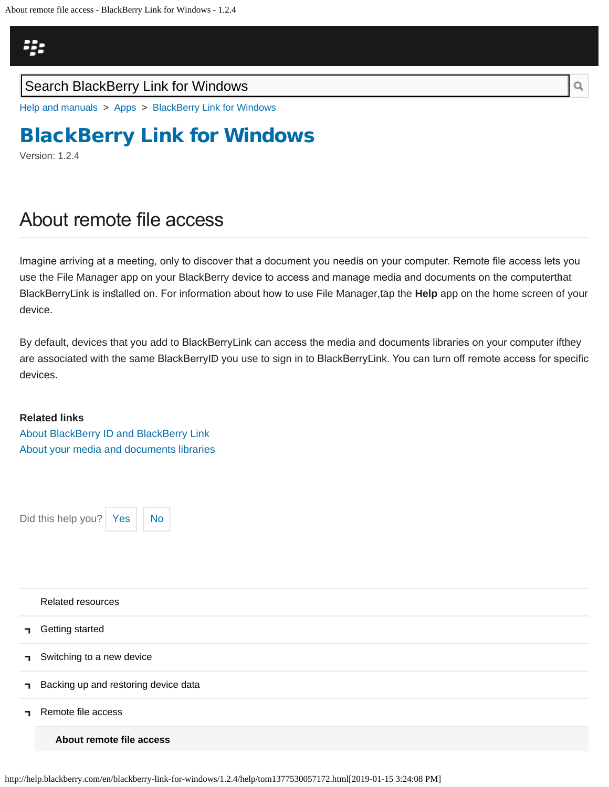<span id="page-10-0"></span>

### Search BlackBerry Link for Windows

[Help and manuals](http://help.blackberry.com/en/) > [Apps](http://help.blackberry.com/en/category/apps/) > [BlackBerry Link for Windows](http://help.blackberry.com/en/blackberry-link-for-windows/1.2.4/)

# [BlackBerry Link for Windows](http://help.blackberry.com/en/blackberry-link-for-windows/1.2.4/)

Version: 1.2.4

## About remote fle access

Imagine arriving at a meeting, only to discover that a document you need is on your computer. Remote fle access lets you use the File Manager app on your BlackBerry device to access and manage media and documents on the computer that BlackBerryLink is installed on. For information about how to use File Manager,tāp the **Help** app on the home screen of your device.

By default, devices that you add to BlackBerryLink can access the media and documents libraries on your computer iftħey are associated with the same BlackBerryID you use to sign in to BlackBerryLink. You can turn off remote access for specific devices.

#### **Related links**

[About BlackBerry ID and BlackBerry Link](#page-30-0) [About your media and documents libraries](#page-60-0)

Did this help you? | [Yes](#page-10-0)  $||$  [No](#page-10-0)



[Related resources](#page-0-0)

- [Getting started](#page-2-0) ┑
- [Switching to a new device](#page-5-0) ٦
- [Backing up and restoring device data](#page-8-0) п.
- [Remote file access](#page-10-0)

**[About remote file access](#page-10-0)**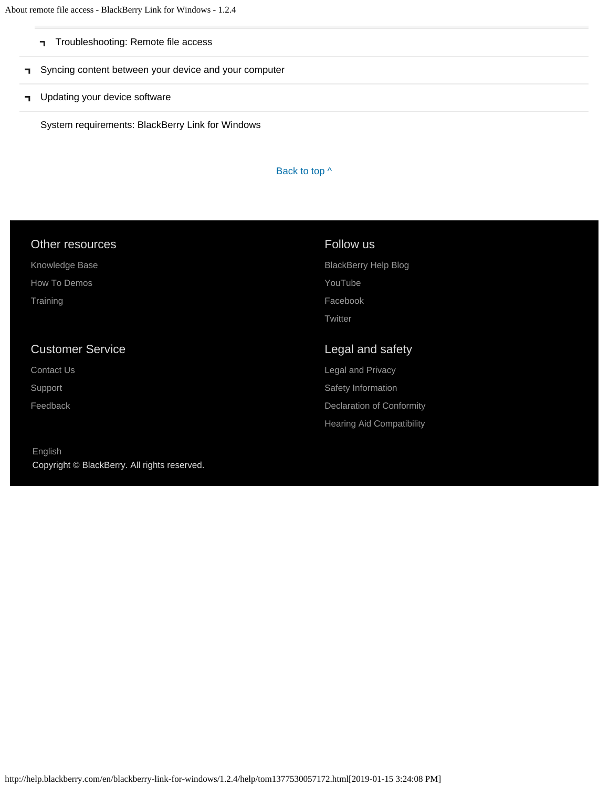About remote file access - BlackBerry Link for Windows - 1.2.4

- [Troubleshooting: Remote file access](#page-63-0)
- [Syncing content between your device and your computer](#page-12-0)
- **T** [Updating your device software](#page-14-0)

[System requirements: BlackBerry Link for Windows](#page-16-0)

#### Back to top  $\wedge$

| Other resources         | Follow us                   |
|-------------------------|-----------------------------|
| Knowledge Base          | <b>BlackBerry Help Blog</b> |
| How To Demos            | YouTube                     |
| Training                | Facebook                    |
|                         | Twitter                     |
|                         |                             |
| <b>Customer Service</b> | Legal and safety            |
| <b>Contact Us</b>       | <b>Legal and Privacy</b>    |
| Support                 | Safety Information          |
| Feedback                | Declaration of Conformity   |

[English](http://help.blackberry.com/en/selectLang?prev=blackberry-link-for-windows/1.2.4/help/tom1377530057172.html) Copyright © BlackBerry. All rights reserved.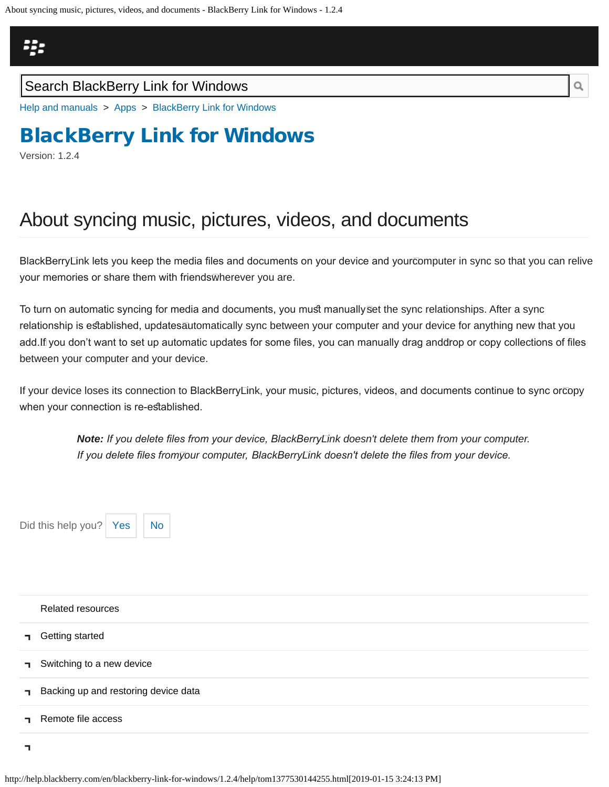## <span id="page-12-0"></span>23

### Search BlackBerry Link for Windows

[Help and manuals](http://help.blackberry.com/en/) > [Apps](http://help.blackberry.com/en/category/apps/) > [BlackBerry Link for Windows](http://help.blackberry.com/en/blackberry-link-for-windows/1.2.4/)

# [BlackBerry Link for Windows](http://help.blackberry.com/en/blackberry-link-for-windows/1.2.4/)

Version: 1.2.4

# About syncing music, pictures, videos, and documents

BlackBerry Link lets you keep the media fles and documents on your device and your computer in sync so that you can relive your memories or share them with friendsѿherever you are.

To turn on automatic syncing for media and documents, you must manuallyଛet the sync relationships. After a sync relationship is established, updatesāutomatically sync between your computer and your device for anything new that you add. If you don't want to set up automatic updates for some fles, you can manually drag and drop or copy collections of fles between your computer and your device.

If your device loses its connection to BlackBerryLink, your music, pictures, videos, and documents continue to sync or $\bar{c}$ opy when your connection is re-established.

> *Note: If you delete fles from your device, BlackBerry Link doesn't delete them from your computer. If you delete fles from your computer, BlackBerry Link doesn't delete the fles from your device.*

Did this help you?  $Yes \mid No$  $Yes \mid No$  $Yes \mid No$ 



| Related resources                    |
|--------------------------------------|
| <b>T</b> Getting started             |
| Switching to a new device            |
| Backing up and restoring device data |
| Remote file access                   |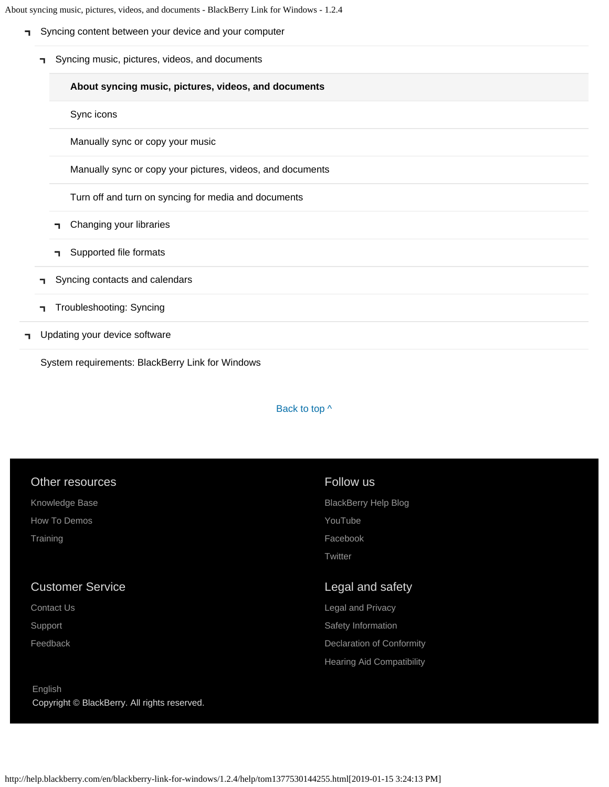About syncing music, pictures, videos, and documents - BlackBerry Link for Windows - 1.2.4

- [Syncing content between your device and your computer](#page-12-0)
	- [Syncing music, pictures, videos, and documents](#page-12-0)  $\blacksquare$

#### **[About syncing music, pictures, videos, and documents](#page-12-0)**

[Sync icons](#page-66-0)

[Manually sync or copy your music](#page-69-0)

[Manually sync or copy your pictures, videos, and documents](#page-72-0)

[Turn off and turn on syncing for media and documents](#page-75-0)

- [Changing your libraries](#page-60-0) ٦.
- [Supported file formats](#page-78-0) ٦.
- [Syncing contacts and calendars](#page-81-0) п.
- [Troubleshooting: Syncing](#page-83-0)
- [Updating your device software](#page-14-0) П

[System requirements: BlackBerry Link for Windows](#page-16-0)

#### Back to top  $\wedge$

| Other resources                                         | Follow us                        |
|---------------------------------------------------------|----------------------------------|
| Knowledge Base                                          | <b>BlackBerry Help Blog</b>      |
| How To Demos                                            | YouTube                          |
| Training                                                | Facebook                         |
|                                                         | Twitter                          |
| <b>Customer Service</b>                                 | Legal and safety                 |
| Contact Us                                              | Legal and Privacy                |
| Support                                                 | Safety Information               |
| Feedback                                                | Declaration of Conformity        |
|                                                         | <b>Hearing Aid Compatibility</b> |
| English<br>Copyright © BlackBerry. All rights reserved. |                                  |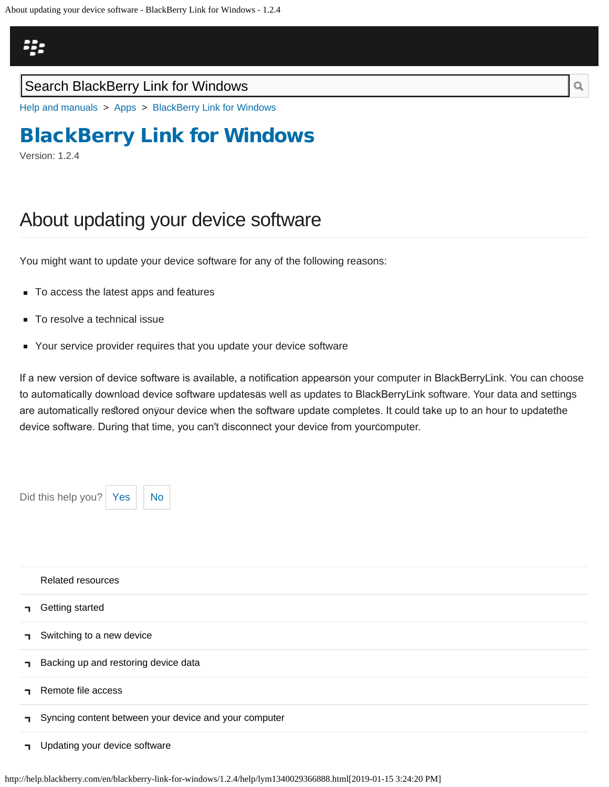## <span id="page-14-0"></span>Щ,

### Search BlackBerry Link for Windows

[Help and manuals](http://help.blackberry.com/en/) > [Apps](http://help.blackberry.com/en/category/apps/) > [BlackBerry Link for Windows](http://help.blackberry.com/en/blackberry-link-for-windows/1.2.4/)

# [BlackBerry Link for Windows](http://help.blackberry.com/en/blackberry-link-for-windows/1.2.4/)

Version: 1.2.4

# About updating your device software

You might want to update your device software for any of the following reasons:

- To access the latest apps and features
- To resolve a technical issue
- Your service provider requires that you update your device software

If a new version of device software is available, a notification appearsōn your computer in BlackBerry⊡nk. You can choose to automatically download device software updatesās well as updates to BlackBerryLink software. Your data and settings are automatically restored onyour device when the software update completes. It could take up to an hour to updatetħe device software. During that time, you can't disconnect your device from your computer.

Did this help you? [Yes](#page-14-0)

| h |
|---|

|    | Related resources                                     |
|----|-------------------------------------------------------|
| п. | Getting started                                       |
| п. | Switching to a new device                             |
| п. | Backing up and restoring device data                  |
|    | Remote file access                                    |
| п. | Syncing content between your device and your computer |

**T** [Updating your device software](#page-14-0)

http://help.blackberry.com/en/blackberry-link-for-windows/1.2.4/help/lym1340029366888.html[2019-01-15 3:24:20 PM]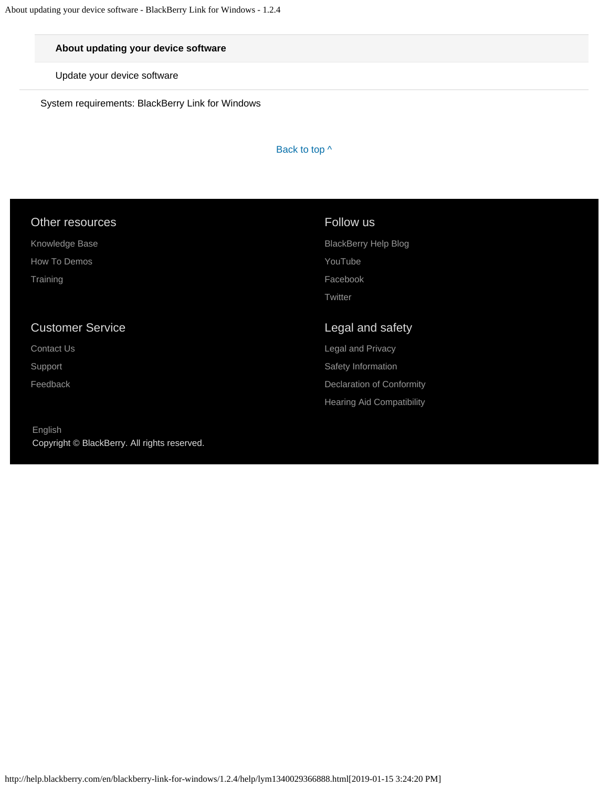#### **[About updating your device software](#page-14-0)**

[Update your device software](#page-86-0)

[System requirements: BlackBerry Link for Windows](#page-16-0)

Back to top  $\wedge$ 

| Follow us                        |
|----------------------------------|
| <b>BlackBerry Help Blog</b>      |
| YouTube                          |
| Facebook                         |
| Twitter                          |
| Legal and safety                 |
| Legal and Privacy                |
| Safety Information               |
| Declaration of Conformity        |
| <b>Hearing Aid Compatibility</b> |
|                                  |

[English](http://help.blackberry.com/en/selectLang?prev=blackberry-link-for-windows/1.2.4/help/lym1340029366888.html) Copyright © BlackBerry. All rights reserved.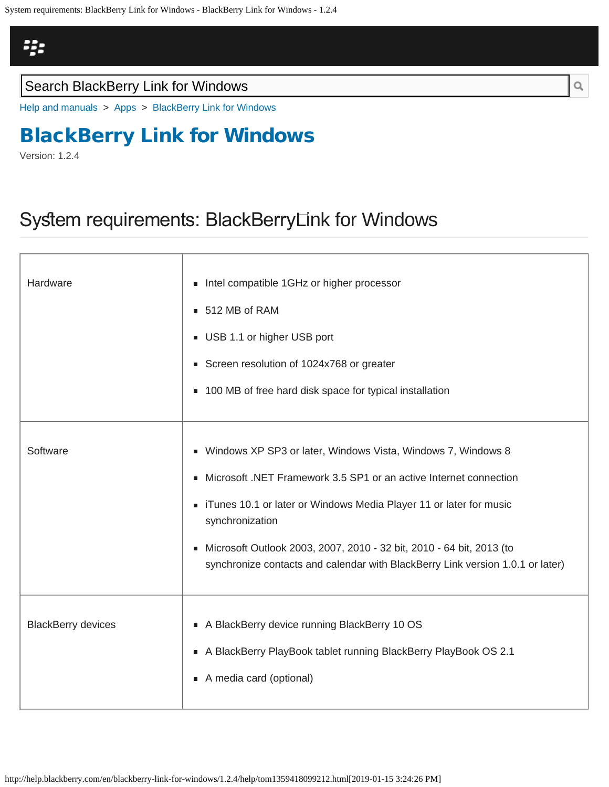## <span id="page-16-0"></span>非

### Search BlackBerry Link for Windows

[Help and manuals](http://help.blackberry.com/en/) > [Apps](http://help.blackberry.com/en/category/apps/) > [BlackBerry Link for Windows](http://help.blackberry.com/en/blackberry-link-for-windows/1.2.4/)

# [BlackBerry Link for Windows](http://help.blackberry.com/en/blackberry-link-for-windows/1.2.4/)

Version: 1.2.4

## System requirements: BlackBerryLink for Windows

| Hardware                  | Intel compatible 1GHz or higher processor<br>■ 512 MB of RAM<br>USB 1.1 or higher USB port<br>Screen resolution of 1024x768 or greater<br>■ 100 MB of free hard disk space for typical installation                                                                                                                                                                                                |
|---------------------------|----------------------------------------------------------------------------------------------------------------------------------------------------------------------------------------------------------------------------------------------------------------------------------------------------------------------------------------------------------------------------------------------------|
| Software                  | ■ Windows XP SP3 or later, Windows Vista, Windows 7, Windows 8<br>Microsoft .NET Framework 3.5 SP1 or an active Internet connection<br>٠<br>• iTunes 10.1 or later or Windows Media Player 11 or later for music<br>synchronization<br>Microsoft Outlook 2003, 2007, 2010 - 32 bit, 2010 - 64 bit, 2013 (to<br>٠<br>synchronize contacts and calendar with BlackBerry Link version 1.0.1 or later) |
| <b>BlackBerry devices</b> | A BlackBerry device running BlackBerry 10 OS<br>A BlackBerry PlayBook tablet running BlackBerry PlayBook OS 2.1<br>A media card (optional)                                                                                                                                                                                                                                                         |

 $\hbox{O}_\hbox{\scriptsize c}$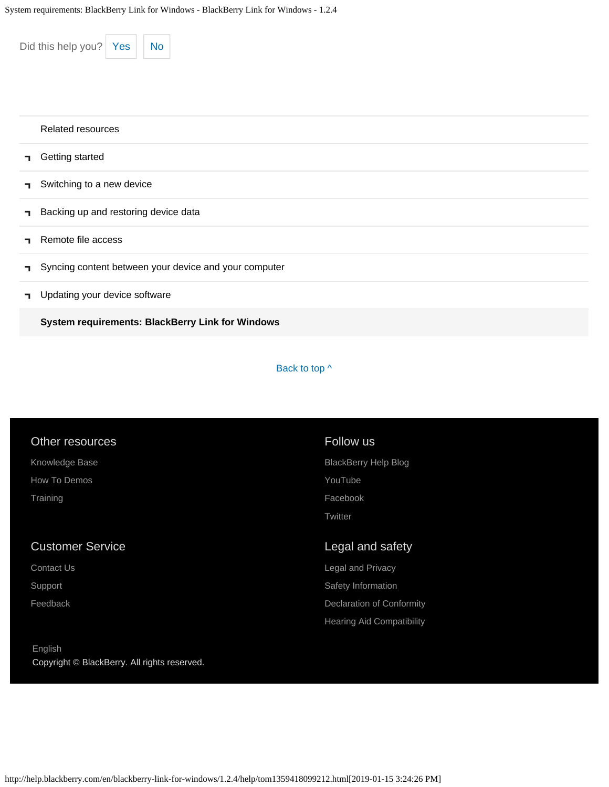| Did this help you?<br><b>No</b><br>Yes                      |
|-------------------------------------------------------------|
| Related resources                                           |
| Getting started<br>٦                                        |
| Switching to a new device<br>п                              |
| Backing up and restoring device data<br>п                   |
| Remote file access<br>п                                     |
| Syncing content between your device and your computer<br>п. |
| Updating your device software<br>п                          |
| System requirements: BlackBerry Link for Windows            |

#### Back to top  $\wedge$

[Hearing Aid Compatibility](http://help.blackberry.com/en/content/hac/index.html)

| Other resources         | Follow us                   |
|-------------------------|-----------------------------|
| Knowledge Base          | <b>BlackBerry Help Blog</b> |
| How To Demos            | YouTube                     |
| Training                | Facebook                    |
|                         | Twitter                     |
| <b>Customer Service</b> | Legal and safety            |
| Contact Us              | Legal and Privacy           |
| Support                 | Safety Information          |
| Feedback                | Declaration of Conformity   |
|                         |                             |

[English](http://help.blackberry.com/en/selectLang?prev=blackberry-link-for-windows/1.2.4/help/tom1359418099212.html) Copyright © BlackBerry. All rights reserved.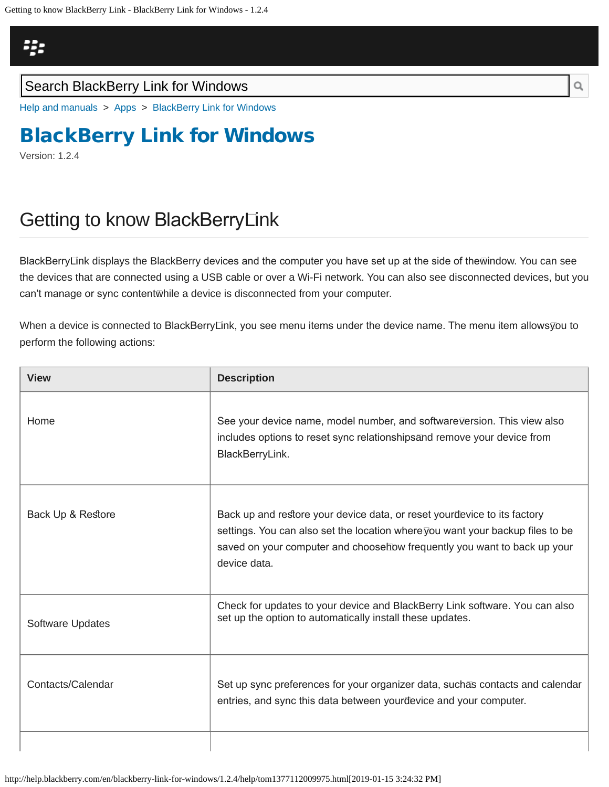## <span id="page-18-0"></span>43

### Search BlackBerry Link for Windows

[Help and manuals](http://help.blackberry.com/en/) > [Apps](http://help.blackberry.com/en/category/apps/) > [BlackBerry Link for Windows](http://help.blackberry.com/en/blackberry-link-for-windows/1.2.4/)

# [BlackBerry Link for Windows](http://help.blackberry.com/en/blackberry-link-for-windows/1.2.4/)

Version: 1.2.4

# Getting to know BlackBerry Link

BlackBerry⊡nk displays the BlackBerry devices and the computer you have set up at the side of thewindow. You can see the devices that are connected using a USB cable or over a Wi-Fi network. You can also see disconnected devices, but you can't manage or sync contentwhile a device is disconnected from your computer.

When a device is connected to BlackBerryLink, you see menu items under the device name. The menu item allows<u>⊽</u>ou to perform the following actions:

| <b>View</b>       | <b>Description</b>                                                                                                                                                                                                                                    |
|-------------------|-------------------------------------------------------------------------------------------------------------------------------------------------------------------------------------------------------------------------------------------------------|
| Home              | See your device name, model number, and software ⊽ersion. This view also<br>includes options to reset sync relationships and remove your device from<br>BlackBerryLink.                                                                               |
| Back Up & Restore | Back up and restore your device data, or reset yourdevice to its factory<br>settings. You can also set the location where⊽ou want your backup files to be<br>saved on your computer and choosehow frequently you want to back up your<br>device data. |
| Software Updates  | Check for updates to your device and BlackBerry Link software. You can also<br>set up the option to automatically install these updates.                                                                                                              |
| Contacts/Calendar | Set up sync preferences for your organizer data, suchas contacts and calendar<br>entries, and sync this data between yourdevice and your computer.                                                                                                    |
|                   |                                                                                                                                                                                                                                                       |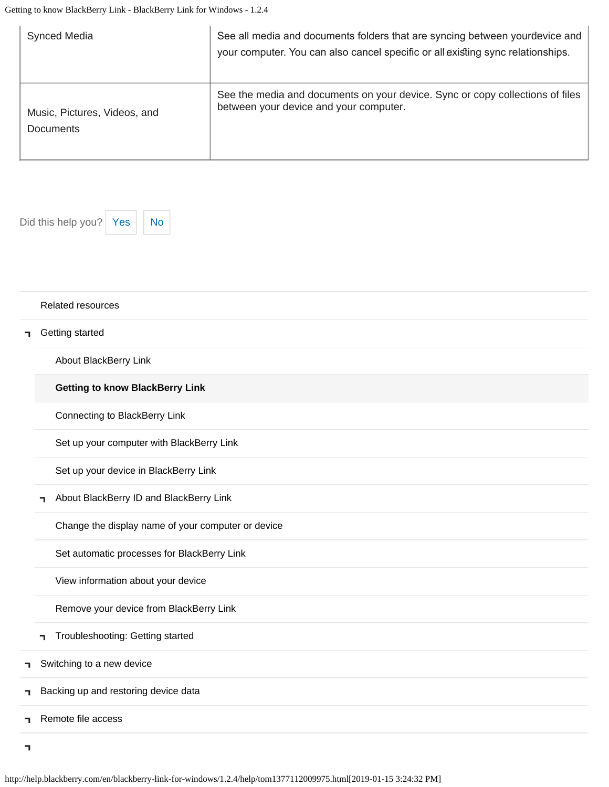| <b>Synced Media</b>          | See all media and documents folders that are syncing between yourdevice and<br>your computer. You can also cancel specific or all existing sync relationships. |
|------------------------------|----------------------------------------------------------------------------------------------------------------------------------------------------------------|
| Music, Pictures, Videos, and | See the media and documents on your device. Sync or copy collections of files                                                                                  |
| <b>Documents</b>             | between your device and your computer.                                                                                                                         |

Did this help you?  $Yes$  [No](#page-18-0)



#### [Related resources](#page-0-0)

#### [Getting started](#page-2-0) Ť.

[About BlackBerry Link](#page-2-0)

#### **[Getting to know BlackBerry Link](#page-18-0)**

[Connecting to BlackBerry Link](#page-21-0)

[Set up your computer with BlackBerry Link](#page-24-0)

[Set up your device in BlackBerry Link](#page-27-0)

[About BlackBerry ID and BlackBerry Link](#page-30-0)  $\blacksquare$ 

[Change the display name of your computer or device](#page-33-0)

[Set automatic processes for BlackBerry Link](#page-35-0)

[View information about your device](#page-37-0)

[Remove your device from BlackBerry Link](#page-39-0)

[Troubleshooting: Getting started](#page-41-0)

[Switching to a new device](#page-5-0) Ť.

[Backing up and restoring device data](#page-8-0) ٦

[Remote file access](#page-10-0)

 $\overline{\mathbf{1}}$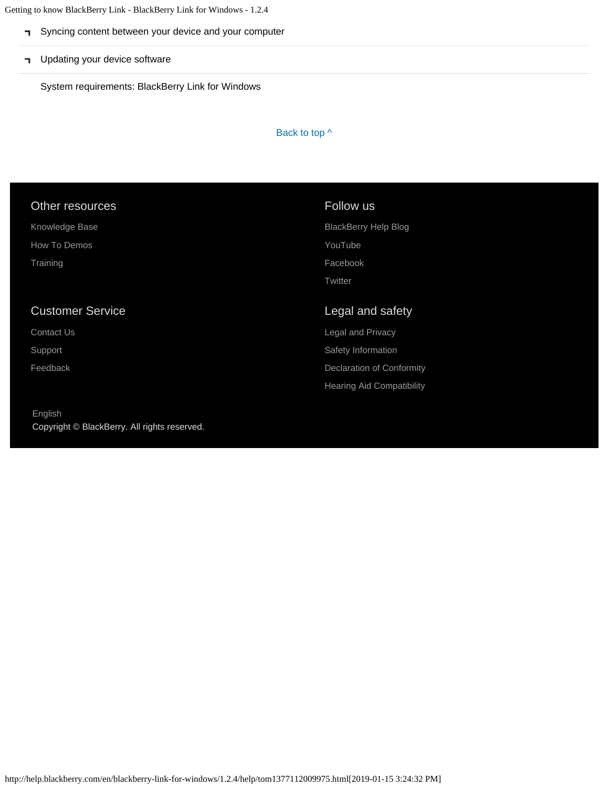Getting to know BlackBerry Link - BlackBerry Link for Windows - 1.2.4

- [Syncing content between your device and your computer](#page-12-0)
- **T** [Updating your device software](#page-14-0)

[System requirements: BlackBerry Link for Windows](#page-16-0)

Back to top  $\wedge$ 

#### Other resources

[Knowledge Base](http://support.blackberry.com/kb) [How To Demos](http://web.blackberry.com/support/blackberry-101.html)

**[Training](http://blackberry.com/training)** 

### Customer Service

[Contact Us](http://web.blackberry.com/customer-service/contact-us.html)

[Support](http://web.blackberry.com/support.html)

[Feedback](https://blackberry.icanmakeitbetter.com/?source=532c96c687167fb55f000067)

#### [English](http://help.blackberry.com/en/selectLang?prev=blackberry-link-for-windows/1.2.4/help/tom1377112009975.html) Copyright © BlackBerry. All rights reserved.

#### Follow us

[BlackBerry Help Blog](http://helpblog.blackberry.com/) [YouTube](https://www.youtube.com/user/blackberrysupport) [Facebook](https://facebook.com/BlackBerry) **[Twitter](https://twitter.com/blackberry)** 

### Legal and safety

[Legal and Privacy](http://blackberry.com/legal) [Safety Information](http://help.blackberry.com/en/content/sib/index.html) [Declaration of Conformity](http://help.blackberry.com/en/content/doc/index.html) [Hearing Aid Compatibility](http://help.blackberry.com/en/content/hac/index.html)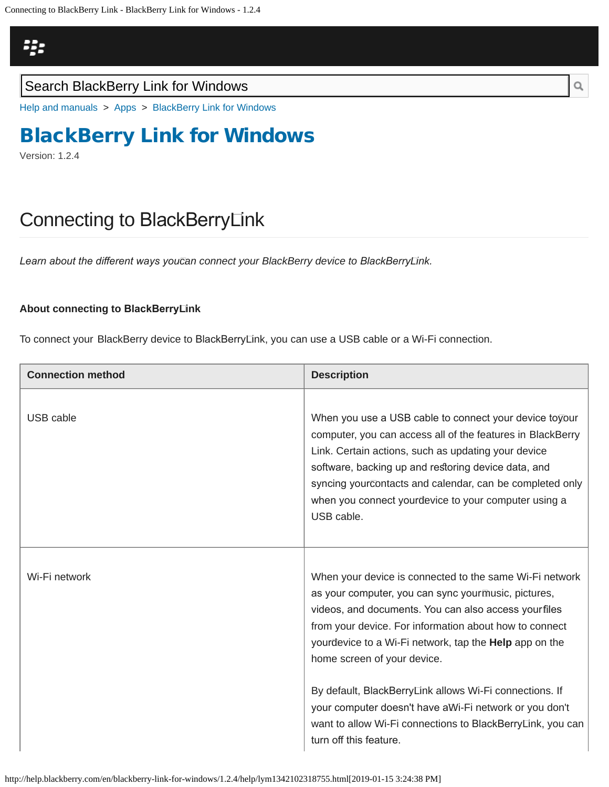<span id="page-21-0"></span>

### Search BlackBerry Link for Windows

[Help and manuals](http://help.blackberry.com/en/) > [Apps](http://help.blackberry.com/en/category/apps/) > [BlackBerry Link for Windows](http://help.blackberry.com/en/blackberry-link-for-windows/1.2.4/)

## [BlackBerry Link for Windows](http://help.blackberry.com/en/blackberry-link-for-windows/1.2.4/)

Version: 1.2.4

## Connecting to BlackBerry Link

*Learn about the diferent ways you can connect your BlackBerry device to BlackBerry Link.*

#### **About connecting to BlackBerry Link**

To connect your BlackBerry device to BlackBerry Link, you can use a USB cable or a Wi-Fi connection.

| <b>Connection method</b> | <b>Description</b>                                                                                                                                                                                                                                                                                                                                                                                                                                                                                                                            |
|--------------------------|-----------------------------------------------------------------------------------------------------------------------------------------------------------------------------------------------------------------------------------------------------------------------------------------------------------------------------------------------------------------------------------------------------------------------------------------------------------------------------------------------------------------------------------------------|
| USB cable                | When you use a USB cable to connect your device to your<br>computer, you can access all of the features in BlackBerry<br>Link. Certain actions, such as updating your device<br>software, backing up and restoring device data, and<br>syncing yourcontacts and calendar, can be completed only<br>when you connect yourdevice to your computer using a<br>USB cable.                                                                                                                                                                         |
| Wi-Fi network            | When your device is connected to the same Wi-Fi network<br>as your computer, you can sync yourmusic, pictures,<br>videos, and documents. You can also access yourfiles<br>from your device. For information about how to connect<br>yourdevice to a Wi-Fi network, tap the <b>Help</b> app on the<br>home screen of your device.<br>By default, BlackBerryLink allows Wi-Fi connections. If<br>your computer doesn't have aWi-Fi network or you don't<br>want to allow Wi-Fi connections to BlackBerryLink, you can<br>turn off this feature. |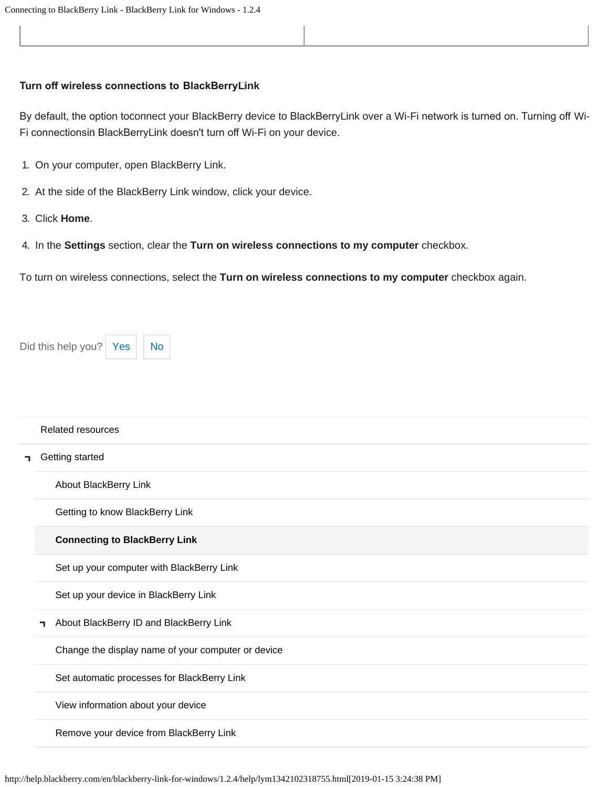#### **Turn of wireless connections to BlackBerry Link**

By default, the option toconnect your BlackBerry device to BlackBerryLink over a Wi-Fi network is turned on. Turning off Wi-Fi connectionsin BlackBerryLink doesn't turn off Wi-Fi on your device.

- 1. On your computer, open BlackBerry Link.
- 2. At the side of the BlackBerry Link window, click your device.
- 3. Click **Home**.
- 4. In the **Settings** section, clear the **Turn on wireless connections to my computer** checkbox.

To turn on wireless connections, select the **Turn on wireless connections to my computer** checkbox again.

| Did this help you?   Yes     No |  |  |
|---------------------------------|--|--|
|---------------------------------|--|--|

|    | <b>Related resources</b>                           |
|----|----------------------------------------------------|
| п. | Getting started                                    |
|    | About BlackBerry Link                              |
|    | Getting to know BlackBerry Link                    |
|    | <b>Connecting to BlackBerry Link</b>               |
|    | Set up your computer with BlackBerry Link          |
|    | Set up your device in BlackBerry Link              |
|    | About BlackBerry ID and BlackBerry Link<br>┑       |
|    | Change the display name of your computer or device |
|    | Set automatic processes for BlackBerry Link        |
|    | View information about your device                 |
|    | Remove your device from BlackBerry Link            |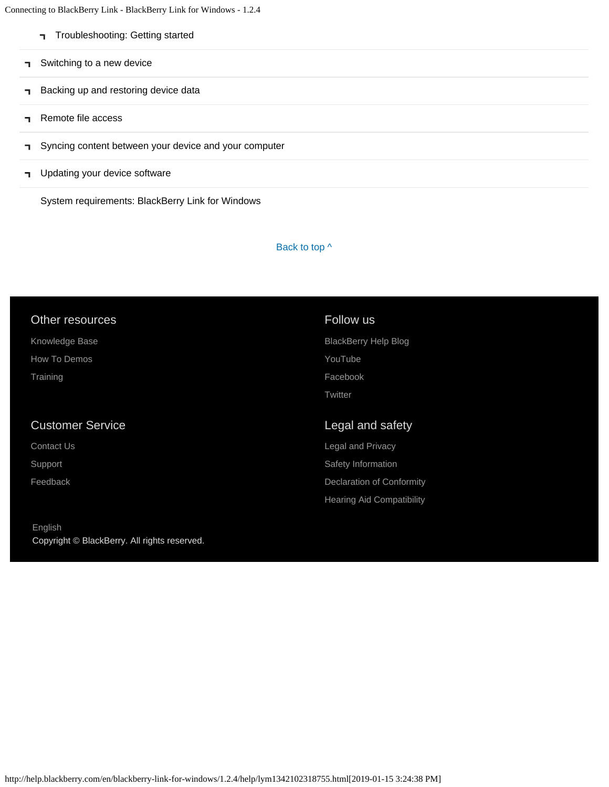Connecting to BlackBerry Link - BlackBerry Link for Windows - 1.2.4

- [Troubleshooting: Getting started](#page-41-0)
- [Switching to a new device](#page-5-0) п.
- [Backing up and restoring device data](#page-8-0)  $\blacksquare$
- [Remote file access](#page-10-0) п.
- [Syncing content between your device and your computer](#page-12-0) ٦
- **T** [Updating your device software](#page-14-0)

[System requirements: BlackBerry Link for Windows](#page-16-0)

#### Back to top  $\wedge$

### Other resources

[Knowledge Base](http://support.blackberry.com/kb)

[How To Demos](http://web.blackberry.com/support/blackberry-101.html)

**[Training](http://blackberry.com/training)** 

#### Customer Service

[Contact Us](http://web.blackberry.com/customer-service/contact-us.html)

[Support](http://web.blackberry.com/support.html)

[Feedback](https://blackberry.icanmakeitbetter.com/?source=532c96c687167fb55f000067)

[English](http://help.blackberry.com/en/selectLang?prev=blackberry-link-for-windows/1.2.4/help/lym1342102318755.html) Copyright © BlackBerry. All rights reserved.

### Follow us [BlackBerry Help Blog](http://helpblog.blackberry.com/) [YouTube](https://www.youtube.com/user/blackberrysupport) [Facebook](https://facebook.com/BlackBerry) **[Twitter](https://twitter.com/blackberry)**

#### Legal and safety

[Legal and Privacy](http://blackberry.com/legal) [Safety Information](http://help.blackberry.com/en/content/sib/index.html) [Declaration of Conformity](http://help.blackberry.com/en/content/doc/index.html) [Hearing Aid Compatibility](http://help.blackberry.com/en/content/hac/index.html)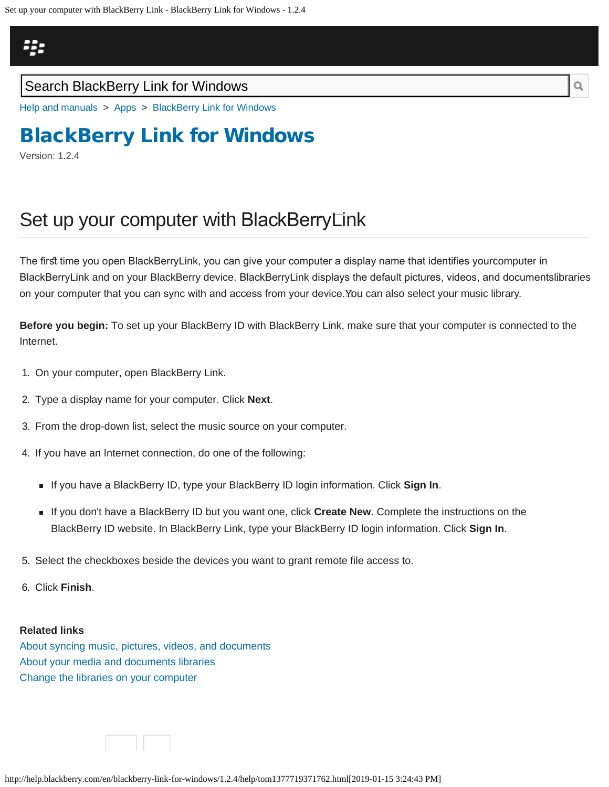<span id="page-24-0"></span>

### Search BlackBerry Link for Windows

[Help and manuals](http://help.blackberry.com/en/) > [Apps](http://help.blackberry.com/en/category/apps/) > [BlackBerry Link for Windows](http://help.blackberry.com/en/blackberry-link-for-windows/1.2.4/)

## [BlackBerry Link for Windows](http://help.blackberry.com/en/blackberry-link-for-windows/1.2.4/)

Version: 1.2.4

## Set up your computer with BlackBerryLink

The first time you open BlackBerryLink, you can give your computer a display name that identifies yourcomputer in BlackBerry⊡nk and on your BlackBerry device. BlackBerry⊡nk displays the default pictures, videos, and documentslibraries on your computer that you can sync with and access from your device. You can also select your music library.

**Before you begin:** To set up your BlackBerry ID with BlackBerry Link, make sure that your computer is connected to the Internet.

- 1. On your computer, open BlackBerry Link.
- 2. Type a display name for your computer. Click **Next**.
- 3. From the drop-down list, select the music source on your computer.
- 4. If you have an Internet connection, do one of the following:
	- **If you have a BlackBerry ID, type your BlackBerry ID login information. Click Sign In.**
	- If you don't have a BlackBerry ID but you want one, click **Create New**. Complete the instructions on the BlackBerry ID website. In BlackBerry Link, type your BlackBerry ID login information. Click **Sign In**.
- 5. Select the checkboxes beside the devices you want to grant remote file access to.
- 6. Click **Finish**.

#### **Related links**

[About syncing music, pictures, videos, and documents](#page-12-0) [About your media and documents libraries](#page-60-0) [Change the libraries on your computer](#page-88-0)

http://help.blackberry.com/en/blackberry-link-for-windows/1.2.4/help/tom1377719371762.html[2019-01-15 3:24:43 PM]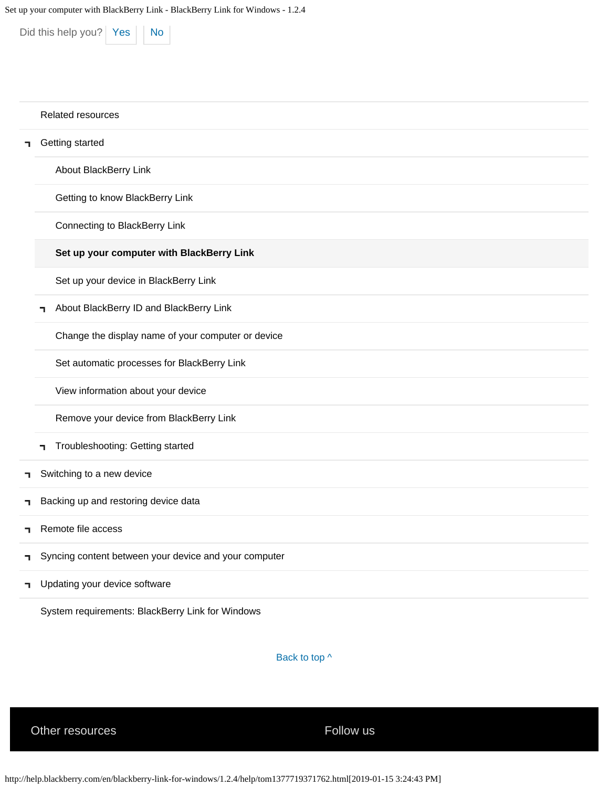Did this help you?  $Yes$  [No](#page-24-0)

## [Related resources](#page-0-0) [Getting started](#page-2-0) [About BlackBerry Link](#page-2-0) [Getting to know BlackBerry Link](#page-18-0) [Connecting to BlackBerry Link](#page-21-0) **[Set up your computer with BlackBerry Link](#page-24-0)** [Set up your device in BlackBerry Link](#page-27-0) [About BlackBerry ID and BlackBerry Link](#page-30-0) п. [Change the display name of your computer or device](#page-33-0) [Set automatic processes for BlackBerry Link](#page-35-0) [View information about your device](#page-37-0) [Remove your device from BlackBerry Link](#page-39-0) [Troubleshooting: Getting started](#page-41-0) [Switching to a new device](#page-5-0) ٦ [Backing up and restoring device data](#page-8-0) ٦ [Remote file access](#page-10-0) ٦ [Syncing content between your device and your computer](#page-12-0) ٦ [Updating your device software](#page-14-0) ٦

[System requirements: BlackBerry Link for Windows](#page-16-0)

Back to top  $\wedge$ 

Other resources extending the state of the Follow us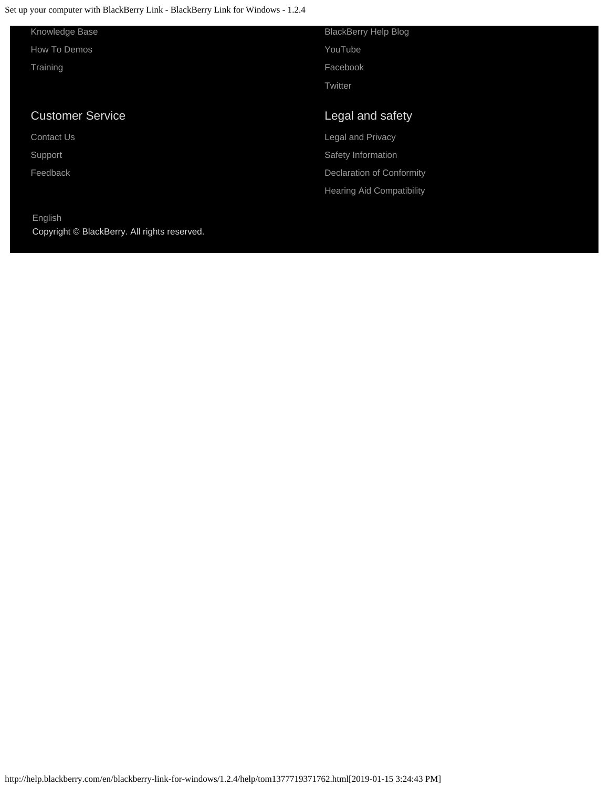Set up your computer with BlackBerry Link - BlackBerry Link for Windows - 1.2.4

[English](http://help.blackberry.com/en/selectLang?prev=blackberry-link-for-windows/1.2.4/help/tom1377719371762.html)

Copyright © BlackBerry. All rights reserved.

| Knowledge Base          | <b>BlackBerry Help Blog</b>      |
|-------------------------|----------------------------------|
| How To Demos            | YouTube                          |
| Training                | Facebook                         |
|                         | Twitter                          |
|                         |                                  |
|                         |                                  |
| <b>Customer Service</b> | Legal and safety                 |
| <b>Contact Us</b>       | Legal and Privacy                |
| Support                 | Safety Information               |
| Feedback                | Declaration of Conformity        |
|                         | <b>Hearing Aid Compatibility</b> |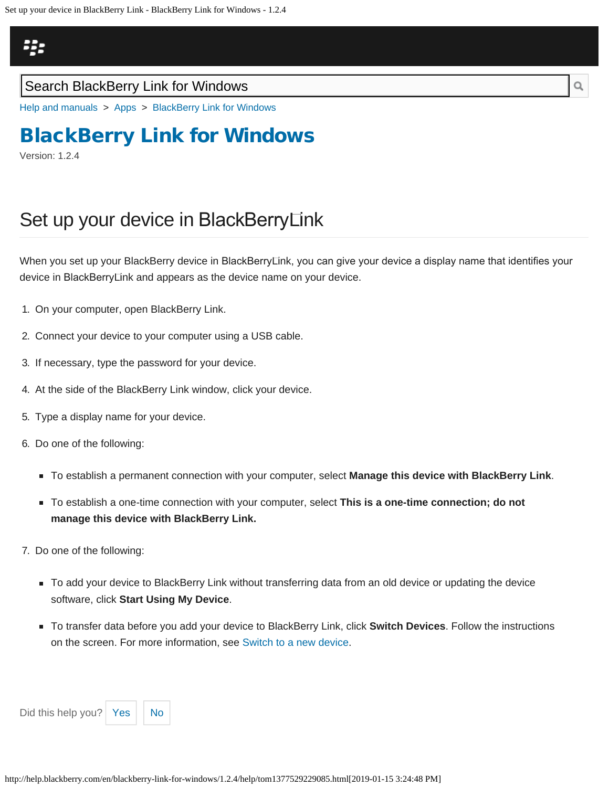## <span id="page-27-0"></span>23

### Search BlackBerry Link for Windows

[Help and manuals](http://help.blackberry.com/en/) > [Apps](http://help.blackberry.com/en/category/apps/) > [BlackBerry Link for Windows](http://help.blackberry.com/en/blackberry-link-for-windows/1.2.4/)

# [BlackBerry Link for Windows](http://help.blackberry.com/en/blackberry-link-for-windows/1.2.4/)

Version: 1.2.4

# Set up your device in BlackBerry Link

When you set up your BlackBerry device in BlackBerryLink, you can give your device a display name that identifies your device in BlackBerry Link and appears as the device name on your device.

- 1. On your computer, open BlackBerry Link.
- 2. Connect your device to your computer using a USB cable.
- 3. If necessary, type the password for your device.
- 4. At the side of the BlackBerry Link window, click your device.
- 5. Type a display name for your device.
- 6. Do one of the following:
	- To establish a permanent connection with your computer, select **Manage this device with BlackBerry Link**.
	- To establish a one-time connection with your computer, select **This is a one-time connection; do not manage this device with BlackBerry Link.**
- 7. Do one of the following:
	- To add your device to BlackBerry Link without transferring data from an old device or updating the device software, click **Start Using My Device**.
	- To transfer data before you add your device to BlackBerry Link, click **Switch Devices**. Follow the instructions on the screen. For more information, see [Switch to a new device](#page-44-0).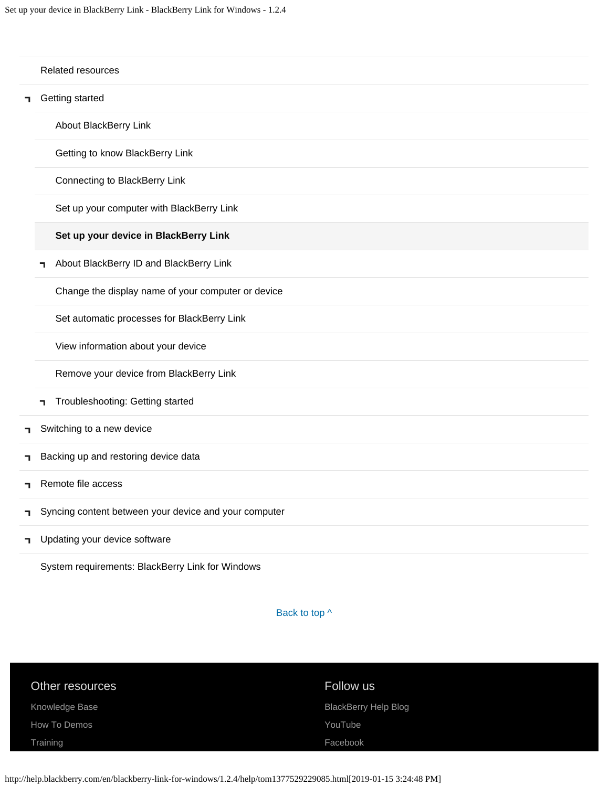|    |   | Related resources                                     |
|----|---|-------------------------------------------------------|
| ٦  |   | Getting started                                       |
|    |   | About BlackBerry Link                                 |
|    |   | Getting to know BlackBerry Link                       |
|    |   | Connecting to BlackBerry Link                         |
|    |   | Set up your computer with BlackBerry Link             |
|    |   | Set up your device in BlackBerry Link                 |
|    | ٦ | About BlackBerry ID and BlackBerry Link               |
|    |   | Change the display name of your computer or device    |
|    |   | Set automatic processes for BlackBerry Link           |
|    |   | View information about your device                    |
|    |   | Remove your device from BlackBerry Link               |
|    | ٦ | Troubleshooting: Getting started                      |
| п. |   | Switching to a new device                             |
| ٦  |   | Backing up and restoring device data                  |
| п. |   | Remote file access                                    |
| ٦  |   | Syncing content between your device and your computer |
| ٦. |   | Updating your device software                         |

[System requirements: BlackBerry Link for Windows](#page-16-0)

Back to top  $\wedge$ 

| Other resources | Follow us                   |
|-----------------|-----------------------------|
| Knowledge Base  | <b>BlackBerry Help Blog</b> |
| How To Demos    | YouTube                     |
| Training        | Facebook                    |
|                 |                             |

http://help.blackberry.com/en/blackberry-link-for-windows/1.2.4/help/tom1377529229085.html[2019-01-15 3:24:48 PM]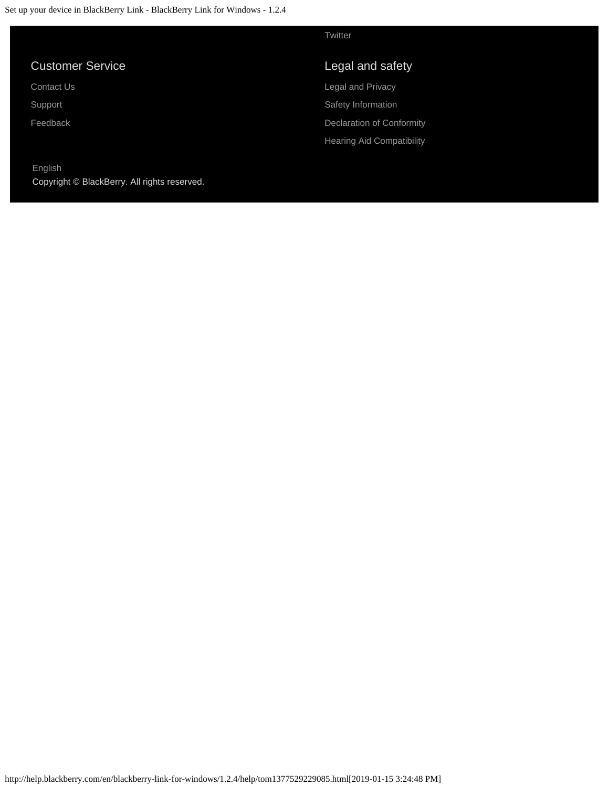|                                                         | Twitter                          |
|---------------------------------------------------------|----------------------------------|
| <b>Customer Service</b>                                 | Legal and safety                 |
| <b>Contact Us.</b>                                      | <b>Legal and Privacy</b>         |
| Support                                                 | Safety Information               |
| Feedback                                                | Declaration of Conformity        |
|                                                         | <b>Hearing Aid Compatibility</b> |
| English<br>Copyright © BlackBerry. All rights reserved. |                                  |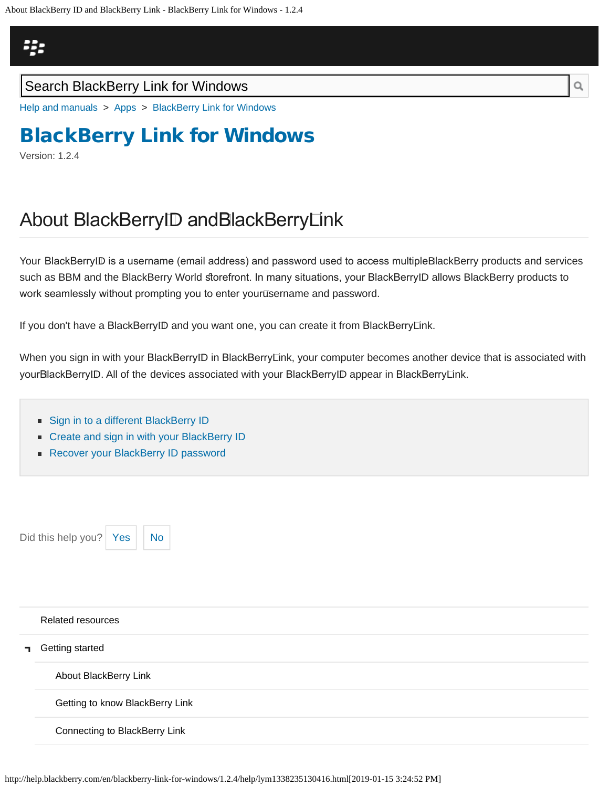## <span id="page-30-0"></span>23

### Search BlackBerry Link for Windows

[Help and manuals](http://help.blackberry.com/en/) > [Apps](http://help.blackberry.com/en/category/apps/) > [BlackBerry Link for Windows](http://help.blackberry.com/en/blackberry-link-for-windows/1.2.4/)

# [BlackBerry Link for Windows](http://help.blackberry.com/en/blackberry-link-for-windows/1.2.4/)

Version: 1.2.4

# About BlackBerry ID and BlackBerry Link

Your BlackBerry ID is a username (email address) and password used to access multiple BlackBerry products and services such as BBM and the BlackBerry World storefront. In many situations, your BlackBerryID allows BlackBerry products to work seamlessly without prompting you to enter your username and password.

If you don't have a BlackBerry ID and you want one, you can create it from BlackBerry Link.

When you sign in with your BlackBerryID in BlackBerryLink, your computer becomes another device that is associated with your BlackBerry ID. All of the devices associated with your BlackBerry ID appear in BlackBerry Link.

- [Sign in to a different BlackBerry ID](#page-91-0)
- **EX [Create and sign in with your BlackBerry ID](#page-94-0)**
- [Recover your BlackBerry ID password](#page-97-0)

Did this help you?  $\left| \right|$  [Yes](#page-30-0)  $\left| \right|$  [No](#page-30-0)

#### [Related resources](#page-0-0)

[Getting started](#page-2-0) 7

[About BlackBerry Link](#page-2-0)

[Getting to know BlackBerry Link](#page-18-0)

[Connecting to BlackBerry Link](#page-21-0)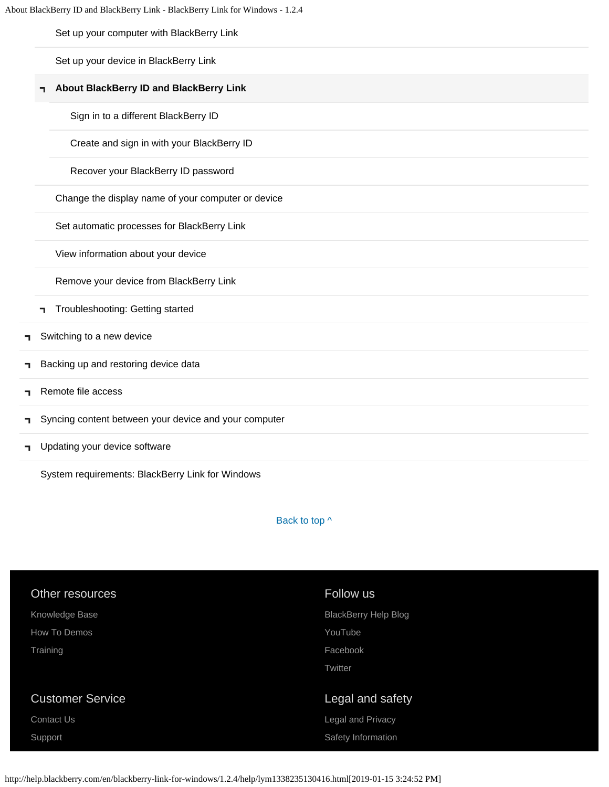[Set up your computer with BlackBerry Link](#page-24-0)

[Set up your device in BlackBerry Link](#page-27-0)

#### **[About BlackBerry ID and BlackBerry Link](#page-30-0)**

[Sign in to a different BlackBerry ID](#page-91-0)

[Create and sign in with your BlackBerry ID](#page-94-0)

[Recover your BlackBerry ID password](#page-97-0)

[Change the display name of your computer or device](#page-33-0)

[Set automatic processes for BlackBerry Link](#page-35-0)

[View information about your device](#page-37-0)

[Remove your device from BlackBerry Link](#page-39-0)

- [Troubleshooting: Getting started](#page-41-0)
- [Switching to a new device](#page-5-0) ٦
- [Backing up and restoring device data](#page-8-0) ٦
- [Remote file access](#page-10-0) ٦
- [Syncing content between your device and your computer](#page-12-0) ٦
- [Updating your device software](#page-14-0) п,

[System requirements: BlackBerry Link for Windows](#page-16-0)

Back to top  $\wedge$ 

| Other resources<br>Knowledge Base | Follow us<br><b>BlackBerry Help Blog</b> |
|-----------------------------------|------------------------------------------|
| How To Demos                      | YouTube                                  |
| Training                          | Facebook<br>Twitter                      |
|                                   |                                          |
| <b>Customer Service</b>           | Legal and safety                         |
| Contact Us                        | Legal and Privacy                        |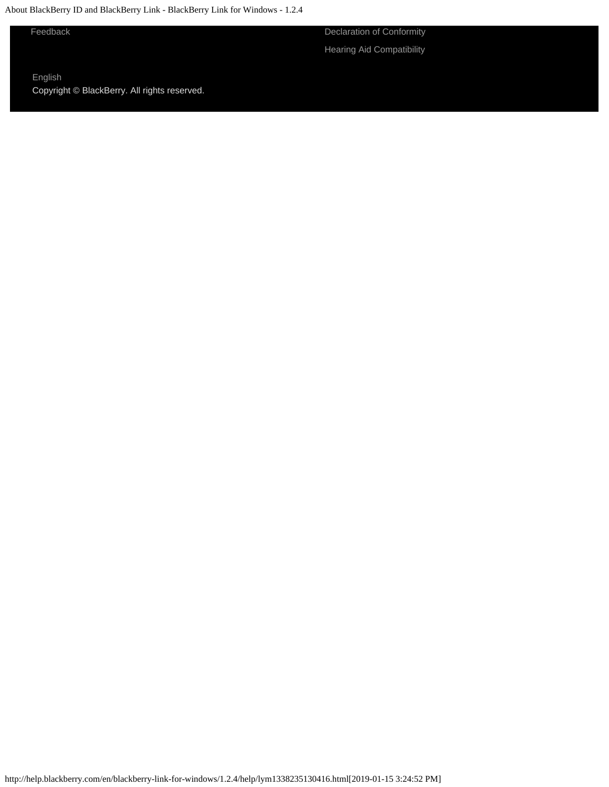About BlackBerry ID and BlackBerry Link - BlackBerry Link for Windows - 1.2.4

[Feedback](https://blackberry.icanmakeitbetter.com/?source=532c96c687167fb55f000067) [Declaration of Conformity](http://help.blackberry.com/en/content/doc/index.html) [Hearing Aid Compatibility](http://help.blackberry.com/en/content/hac/index.html)

[English](http://help.blackberry.com/en/selectLang?prev=blackberry-link-for-windows/1.2.4/help/lym1338235130416.html) Copyright © BlackBerry. All rights reserved.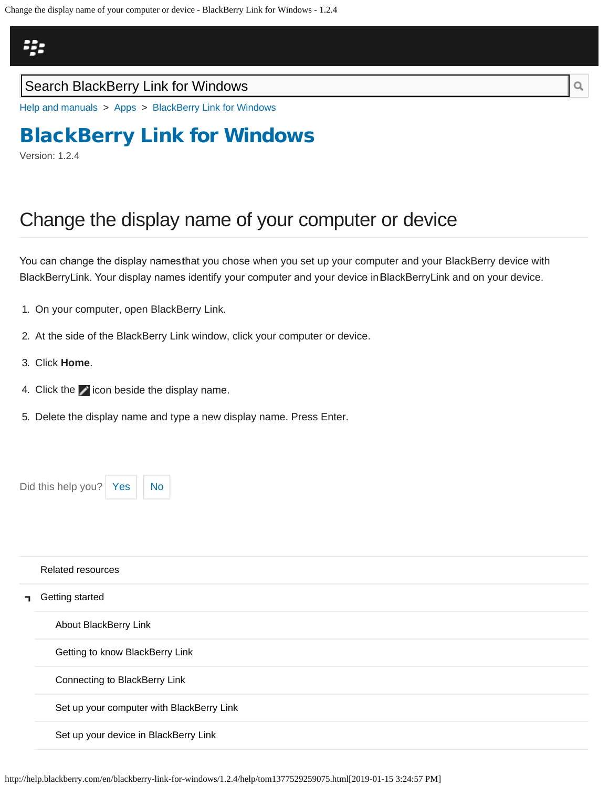## <span id="page-33-0"></span>23

### Search BlackBerry Link for Windows

[Help and manuals](http://help.blackberry.com/en/) > [Apps](http://help.blackberry.com/en/category/apps/) > [BlackBerry Link for Windows](http://help.blackberry.com/en/blackberry-link-for-windows/1.2.4/)

# [BlackBerry Link for Windows](http://help.blackberry.com/en/blackberry-link-for-windows/1.2.4/)

Version: 1.2.4

# Change the display name of your computer or device

You can change the display namestħat you chose when you set up your computer and your BlackBerry device with BlackBerry Link. Your display names identify your computer and your device in BlackBerry Link and on your device.

- 1. On your computer, open BlackBerry Link.
- 2. At the side of the BlackBerry Link window, click your computer or device.
- 3. Click **Home**.
- 4. Click the  $\blacktriangleright$  icon beside the display name.
- 5. Delete the display name and type a new display name. Press Enter.

Did this help you?  $Yes$  [No](#page-33-0)

|    | <b>Related resources</b>                  |
|----|-------------------------------------------|
| п. | Getting started                           |
|    | About BlackBerry Link                     |
|    | Getting to know BlackBerry Link           |
|    | Connecting to BlackBerry Link             |
|    | Set up your computer with BlackBerry Link |
|    | Set up your device in BlackBerry Link     |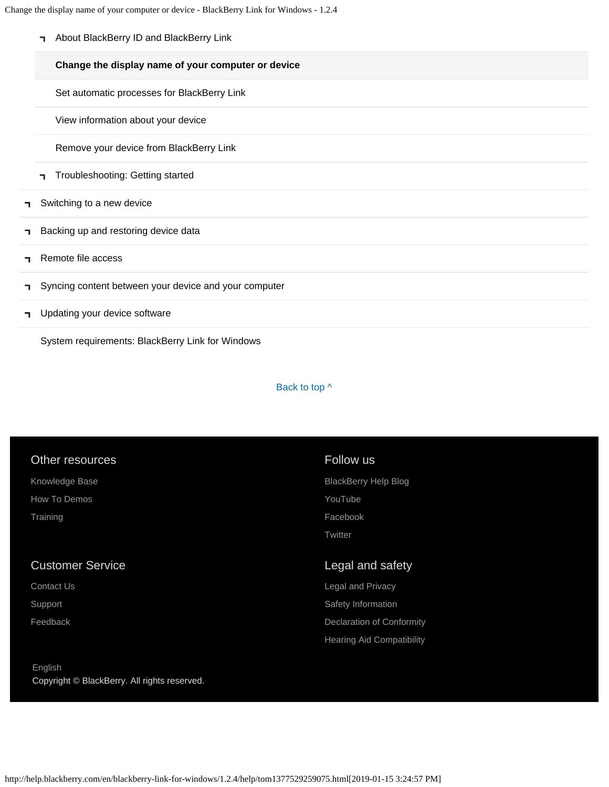Change the display name of your computer or device - BlackBerry Link for Windows - 1.2.4

[About BlackBerry ID and BlackBerry Link](#page-30-0)

#### **[Change the display name of your computer or device](#page-33-0)**

[Set automatic processes for BlackBerry Link](#page-35-0)

[View information about your device](#page-37-0)

[Remove your device from BlackBerry Link](#page-39-0)

- [Troubleshooting: Getting started](#page-41-0) ٦.
- [Switching to a new device](#page-5-0) п.
- [Backing up and restoring device data](#page-8-0) ٦
- [Remote file access](#page-10-0) п.
- [Syncing content between your device and your computer](#page-12-0) п.
- [Updating your device software](#page-14-0) п.

[System requirements: BlackBerry Link for Windows](#page-16-0)

#### Back to top  $\wedge$

#### Other resources

[Knowledge Base](http://support.blackberry.com/kb) [How To Demos](http://web.blackberry.com/support/blackberry-101.html) **[Training](http://blackberry.com/training)** 

#### Customer Service

[Contact Us](http://web.blackberry.com/customer-service/contact-us.html)

[Support](http://web.blackberry.com/support.html)

[Feedback](https://blackberry.icanmakeitbetter.com/?source=532c96c687167fb55f000067)

#### [English](http://help.blackberry.com/en/selectLang?prev=blackberry-link-for-windows/1.2.4/help/tom1377529259075.html) Copyright © BlackBerry. All rights reserved.

#### Follow us

[BlackBerry Help Blog](http://helpblog.blackberry.com/) [YouTube](https://www.youtube.com/user/blackberrysupport) [Facebook](https://facebook.com/BlackBerry) **[Twitter](https://twitter.com/blackberry)** 

#### Legal and safety

[Legal and Privacy](http://blackberry.com/legal) [Safety Information](http://help.blackberry.com/en/content/sib/index.html) [Declaration of Conformity](http://help.blackberry.com/en/content/doc/index.html) [Hearing Aid Compatibility](http://help.blackberry.com/en/content/hac/index.html)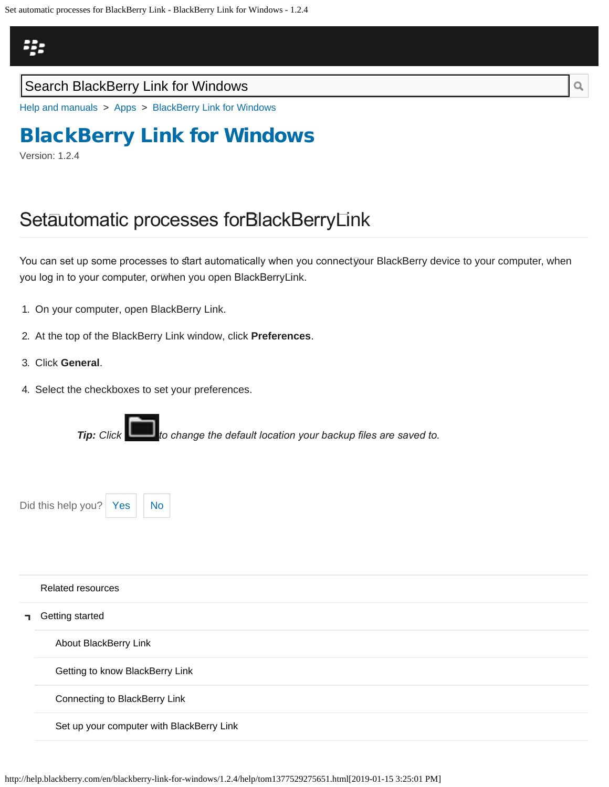<span id="page-35-0"></span>

### Search BlackBerry Link for Windows

[Help and manuals](http://help.blackberry.com/en/) > [Apps](http://help.blackberry.com/en/category/apps/) > [BlackBerry Link for Windows](http://help.blackberry.com/en/blackberry-link-for-windows/1.2.4/)

# [BlackBerry Link for Windows](http://help.blackberry.com/en/blackberry-link-for-windows/1.2.4/)

Version: 1.2.4

## Setautomatic processes forBlackBerryLink

You can set up some processes to start automatically when you connect⊽our BlackBerry device to your computer, when you log in to your computer, orѿhen you open BlackBerry⊡nk.

- 1. On your computer, open BlackBerry Link.
- 2. At the top of the BlackBerry Link window, click **Preferences**.
- 3. Click **General**.
- 4. Select the checkboxes to set your preferences.



Did this help you?  $Yes \mid No$  $Yes \mid No$  $Yes \mid No$ 

|    | <b>Related resources</b>                  |
|----|-------------------------------------------|
| п. | Getting started                           |
|    | About BlackBerry Link                     |
|    | Getting to know BlackBerry Link           |
|    | Connecting to BlackBerry Link             |
|    | Set up your computer with BlackBerry Link |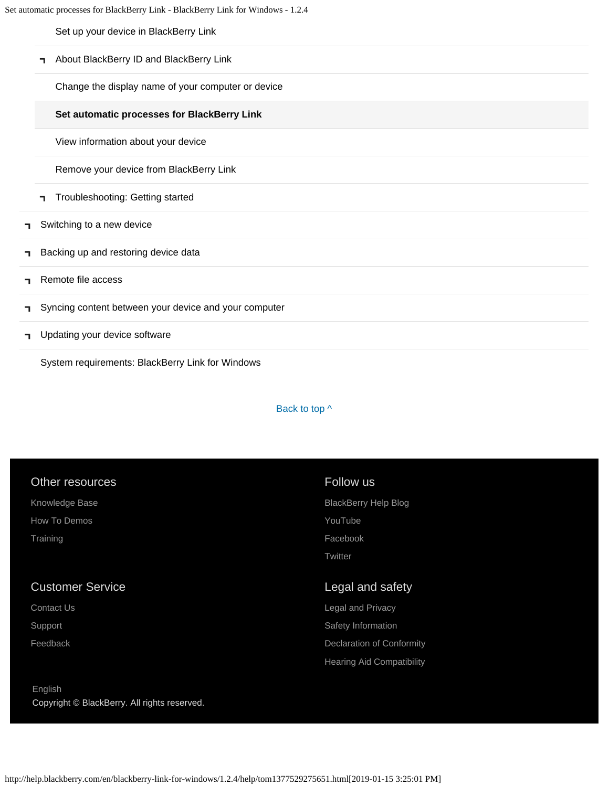[Set up your device in BlackBerry Link](#page-27-0)

[About BlackBerry ID and BlackBerry Link](#page-30-0)  $\blacksquare$ 

[Change the display name of your computer or device](#page-33-0)

### **[Set automatic processes for BlackBerry Link](#page-35-0)**

[View information about your device](#page-37-0)

[Remove your device from BlackBerry Link](#page-39-0)

- [Troubleshooting: Getting started](#page-41-0) T.
- [Switching to a new device](#page-5-0) п,
- [Backing up and restoring device data](#page-8-0) ٦
- [Remote file access](#page-10-0) п.
- [Syncing content between your device and your computer](#page-12-0) п,
- [Updating your device software](#page-14-0) п.

[System requirements: BlackBerry Link for Windows](#page-16-0)

#### Back to top  $\wedge$

| Other resources                                         | Follow us                        |
|---------------------------------------------------------|----------------------------------|
| Knowledge Base                                          | <b>BlackBerry Help Blog</b>      |
| How To Demos                                            | YouTube                          |
| Training                                                | Facebook                         |
|                                                         | Twitter                          |
| <b>Customer Service</b>                                 | Legal and safety                 |
| Contact Us                                              | <b>Legal and Privacy</b>         |
| Support                                                 | Safety Information               |
| Feedback                                                | Declaration of Conformity        |
|                                                         | <b>Hearing Aid Compatibility</b> |
| English<br>Copyright © BlackBerry. All rights reserved. |                                  |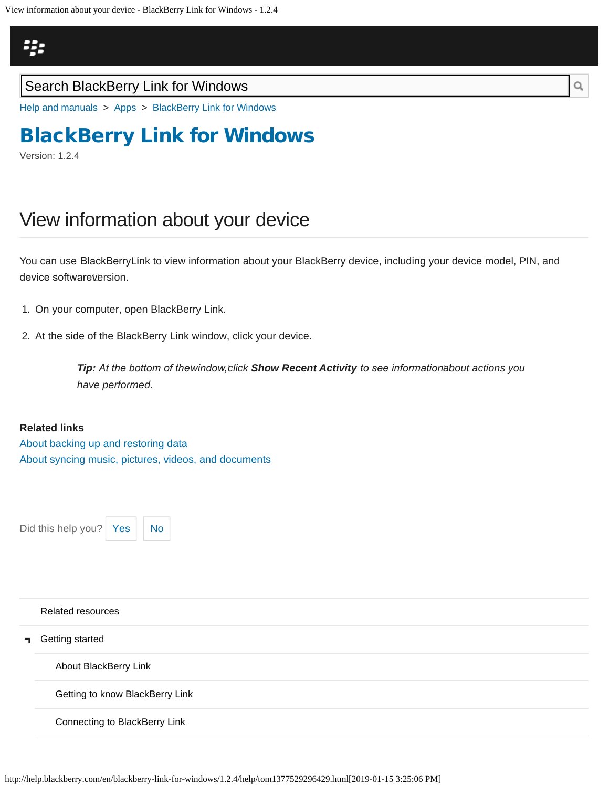<span id="page-37-0"></span>

[Help and manuals](http://help.blackberry.com/en/) > [Apps](http://help.blackberry.com/en/category/apps/) > [BlackBerry Link for Windows](http://help.blackberry.com/en/blackberry-link-for-windows/1.2.4/)

# [BlackBerry Link for Windows](http://help.blackberry.com/en/blackberry-link-for-windows/1.2.4/)

Version: 1.2.4

## View information about your device

You can use BlackBerry Link to view information about your BlackBerry device, including your device model, PIN, and device software⊽ersion.

- 1. On your computer, open BlackBerry Link.
- 2. At the side of the BlackBerry Link window, click your device.

*Tip:* At the bottom of thewindow, click Show Recent Activity to see informationabout actions you *have performed.*

#### **Related links**

[About backing up and restoring data](#page-8-0) [About syncing music, pictures, videos, and documents](#page-12-0)

Did this help you?  $Yes$   $\big|$  [No](#page-37-0)



#### [Related resources](#page-0-0)

[Getting started](#page-2-0)

[About BlackBerry Link](#page-2-0)

[Getting to know BlackBerry Link](#page-18-0)

[Connecting to BlackBerry Link](#page-21-0)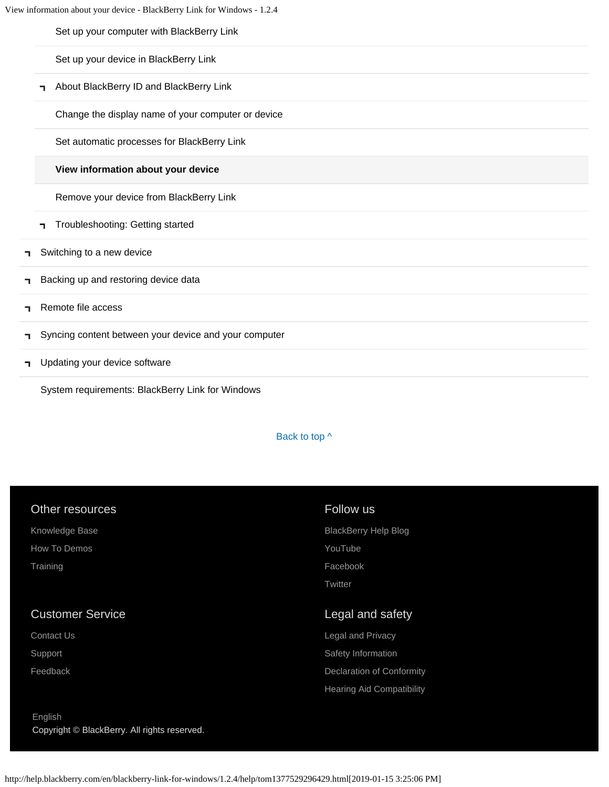[Set up your computer with BlackBerry Link](#page-24-0)

[Set up your device in BlackBerry Link](#page-27-0)

**-** [About BlackBerry ID and BlackBerry Link](#page-30-0)

[Change the display name of your computer or device](#page-33-0)

[Set automatic processes for BlackBerry Link](#page-35-0)

### **[View information about your device](#page-37-0)**

[Remove your device from BlackBerry Link](#page-39-0)

- [Troubleshooting: Getting started](#page-41-0)
- [Switching to a new device](#page-5-0) ٦
- [Backing up and restoring device data](#page-8-0) п.
- [Remote file access](#page-10-0) ٦
- [Syncing content between your device and your computer](#page-12-0) п
- [Updating your device software](#page-14-0) п.

[System requirements: BlackBerry Link for Windows](#page-16-0)

Back to top  $\wedge$ 

mity bility

| <b>Other resources</b>  | Follow us                     |
|-------------------------|-------------------------------|
| Knowledge Base          | <b>BlackBerry Help Blog</b>   |
| How To Demos            | YouTube                       |
| Training                | Facebook                      |
|                         | Twitter                       |
| <b>Customer Service</b> | Legal and safety              |
| Contact Us              | Legal and Privacy             |
| Support                 | Safety Information            |
| Feedback                | <b>Declaration of Conforr</b> |
|                         |                               |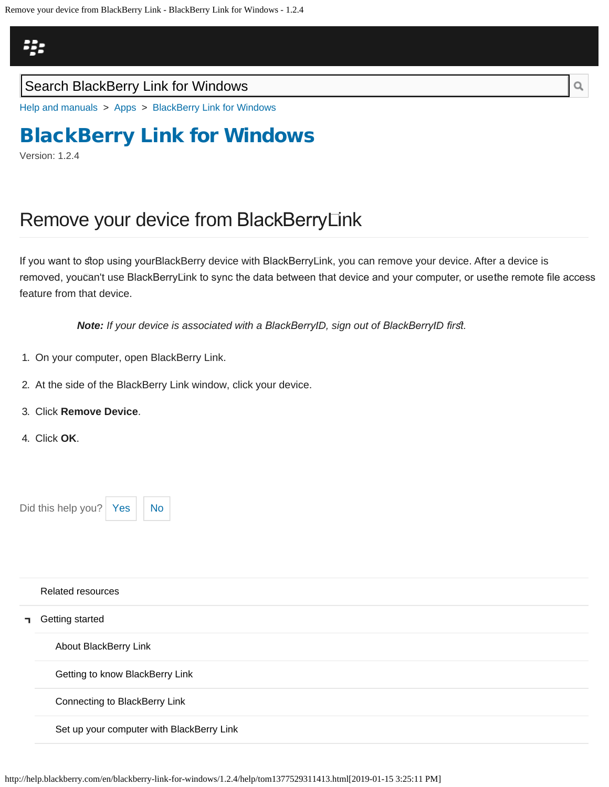<span id="page-39-0"></span>

[Help and manuals](http://help.blackberry.com/en/) > [Apps](http://help.blackberry.com/en/category/apps/) > [BlackBerry Link for Windows](http://help.blackberry.com/en/blackberry-link-for-windows/1.2.4/)

## [BlackBerry Link for Windows](http://help.blackberry.com/en/blackberry-link-for-windows/1.2.4/)

Version: 1.2.4

## Remove your device from BlackBerry Link

If you want to stop using yourBlackBerry device with BlackBerry⊡nk, you can remove your device. After a device is removed, youcan't use BlackBerryLink to sync the data between that device and your computer, or usethe remote file access feature from that device.

**Note:** If your device is associated with a BlackBerryID, sign out of BlackBerryID first.

- 1. On your computer, open BlackBerry Link.
- 2. At the side of the BlackBerry Link window, click your device.
- 3. Click **Remove Device**.
- 4. Click **OK**.



|    | Related resources                         |
|----|-------------------------------------------|
| п. | Getting started                           |
|    | About BlackBerry Link                     |
|    | Getting to know BlackBerry Link           |
|    | Connecting to BlackBerry Link             |
|    | Set up your computer with BlackBerry Link |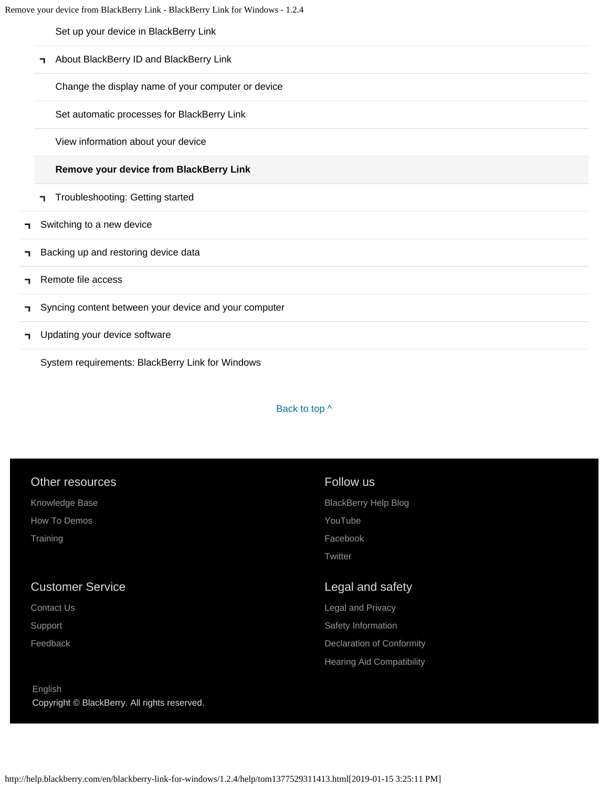[Set up your device in BlackBerry Link](#page-27-0)

[About BlackBerry ID and BlackBerry Link](#page-30-0) T,

[Change the display name of your computer or device](#page-33-0)

[Set automatic processes for BlackBerry Link](#page-35-0)

[View information about your device](#page-37-0)

### **[Remove your device from BlackBerry Link](#page-39-0)**

- [Troubleshooting: Getting started](#page-41-0) T.
- [Switching to a new device](#page-5-0) п,
- [Backing up and restoring device data](#page-8-0) ٦
- [Remote file access](#page-10-0) п.
- [Syncing content between your device and your computer](#page-12-0) п,
- [Updating your device software](#page-14-0) п.

[System requirements: BlackBerry Link for Windows](#page-16-0)

#### Back to top  $\wedge$

| Other resources                              | Follow us                        |
|----------------------------------------------|----------------------------------|
| Knowledge Base                               | <b>BlackBerry Help Blog</b>      |
| How To Demos                                 | YouTube                          |
| Training                                     | Facebook                         |
|                                              | Twitter                          |
|                                              |                                  |
| <b>Customer Service</b>                      | Legal and safety                 |
| Contact Us                                   | Legal and Privacy                |
| Support                                      | Safety Information               |
| Feedback                                     | Declaration of Conformity        |
|                                              | <b>Hearing Aid Compatibility</b> |
|                                              |                                  |
| English                                      |                                  |
| Copyright © BlackBerry. All rights reserved. |                                  |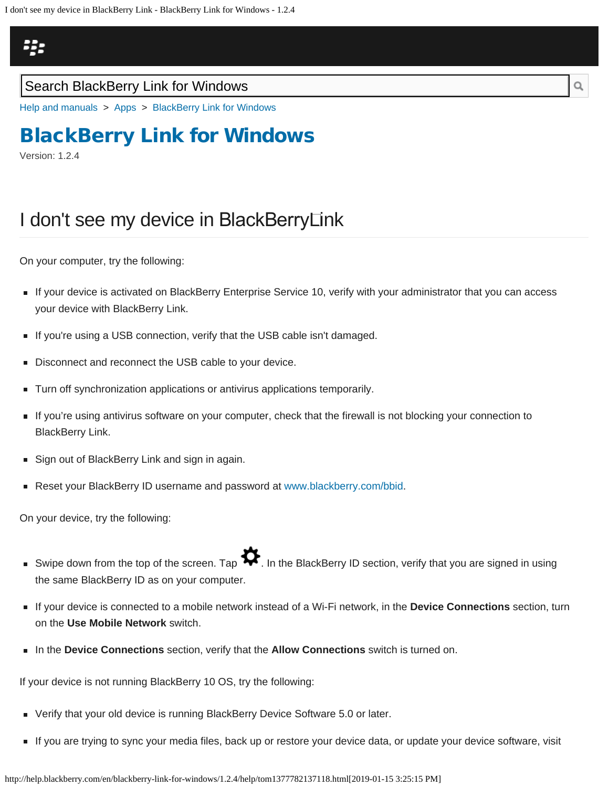<span id="page-41-0"></span>

[Help and manuals](http://help.blackberry.com/en/) > [Apps](http://help.blackberry.com/en/category/apps/) > [BlackBerry Link for Windows](http://help.blackberry.com/en/blackberry-link-for-windows/1.2.4/)

## [BlackBerry Link for Windows](http://help.blackberry.com/en/blackberry-link-for-windows/1.2.4/)

Version: 1.2.4

## I don't see my device in BlackBerry Link

On your computer, try the following:

- If your device is activated on BlackBerry Enterprise Service 10, verify with your administrator that you can access your device with BlackBerry Link.
- If you're using a USB connection, verify that the USB cable isn't damaged.
- Disconnect and reconnect the USB cable to your device.
- Turn off synchronization applications or antivirus applications temporarily.
- If you're using antivirus software on your computer, check that the firewall is not blocking your connection to BlackBerry Link.
- Sign out of BlackBerry Link and sign in again.
- Reset your BlackBerry ID username and password at [www.blackberry.com/bbid](http://www.blackberry.html/).

On your device, try the following:

- Swipe down from the top of the screen. Tap  $\blacktriangledown$ . In the BlackBerry ID section, verify that you are signed in using the same BlackBerry ID as on your computer.
- If your device is connected to a mobile network instead of a Wi-Fi network, in the **Device Connections** section, turn on the **Use Mobile Network** switch.
- In the **Device Connections** section, verify that the **Allow Connections** switch is turned on.

If your device is not running BlackBerry 10 OS, try the following:

- Verify that your old device is running BlackBerry Device Software 5.0 or later.
- If you are trying to sync your media files, back up or restore your device data, or update your device software, visit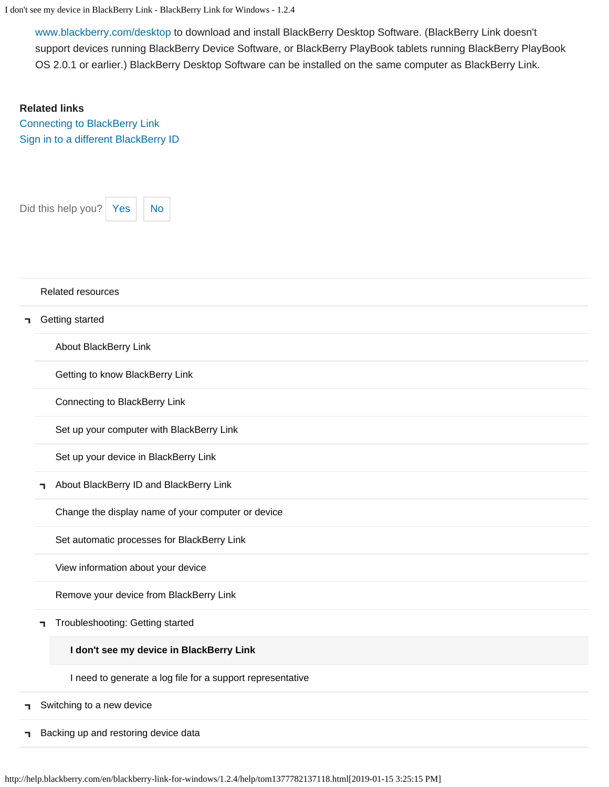I don't see my device in BlackBerry Link - BlackBerry Link for Windows - 1.2.4

[www.blackberry.com/desktop](http://www.blackberry.com/desktop) to download and install BlackBerry Desktop Software. (BlackBerry Link doesn't support devices running BlackBerry Device Software, or BlackBerry PlayBook tablets running BlackBerry PlayBook OS 2.0.1 or earlier.) BlackBerry Desktop Software can be installed on the same computer as BlackBerry Link.

### **Related links**

[Connecting to BlackBerry Link](#page-22-0) [Sign in to a different BlackBerry ID](#page-91-0)



#### [Related resources](#page-0-0)

#### **T** [Getting started](#page-2-0)

[About BlackBerry Link](#page-2-0)

[Getting to know BlackBerry Link](#page-18-0)

[Connecting to BlackBerry Link](#page-21-0)

[Set up your computer with BlackBerry Link](#page-24-0)

[Set up your device in BlackBerry Link](#page-27-0)

**T** [About BlackBerry ID and BlackBerry Link](#page-30-0)

[Change the display name of your computer or device](#page-33-0)

[Set automatic processes for BlackBerry Link](#page-35-0)

[View information about your device](#page-37-0)

[Remove your device from BlackBerry Link](#page-39-0)

[Troubleshooting: Getting started](#page-41-0)

#### **[I don't see my device in BlackBerry Link](#page-41-0)**

[I need to generate a log file for a support representative](#page-100-0)

[Switching to a new device](#page-5-0) ٦

[Backing up and restoring device data](#page-8-0)٦.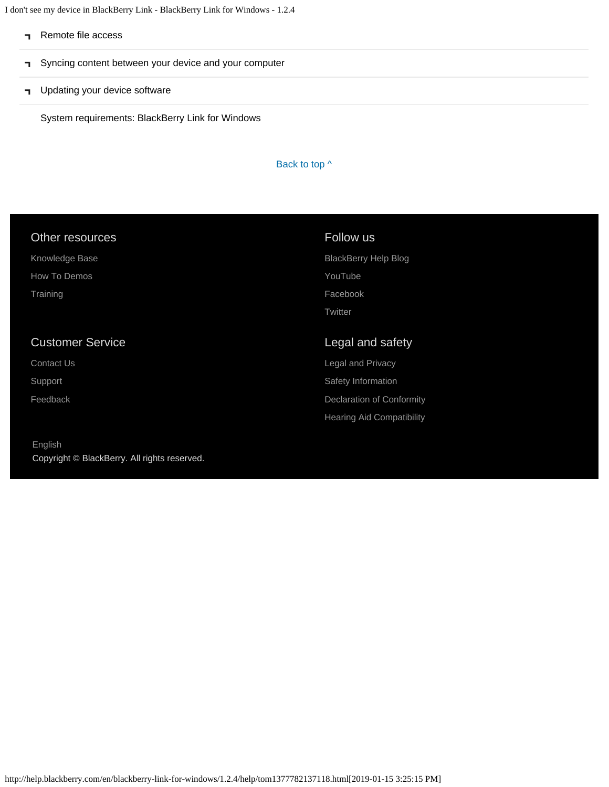I don't see my device in BlackBerry Link - BlackBerry Link for Windows - 1.2.4

- [Remote file access](#page-10-0)
- [Syncing content between your device and your computer](#page-12-0)  $\mathbf T$
- **T** [Updating your device software](#page-14-0)

[System requirements: BlackBerry Link for Windows](#page-16-0)

#### Back to top  $\wedge$

| Other resources         | Follow us                   |
|-------------------------|-----------------------------|
| Knowledge Base          | <b>BlackBerry Help Blog</b> |
| How To Demos            | YouTube                     |
| Training                | Facebook                    |
|                         | Twitter                     |
|                         |                             |
| <b>Customer Service</b> | Legal and safety            |
| <b>Contact Us</b>       | Legal and Privacy           |
| Support                 | Safety Information          |
| Feedback                | Declaration of Conformity   |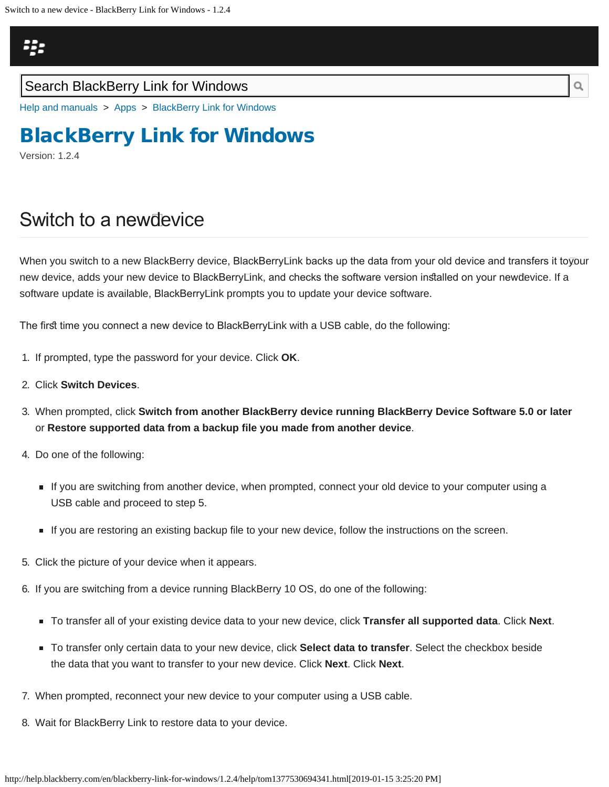## <span id="page-44-0"></span>23

### Search BlackBerry Link for Windows

[Help and manuals](http://help.blackberry.com/en/) > [Apps](http://help.blackberry.com/en/category/apps/) > [BlackBerry Link for Windows](http://help.blackberry.com/en/blackberry-link-for-windows/1.2.4/)

# [BlackBerry Link for Windows](http://help.blackberry.com/en/blackberry-link-for-windows/1.2.4/)

Version: 1.2.4

## Switch to a new device

When you switch to a new BlackBerry device, BlackBerryLink backs up the data from your old device and transfers it to⊽our new device, adds your new device to BlackBerry Link, and checks the software version insalled on your new device. If a software update is available, BlackBerry Link prompts you to update your device software.

The first time you connect a new device to BlackBerryLink with a USB cable, do the following:

- 1. If prompted, type the password for your device. Click **OK**.
- 2. Click **Switch Devices**.
- 3. When prompted, click **Switch from another BlackBerry device running BlackBerry Device Software 5.0 or later** or **Restore supported data from a backup file you made from another device**.
- 4. Do one of the following:
	- If you are switching from another device, when prompted, connect your old device to your computer using a USB cable and proceed to step 5.
	- If you are restoring an existing backup file to your new device, follow the instructions on the screen.
- 5. Click the picture of your device when it appears.
- 6. If you are switching from a device running BlackBerry 10 OS, do one of the following:
	- To transfer all of your existing device data to your new device, click **Transfer all supported data**. Click **Next**.
	- To transfer only certain data to your new device, click **Select data to transfer**. Select the checkbox beside the data that you want to transfer to your new device. Click **Next**. Click **Next**.
- 7. When prompted, reconnect your new device to your computer using a USB cable.
- 8. Wait for BlackBerry Link to restore data to your device.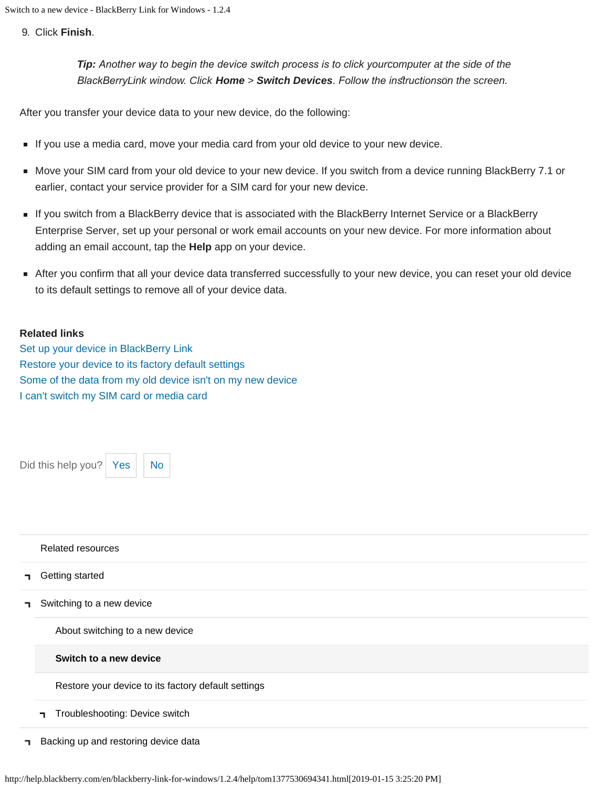9. Click **Finish**.

*Tip: Another way to begin the device switch process is to click your computer at the side of the BlackBerry Link window. Click Home > Switch Devices. Follow the insructions on the screen.*

After you transfer your device data to your new device, do the following:

- If you use a media card, move your media card from your old device to your new device.
- Move your SIM card from your old device to your new device. If you switch from a device running BlackBerry 7.1 or earlier, contact your service provider for a SIM card for your new device.
- If you switch from a BlackBerry device that is associated with the BlackBerry Internet Service or a BlackBerry Enterprise Server, set up your personal or work email accounts on your new device. For more information about adding an email account, tap the **Help** app on your device.
- After you confirm that all your device data transferred successfully to your new device, you can reset your old device to its default settings to remove all of your device data.

### **Related links**

[Set up your device in BlackBerry Link](#page-27-0) [Restore your device to its factory default settings](#page-47-0) [Some of the data from my old device isn't on my new device](#page-103-0) [I can't switch my SIM card or media card](#page-49-0)

Did this help you?  $Yes \mid No$  $Yes \mid No$  $Yes \mid No$ 



#### [Related resources](#page-0-0)

[Getting started](#page-2-0)

[Switching to a new device](#page-5-0) п.

[About switching to a new device](#page-5-0)

#### **[Switch to a new device](#page-44-0)**

[Restore your device to its factory default settings](#page-47-0)

- [Troubleshooting: Device switch](#page-49-0) п,
- **[Backing up and restoring device data](#page-8-0)**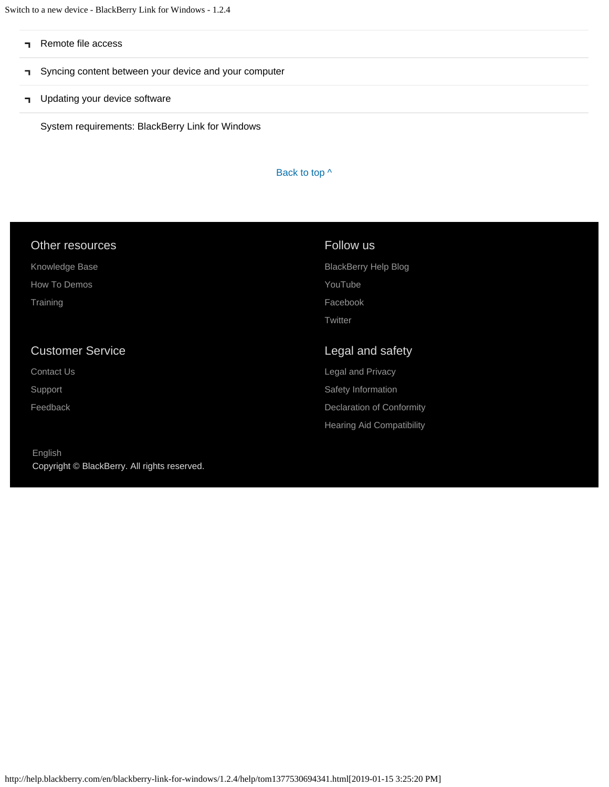Switch to a new device - BlackBerry Link for Windows - 1.2.4

- [Remote file access](#page-10-0)
- [Syncing content between your device and your computer](#page-12-0)  $\blacksquare$
- **T** [Updating your device software](#page-14-0)

[System requirements: BlackBerry Link for Windows](#page-16-0)

### Back to top  $\wedge$

| Other resources         | Follow us                   |
|-------------------------|-----------------------------|
| Knowledge Base          | <b>BlackBerry Help Blog</b> |
| How To Demos            | YouTube                     |
| Training                | Facebook                    |
|                         | Twitter                     |
|                         |                             |
| <b>Customer Service</b> | Legal and safety            |
| <b>Contact Us</b>       | Legal and Privacy           |
| Support                 | Safety Information          |
| Feedback                | Declaration of Conformity   |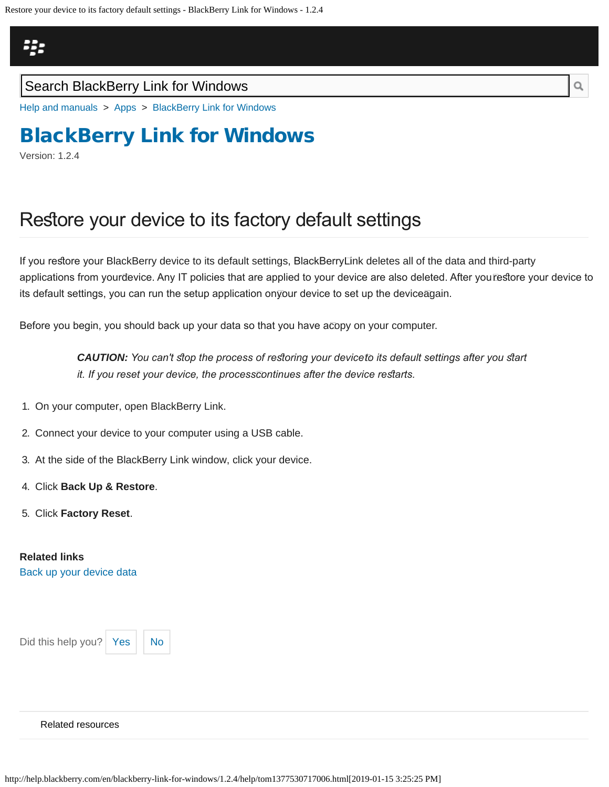## <span id="page-47-0"></span>Щ,

### Search BlackBerry Link for Windows

[Help and manuals](http://help.blackberry.com/en/) > [Apps](http://help.blackberry.com/en/category/apps/) > [BlackBerry Link for Windows](http://help.blackberry.com/en/blackberry-link-for-windows/1.2.4/)

# [BlackBerry Link for Windows](http://help.blackberry.com/en/blackberry-link-for-windows/1.2.4/)

Version: 1.2.4

## Restore your device to its factory default settings

If you restore your BlackBerry device to its default settings, BlackBerryLink deletes all of the data and third-party applications from yourđevice. Any IT policies that are applied to your device are also deleted. After yourestore your device to its default settings, you can run the setup application on your device to set up the device again.

Before you begin, you should back up your data so that you have a copy on your computer.

**CAUTION:** You can't stop the process of restoring your device to its default settings after you start *it. If you reset your device, the process continues after the device resarts.*

- 1. On your computer, open BlackBerry Link.
- 2. Connect your device to your computer using a USB cable.
- 3. At the side of the BlackBerry Link window, click your device.
- 4. Click **Back Up & Restore**.
- 5. Click **Factory Reset**.

#### **Related links**

[Back up your device data](#page-54-0)

Did this help you?  $Yes$   $\big|$  [No](#page-47-0)

#### [Related resources](#page-0-0)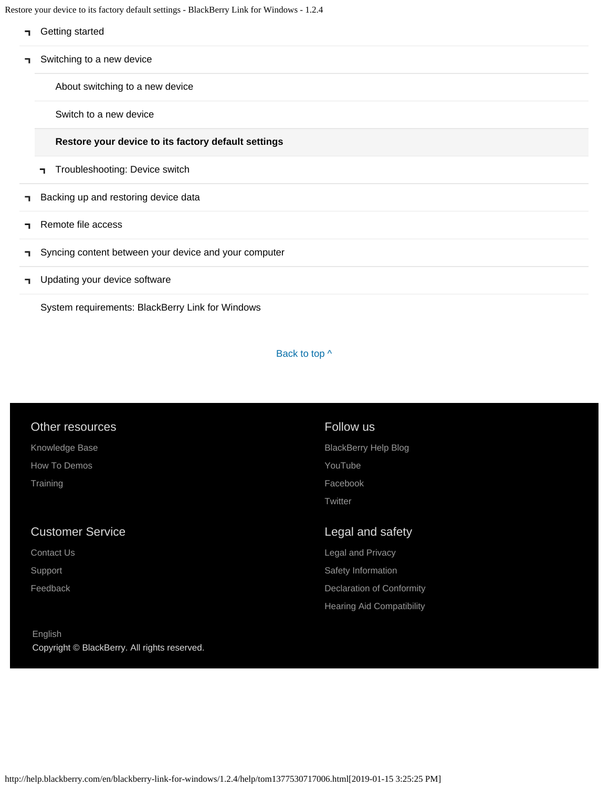Restore your device to its factory default settings - BlackBerry Link for Windows - 1.2.4

- **T** [Getting started](#page-2-0)
- [Switching to a new device](#page-5-0) ٦.

[About switching to a new device](#page-5-0)

[Switch to a new device](#page-44-0)

#### **[Restore your device to its factory default settings](#page-47-0)**

- [Troubleshooting: Device switch](#page-49-0)
- [Backing up and restoring device data](#page-8-0) F.
- [Remote file access](#page-10-0) ٦.
- [Syncing content between your device and your computer](#page-12-0) п
- [Updating your device software](#page-14-0) п.

[System requirements: BlackBerry Link for Windows](#page-16-0)

#### Back to top  $\wedge$

#### Other resources

[Knowledge Base](http://support.blackberry.com/kb) [How To Demos](http://web.blackberry.com/support/blackberry-101.html) **[Training](http://blackberry.com/training)** 

### Customer Service

[Contact Us](http://web.blackberry.com/customer-service/contact-us.html)

[Support](http://web.blackberry.com/support.html)

[Feedback](https://blackberry.icanmakeitbetter.com/?source=532c96c687167fb55f000067)

### [English](http://help.blackberry.com/en/selectLang?prev=blackberry-link-for-windows/1.2.4/help/tom1377530717006.html) Copyright © BlackBerry. All rights reserved.

### Follow us

[BlackBerry Help Blog](http://helpblog.blackberry.com/) [YouTube](https://www.youtube.com/user/blackberrysupport) [Facebook](https://facebook.com/BlackBerry) **[Twitter](https://twitter.com/blackberry)** 

### Legal and safety

[Legal and Privacy](http://blackberry.com/legal) [Safety Information](http://help.blackberry.com/en/content/sib/index.html) [Declaration of Conformity](http://help.blackberry.com/en/content/doc/index.html) [Hearing Aid Compatibility](http://help.blackberry.com/en/content/hac/index.html)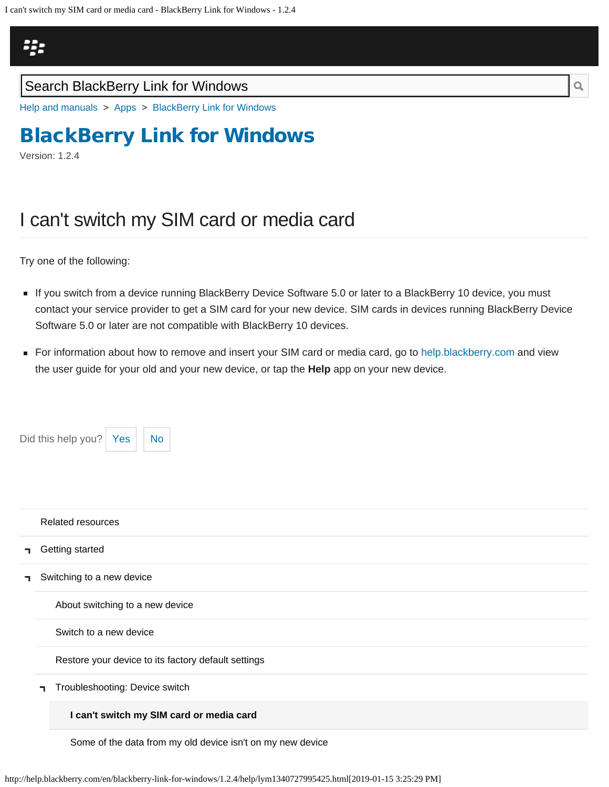<span id="page-49-0"></span>

[Help and manuals](http://help.blackberry.com/en/) > [Apps](http://help.blackberry.com/en/category/apps/) > [BlackBerry Link for Windows](http://help.blackberry.com/en/blackberry-link-for-windows/1.2.4/)

## [BlackBerry Link for Windows](http://help.blackberry.com/en/blackberry-link-for-windows/1.2.4/)

Version: 1.2.4

## I can't switch my SIM card or media card

Try one of the following:

Did this help you?  $Yes$  [No](#page-49-0)

- If you switch from a device running BlackBerry Device Software 5.0 or later to a BlackBerry 10 device, you must contact your service provider to get a SIM card for your new device. SIM cards in devices running BlackBerry Device Software 5.0 or later are not compatible with BlackBerry 10 devices.
- For information about how to remove and insert your SIM card or media card, go to [help.blackberry.com](http://help.blackberry.com/) and view the user guide for your old and your new device, or tap the **Help** app on your new device.

|    | <b>Related resources</b>                            |  |  |
|----|-----------------------------------------------------|--|--|
| п. | Getting started                                     |  |  |
| ┑  | Switching to a new device                           |  |  |
|    | About switching to a new device                     |  |  |
|    | Switch to a new device                              |  |  |
|    | Restore your device to its factory default settings |  |  |
|    | Troubleshooting: Device switch<br>п.                |  |  |
|    | I can't switch my SIM card or media card            |  |  |

[Some of the data from my old device isn't on my new device](#page-103-0)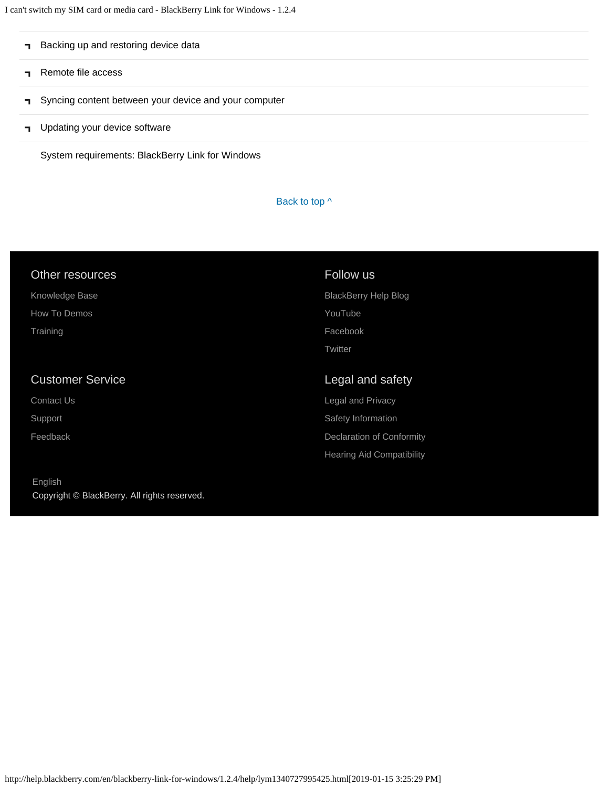I can't switch my SIM card or media card - BlackBerry Link for Windows - 1.2.4

| Backing up and restoring device data                  |
|-------------------------------------------------------|
| Remote file access                                    |
| Syncing content between your device and your computer |
| Updating your device software                         |

[System requirements: BlackBerry Link for Windows](#page-16-0)

Back to top  $\wedge$ 

| Other resources         | Follow us                        |
|-------------------------|----------------------------------|
| Knowledge Base          | <b>BlackBerry Help Blog</b>      |
| How To Demos            | YouTube                          |
| Training                | Facebook                         |
|                         | Twitter                          |
|                         |                                  |
|                         |                                  |
| <b>Customer Service</b> | Legal and safety                 |
| <b>Contact Us</b>       | <b>Legal and Privacy</b>         |
| Support                 | Safety Information               |
| Feedback                | <b>Declaration of Conformity</b> |
|                         | <b>Hearing Aid Compatibility</b> |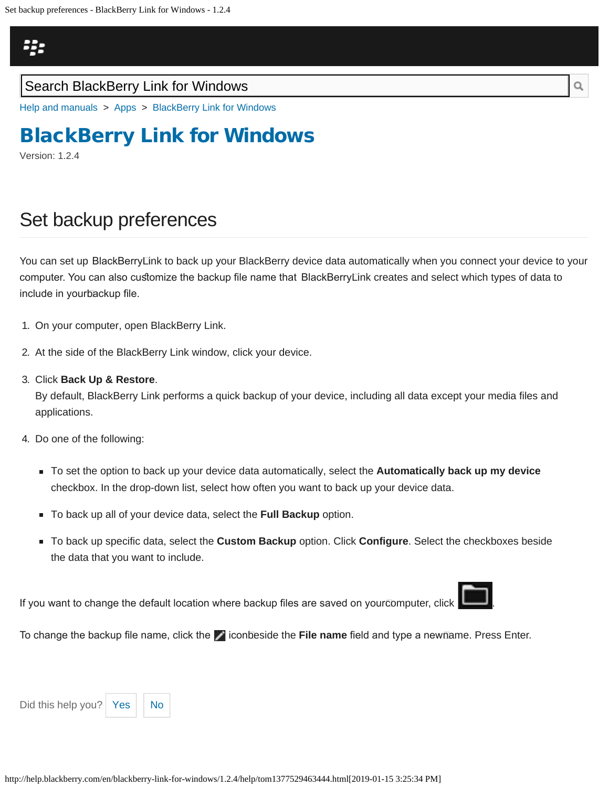<span id="page-51-0"></span>

[Help and manuals](http://help.blackberry.com/en/) > [Apps](http://help.blackberry.com/en/category/apps/) > [BlackBerry Link for Windows](http://help.blackberry.com/en/blackberry-link-for-windows/1.2.4/)

# [BlackBerry Link for Windows](http://help.blackberry.com/en/blackberry-link-for-windows/1.2.4/)

Version: 1.2.4

## Set backup preferences

You can set up BlackBerryLink to back up your BlackBerry device data automatically when you connect your device to your computer. You can also customize the backup file name that BlackBerry⊡nk creates and select which types of data to include in your backup fle.

- 1. On your computer, open BlackBerry Link.
- 2. At the side of the BlackBerry Link window, click your device.
- 3. Click **Back Up & Restore**.

By default, BlackBerry Link performs a quick backup of your device, including all data except your media files and applications.

- 4. Do one of the following:
	- To set the option to back up your device data automatically, select the **Automatically back up my device** checkbox. In the drop-down list, select how often you want to back up your device data.
	- To back up all of your device data, select the **Full Backup** option.
	- To back up specific data, select the **Custom Backup** option. Click **Configure**. Select the checkboxes beside the data that you want to include.

If you want to change the default location where backup files are saved on yourcomputer, click **New 1**.



To change the backup file name, click the **ide** iconbeside the **File name** field and type a newname. Press Enter.

Did this help you?  $Yes$   $\big|$  [No](#page-51-0)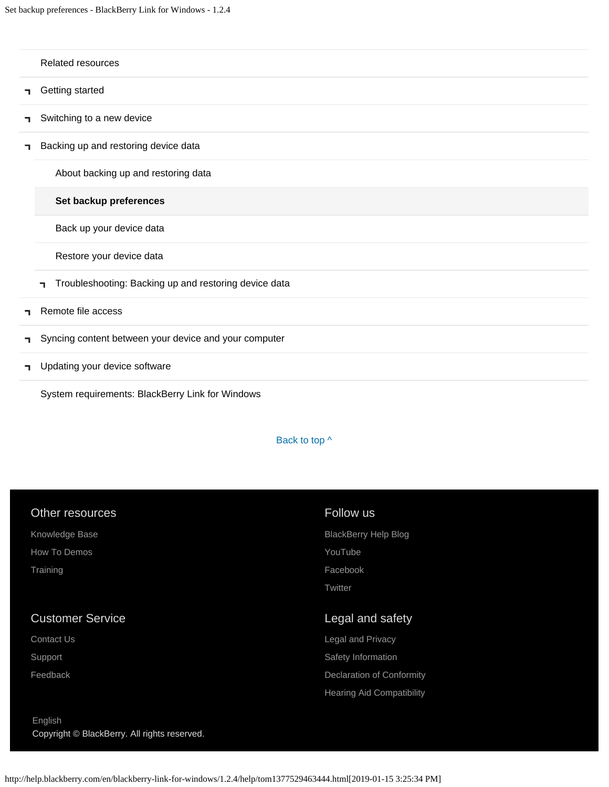|    | Related resources                                           |
|----|-------------------------------------------------------------|
| ٦  | Getting started                                             |
| ٦  | Switching to a new device                                   |
| ٦  | Backing up and restoring device data                        |
|    | About backing up and restoring data                         |
|    | Set backup preferences                                      |
|    | Back up your device data                                    |
|    | Restore your device data                                    |
|    | Troubleshooting: Backing up and restoring device data<br>п. |
| ┑  | Remote file access                                          |
| п. | Syncing content between your device and your computer       |
| ٦  | Updating your device software                               |

[System requirements: BlackBerry Link for Windows](#page-16-0)

### Back to top  $\wedge$

| Other resources         | Follow us                   |
|-------------------------|-----------------------------|
| Knowledge Base          | <b>BlackBerry Help Blog</b> |
| How To Demos            | YouTube                     |
| Training                | Facebook                    |
|                         | Twitter                     |
|                         |                             |
| <b>Customer Service</b> | Legal and safety            |
| <b>Contact Us</b>       | <b>Legal and Privacy</b>    |
| Support                 | Safety Information          |
| Feedback                | Declaration of Conformity   |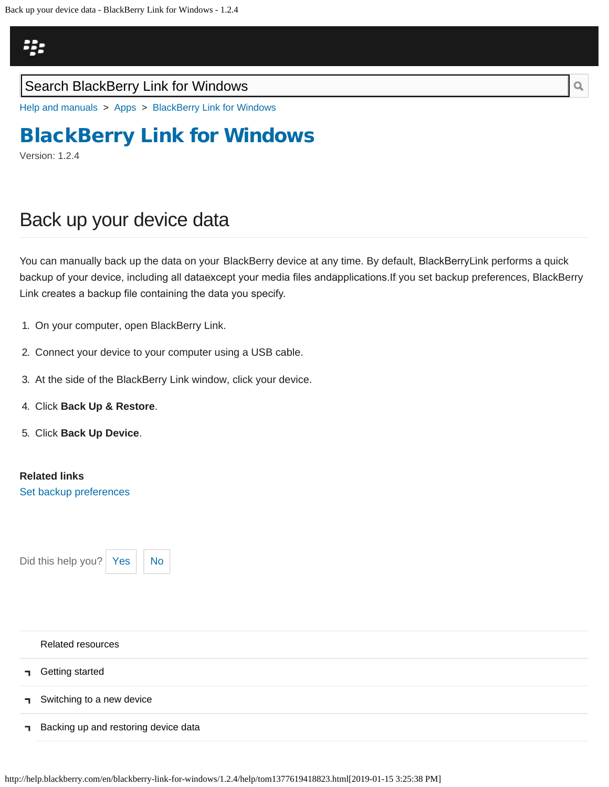<span id="page-54-0"></span>

[Help and manuals](http://help.blackberry.com/en/) > [Apps](http://help.blackberry.com/en/category/apps/) > [BlackBerry Link for Windows](http://help.blackberry.com/en/blackberry-link-for-windows/1.2.4/)

## [BlackBerry Link for Windows](http://help.blackberry.com/en/blackberry-link-for-windows/1.2.4/)

Version: 1.2.4

## Back up your device data

You can manually back up the data on your BlackBerry device at any time. By default, BlackBerry Link performs a quick backup of your device, including all dataēxcept your media files andāpplications.If you set backup preferences, BlackBerry Link creates a backup fle containing the data you specify.

- 1. On your computer, open BlackBerry Link.
- 2. Connect your device to your computer using a USB cable.
- 3. At the side of the BlackBerry Link window, click your device.
- 4. Click **Back Up & Restore**.
- 5. Click **Back Up Device**.

**Related links**

[Set backup preferences](#page-51-0)

Did this help you? | [Yes](#page-54-0)  $||$  [No](#page-54-0)

| <b>Related resources</b>             |
|--------------------------------------|
| <b>d</b> Getting started             |
| Switching to a new device            |
| Backing up and restoring device data |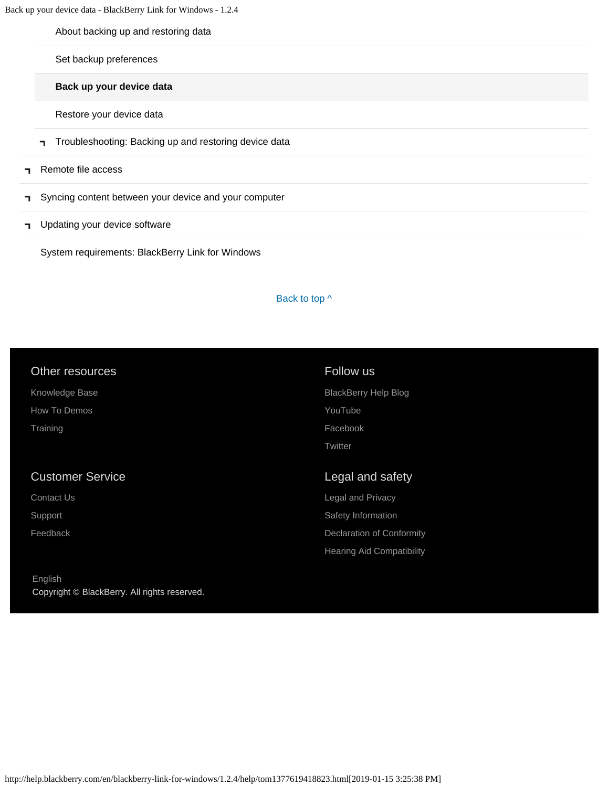Back up your device data - BlackBerry Link for Windows - 1.2.4

[About backing up and restoring data](#page-8-0)

[Set backup preferences](#page-51-0)

**[Back up your device data](#page-54-0)**

[Restore your device data](#page-56-0)

- [Troubleshooting: Backing up and restoring device data](#page-58-0)
- [Remote file access](#page-10-0) F.
- [Syncing content between your device and your computer](#page-12-0) F.
- **T** [Updating your device software](#page-14-0)

[System requirements: BlackBerry Link for Windows](#page-16-0)

#### Back to top  $\wedge$

| Other resources         | Follow us                        |
|-------------------------|----------------------------------|
| Knowledge Base          | <b>BlackBerry Help Blog</b>      |
| How To Demos            | YouTube                          |
| Training                | Facebook                         |
|                         | Twitter                          |
|                         |                                  |
| <b>Customer Service</b> | Legal and safety                 |
| <b>Contact Us</b>       | Legal and Privacy                |
| Support                 | Safety Information               |
| Feedback                | <b>Declaration of Conformity</b> |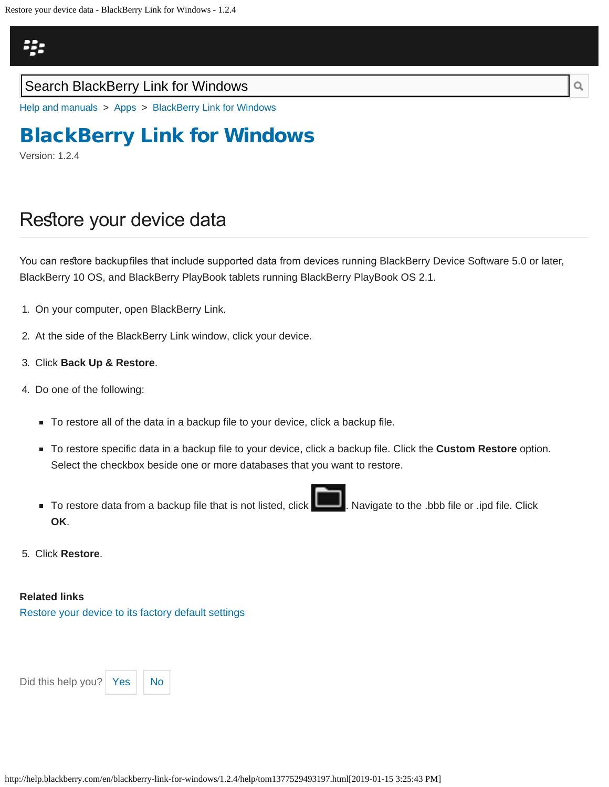<span id="page-56-0"></span>

[Help and manuals](http://help.blackberry.com/en/) > [Apps](http://help.blackberry.com/en/category/apps/) > [BlackBerry Link for Windows](http://help.blackberry.com/en/blackberry-link-for-windows/1.2.4/)

## [BlackBerry Link for Windows](http://help.blackberry.com/en/blackberry-link-for-windows/1.2.4/)

Version: 1.2.4

### Restore your device data

You can restore backupfiles that include supported data from devices running BlackBerry Device Software 5.0 or later, BlackBerry 10 OS, and BlackBerry PlayBook tablets running BlackBerry PlayBook OS 2.1.

- 1. On your computer, open BlackBerry Link.
- 2. At the side of the BlackBerry Link window, click your device.
- 3. Click **Back Up & Restore**.
- 4. Do one of the following:
	- To restore all of the data in a backup file to your device, click a backup file.
	- To restore specific data in a backup file to your device, click a backup file. Click the **Custom Restore** option. Select the checkbox beside one or more databases that you want to restore.
	- To restore data from a backup file that is not listed, click **. Navigate to the .bbb file or .ipd file.** Click **OK**.
- 5. Click **Restore**.

#### **Related links**

[Restore your device to its factory default settings](#page-47-0)

Did this help you?  $Yes$   $\big|$  [No](#page-56-0)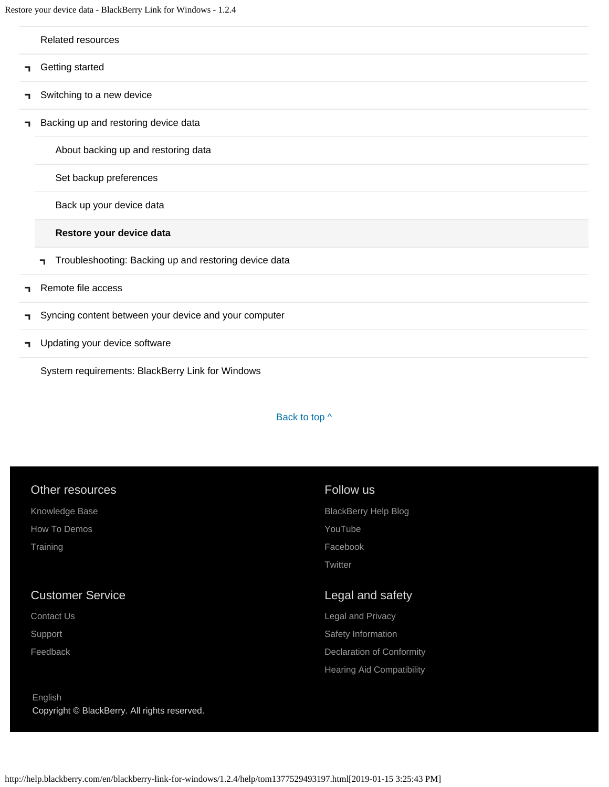Restore your device data - BlackBerry Link for Windows - 1.2.4

|    | Related resources                                           |
|----|-------------------------------------------------------------|
| п. | Getting started                                             |
| ٦  | Switching to a new device                                   |
| ٦  | Backing up and restoring device data                        |
|    | About backing up and restoring data                         |
|    | Set backup preferences                                      |
|    | Back up your device data                                    |
|    | Restore your device data                                    |
|    | Troubleshooting: Backing up and restoring device data<br>п. |
| п. | Remote file access                                          |
| п. | Syncing content between your device and your computer       |
| п. | Updating your device software                               |

[System requirements: BlackBerry Link for Windows](#page-16-0)

[English](http://help.blackberry.com/en/selectLang?prev=blackberry-link-for-windows/1.2.4/help/tom1377529493197.html)

Copyright © BlackBerry. All rights reserved.

Back to top  $\wedge$ 

| Other resources         | Follow us                        |
|-------------------------|----------------------------------|
| Knowledge Base          | <b>BlackBerry Help Blog</b>      |
| How To Demos            | YouTube                          |
| Training                | Facebook                         |
|                         | Twitter                          |
|                         |                                  |
| <b>Customer Service</b> | Legal and safety                 |
| <b>Contact Us</b>       | Legal and Privacy                |
| Support                 | Safety Information               |
| Feedback                | Declaration of Conformity        |
|                         | <b>Hearing Aid Compatibility</b> |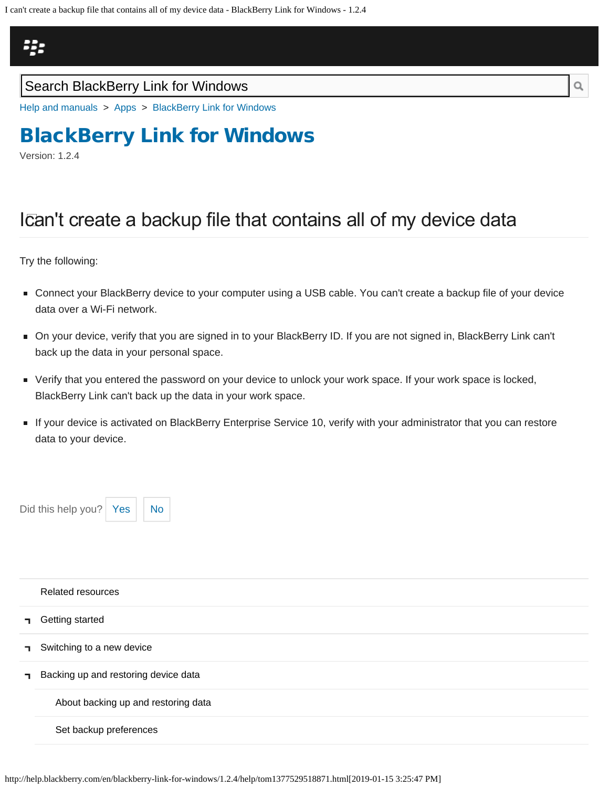<span id="page-58-0"></span>I can't create a backup file that contains all of my device data - BlackBerry Link for Windows - 1.2.4

# Щ,

### Search BlackBerry Link for Windows

[Help and manuals](http://help.blackberry.com/en/) > [Apps](http://help.blackberry.com/en/category/apps/) > [BlackBerry Link for Windows](http://help.blackberry.com/en/blackberry-link-for-windows/1.2.4/)

# [BlackBerry Link for Windows](http://help.blackberry.com/en/blackberry-link-for-windows/1.2.4/)

Version: 1.2.4

# Ican't create a backup file that contains all of my device data

Try the following:

- Connect your BlackBerry device to your computer using a USB cable. You can't create a backup file of your device data over a Wi-Fi network.
- On your device, verify that you are signed in to your BlackBerry ID. If you are not signed in, BlackBerry Link can't back up the data in your personal space.
- Verify that you entered the password on your device to unlock your work space. If your work space is locked, BlackBerry Link can't back up the data in your work space.
- If your device is activated on BlackBerry Enterprise Service 10, verify with your administrator that you can restore data to your device.



|              | Related resources                    |
|--------------|--------------------------------------|
| п.           | Getting started                      |
| п.           | Switching to a new device            |
| $\mathbf{L}$ | Backing up and restoring device data |
|              | About backing up and restoring data  |
|              | Set backup preferences               |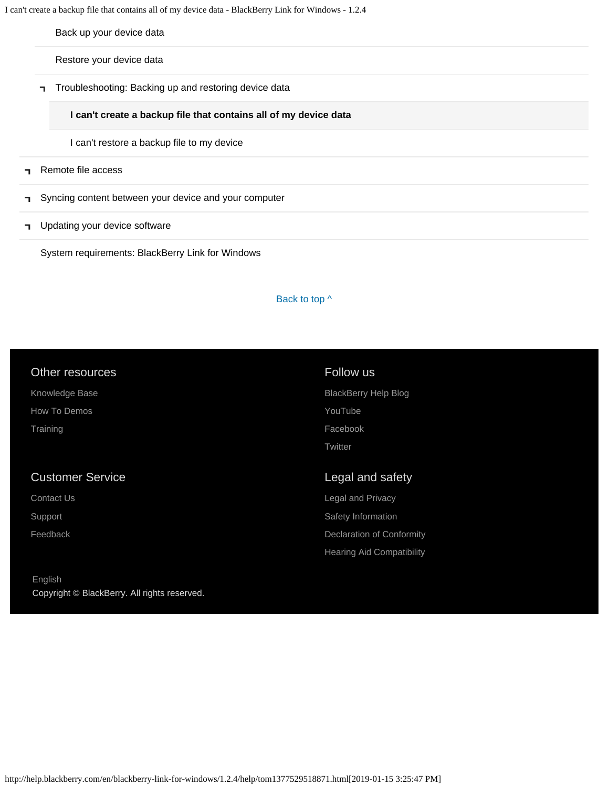I can't create a backup file that contains all of my device data - BlackBerry Link for Windows - 1.2.4

[Back up your device data](#page-54-0)

[Restore your device data](#page-56-0)

[Troubleshooting: Backing up and restoring device data](#page-58-0)

**[I can't create a backup file that contains all of my device data](#page-58-0)**

[I can't restore a backup file to my device](#page-105-0)

- [Remote file access](#page-10-0)  $\blacksquare$
- [Syncing content between your device and your computer](#page-12-0) п,
- **T** [Updating your device software](#page-14-0)

[System requirements: BlackBerry Link for Windows](#page-16-0)

Back to top  $\wedge$ 

| Other resources         | Follow us                   |
|-------------------------|-----------------------------|
| Knowledge Base          | <b>BlackBerry Help Blog</b> |
| How To Demos            | YouTube                     |
| Training                | Facebook                    |
|                         | Twitter                     |
|                         |                             |
|                         |                             |
| <b>Customer Service</b> | Legal and safety            |
| Contact Us              | <b>Legal and Privacy</b>    |
| Support                 | Safety Information          |
| Feedback                | Declaration of Conformity   |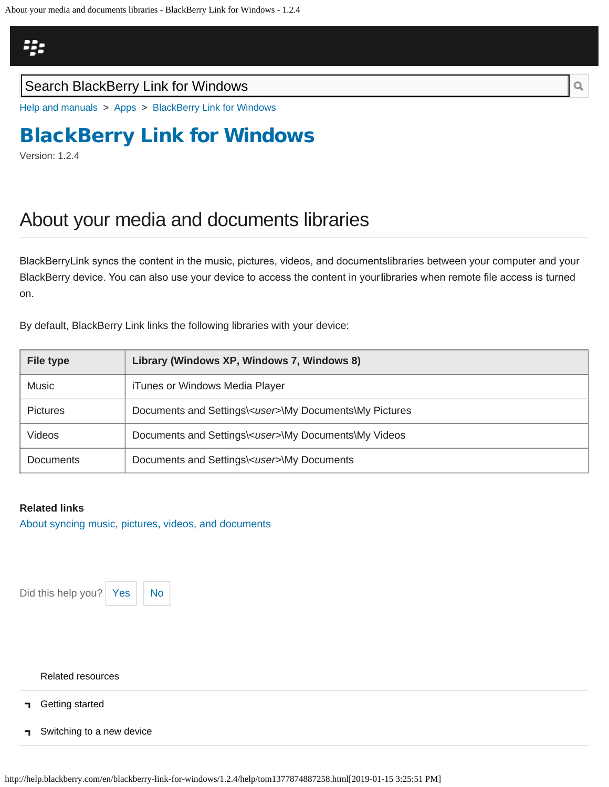<span id="page-60-0"></span>

[Help and manuals](http://help.blackberry.com/en/) > [Apps](http://help.blackberry.com/en/category/apps/) > [BlackBerry Link for Windows](http://help.blackberry.com/en/blackberry-link-for-windows/1.2.4/)

# [BlackBerry Link for Windows](http://help.blackberry.com/en/blackberry-link-for-windows/1.2.4/)

Version: 1.2.4

## About your media and documents libraries

BlackBerry Link syncs the content in the music, pictures, videos, and documents libraries between your computer and your BlackBerry device. You can also use your device to access the content in your libraries when remote fle access is turned on.

By default, BlackBerry Link links the following libraries with your device:

| <b>File type</b> | Library (Windows XP, Windows 7, Windows 8)                     |  |
|------------------|----------------------------------------------------------------|--|
| Music            | iTunes or Windows Media Player                                 |  |
| <b>Pictures</b>  | Documents and Settings\ <user>\My Documents\My Pictures</user> |  |
| Videos           | Documents and Settings\ <user>\My Documents\My Videos</user>   |  |
| <b>Documents</b> | Documents and Settings\ <user>\My Documents</user>             |  |

### **Related links**

[About syncing music, pictures, videos, and documents](#page-12-0)

Did this help you? | [Yes](#page-60-0)  $||$  [No](#page-60-0)



[Related resources](#page-0-0) [Getting started](#page-2-0) E. [Switching to a new device](#page-5-0)  $\blacksquare$ 

http://help.blackberry.com/en/blackberry-link-for-windows/1.2.4/help/tom1377874887258.html[2019-01-15 3:25:51 PM]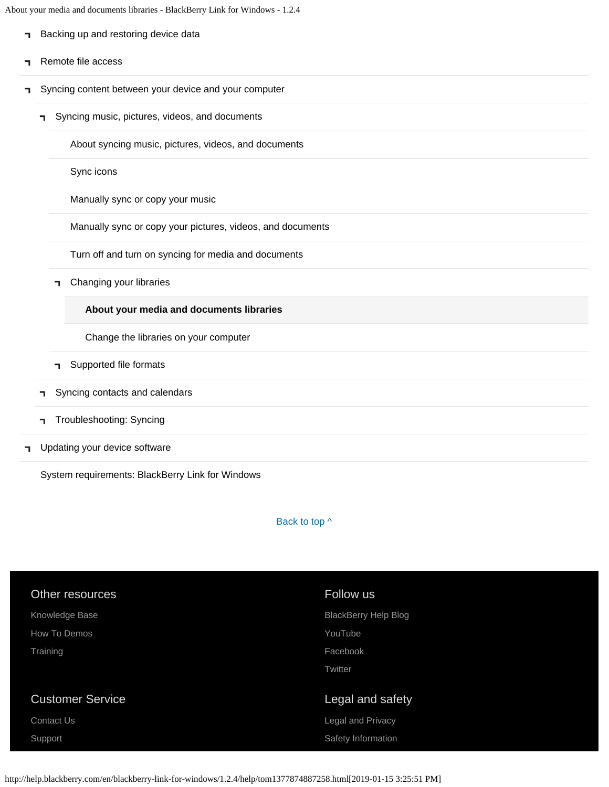About your media and documents libraries - BlackBerry Link for Windows - 1.2.4

| ٦. | Backing up and restoring device data                       |  |
|----|------------------------------------------------------------|--|
| ┑  | Remote file access                                         |  |
| ٦  | Syncing content between your device and your computer      |  |
|    | Syncing music, pictures, videos, and documents<br>٦        |  |
|    | About syncing music, pictures, videos, and documents       |  |
|    | Sync icons                                                 |  |
|    | Manually sync or copy your music                           |  |
|    | Manually sync or copy your pictures, videos, and documents |  |
|    | Turn off and turn on syncing for media and documents       |  |
|    | Changing your libraries<br>٦                               |  |
|    | About your media and documents libraries                   |  |
|    | Change the libraries on your computer                      |  |
|    | Supported file formats<br>٦                                |  |
|    | Syncing contacts and calendars                             |  |
|    | <b>Troubleshooting: Syncing</b><br>٦                       |  |
| ٦  | Updating your device software                              |  |

[System requirements: BlackBerry Link for Windows](#page-16-0)

Back to top  $\wedge$ 

| Other resources         | Follow us                   |
|-------------------------|-----------------------------|
| Knowledge Base          | <b>BlackBerry Help Blog</b> |
| How To Demos            | YouTube                     |
| Training                | Facebook                    |
|                         | Twitter                     |
|                         |                             |
| <b>Customer Service</b> | Legal and safety            |
| <b>Contact Us</b>       | Legal and Privacy           |
| Support                 | Safety Information          |
|                         |                             |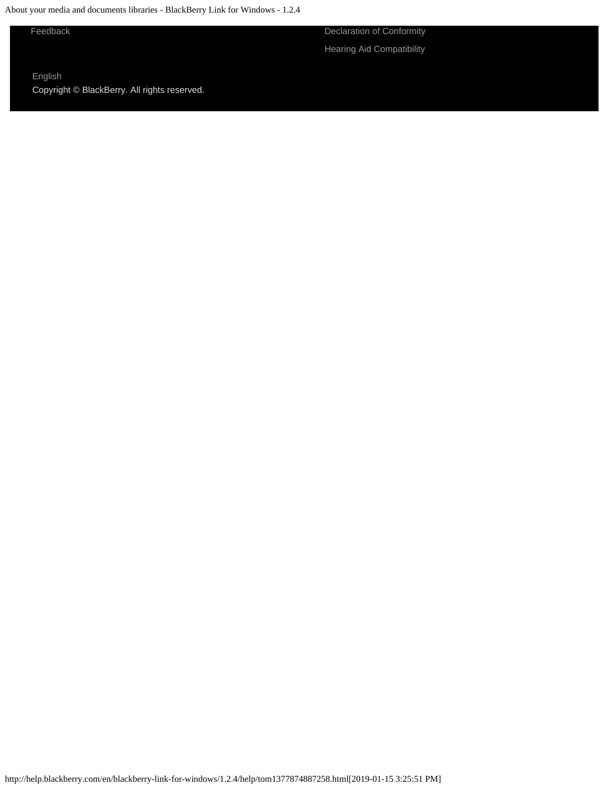About your media and documents libraries - BlackBerry Link for Windows - 1.2.4

[Feedback](https://blackberry.icanmakeitbetter.com/?source=532c96c687167fb55f000067) [Declaration of Conformity](http://help.blackberry.com/en/content/doc/index.html)

[Hearing Aid Compatibility](http://help.blackberry.com/en/content/hac/index.html)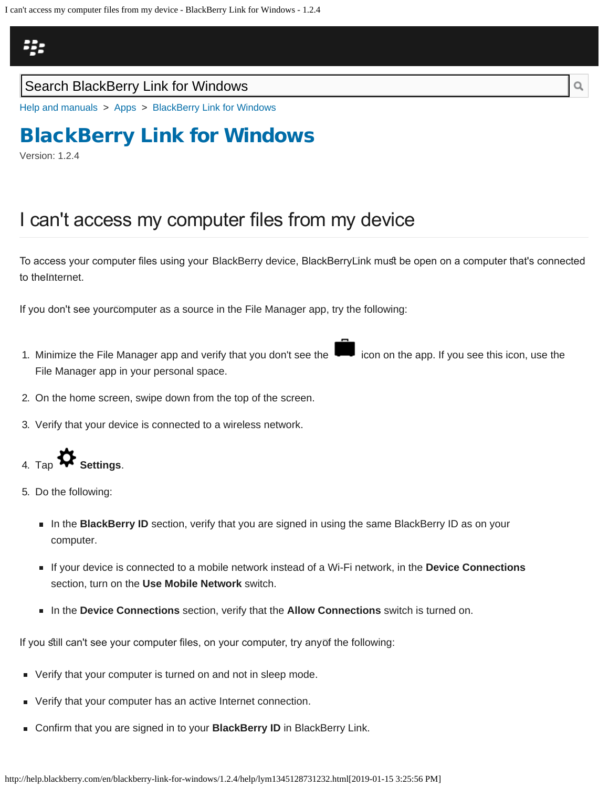<span id="page-63-0"></span>I can't access my computer files from my device - BlackBerry Link for Windows - 1.2.4



### Search BlackBerry Link for Windows

[Help and manuals](http://help.blackberry.com/en/) > [Apps](http://help.blackberry.com/en/category/apps/) > [BlackBerry Link for Windows](http://help.blackberry.com/en/blackberry-link-for-windows/1.2.4/)

# [BlackBerry Link for Windows](http://help.blackberry.com/en/blackberry-link-for-windows/1.2.4/)

Version: 1.2.4

## I can't access my computer files from my device

To access your computer fles using your BlackBerry device, BlackBerry Link mus be open on a computer that's connected to the Internet.

If you don't see yourcomputer as a source in the File Manager app, try the following:

- 1. Minimize the File Manager app and verify that you don't see the icon on the app. If you see this icon, use the File Manager app in your personal space.
- 2. On the home screen, swipe down from the top of the screen.
- 3. Verify that your device is connected to a wireless network.

4. Tap **Settings**.

- 5. Do the following:
	- In the **BlackBerry ID** section, verify that you are signed in using the same BlackBerry ID as on your computer.
	- If your device is connected to a mobile network instead of a Wi-Fi network, in the **Device Connections** section, turn on the **Use Mobile Network** switch.
	- In the **Device Connections** section, verify that the **Allow Connections** switch is turned on.

If you still can't see your computer files, on your computer, try anyof the following:

- **Verify that your computer is turned on and not in sleep mode.**
- Verify that your computer has an active Internet connection.
- Confirm that you are signed in to your **BlackBerry ID** in BlackBerry Link.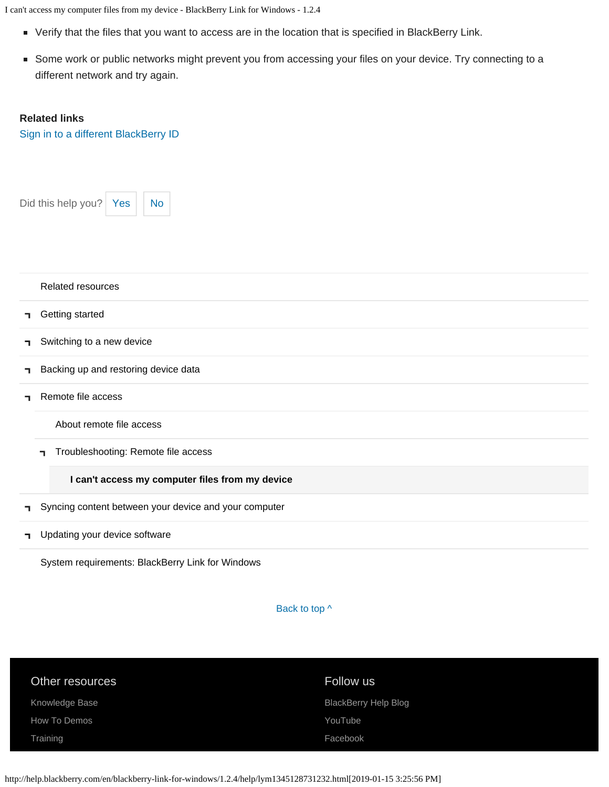I can't access my computer files from my device - BlackBerry Link for Windows - 1.2.4

- Verify that the files that you want to access are in the location that is specified in BlackBerry Link.
- Some work or public networks might prevent you from accessing your files on your device. Try connecting to a different network and try again.

#### **Related links**

[Sign in to a different BlackBerry ID](#page-91-0)



[Related resources](#page-0-0)

- [Getting started](#page-2-0) п
- [Switching to a new device](#page-5-0) ٦.
- [Backing up and restoring device data](#page-8-0) ٦.
- [Remote file access](#page-10-0) Ť.

[About remote file access](#page-10-0)

[Troubleshooting: Remote file access](#page-63-0)

**[I can't access my computer files from my device](#page-63-0)**

- [Syncing content between your device and your computer](#page-12-0) п,
- [Updating your device software](#page-14-0)  $\blacksquare$

[System requirements: BlackBerry Link for Windows](#page-16-0)

Back to top  $\wedge$ 

| Other resources | Follow us                   |
|-----------------|-----------------------------|
| Knowledge Base  | <b>BlackBerry Help Blog</b> |
| How To Demos    | YouTube                     |
| Training        | Facebook                    |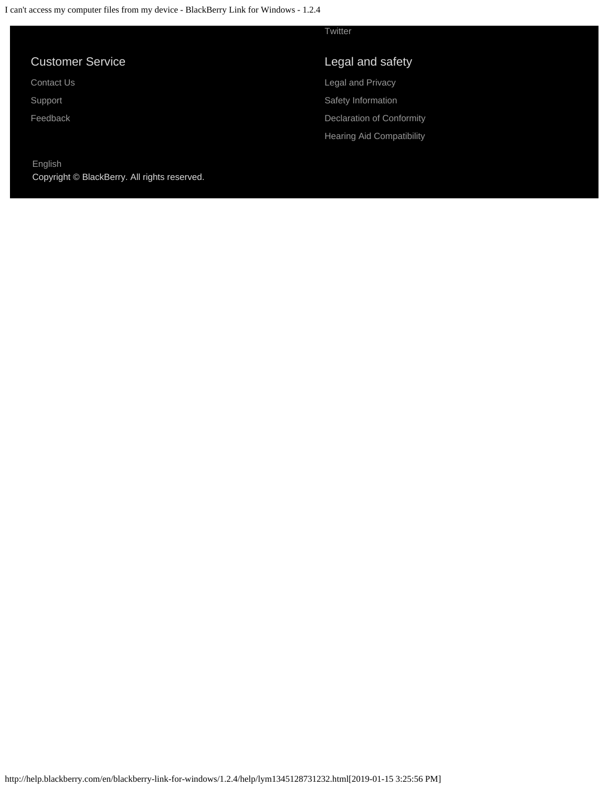|                         | Twitter                          |
|-------------------------|----------------------------------|
| <b>Customer Service</b> | Legal and safety                 |
| Contact Us              | Legal and Privacy                |
| Support                 | Safety Information               |
| Feedback                | Declaration of Conformity        |
|                         | <b>Hearing Aid Compatibility</b> |
| English                 |                                  |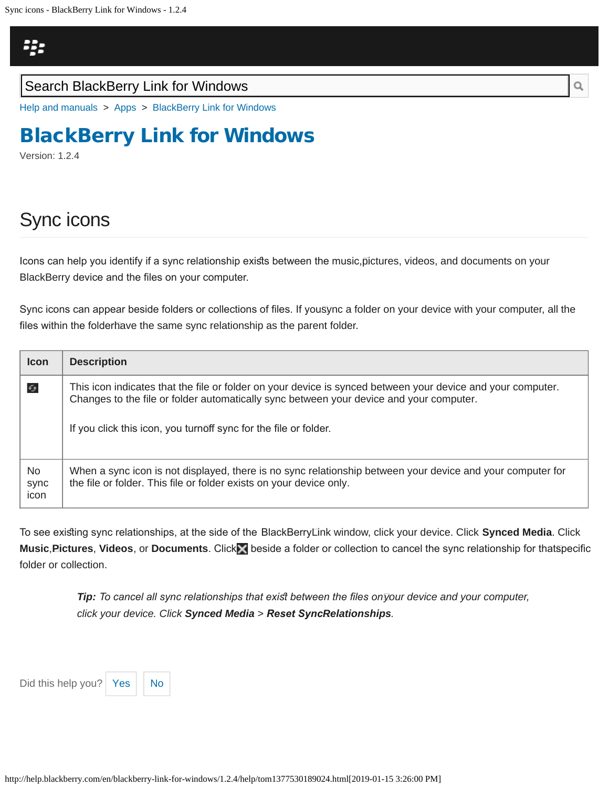<span id="page-66-0"></span>[Help and manuals](http://help.blackberry.com/en/) > [Apps](http://help.blackberry.com/en/category/apps/) > [BlackBerry Link for Windows](http://help.blackberry.com/en/blackberry-link-for-windows/1.2.4/)

# [BlackBerry Link for Windows](http://help.blackberry.com/en/blackberry-link-for-windows/1.2.4/)

Version: 1.2.4

# Sync icons

Icons can help you identify if a sync relationship exists between the music,pictures, videos, and documents on your BlackBerry device and the fles on your computer.

Sync icons can appear beside folders or collections of files. If you $\bar{\rm{s}}$ ync a folder on your device with your computer, all the files within the folderhave the same sync relationship as the parent folder.

| <b>Icon</b>         | <b>Description</b>                                                                                                                                                                                                                                                         |
|---------------------|----------------------------------------------------------------------------------------------------------------------------------------------------------------------------------------------------------------------------------------------------------------------------|
| $\epsilon$          | This icon indicates that the file or folder on your device is synced between your device and your computer.<br>Changes to the file or folder automatically sync between your device and your computer.<br>If you click this icon, you turnoff sync for the file or folder. |
| No.<br>sync<br>icon | When a sync icon is not displayed, there is no sync relationship between your device and your computer for<br>the file or folder. This file or folder exists on your device only.                                                                                          |

To see existing sync relationships, at the side of the BlackBerryLink window, click your device. Click **Synced Media**. Click **Music**, **Pictures**, **Videos**, or **Documents**. Click beside a folder or collection to cancel the sync relationship for that specifc folder or collection.

> *Tip:* To cancel all sync relationships that exist between the files on your device and your computer, *click your device. Click Synced Media > Reset Sync Relationships.*

Did this help you?  $\left| \right|$  [Yes](#page-66-0)  $\left| \right|$  [No](#page-66-0)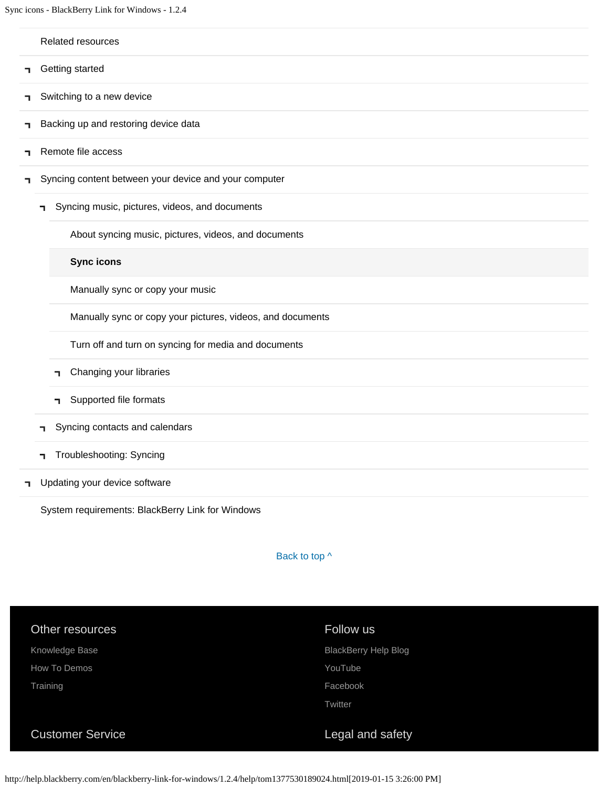Sync icons - BlackBerry Link for Windows - 1.2.4

#### [Related resources](#page-0-0)

- [Getting started](#page-2-0) п,
- ٦ [Switching to a new device](#page-5-0)
- [Backing up and restoring device data](#page-8-0) ٦
- [Remote file access](#page-10-0) E.
- [Syncing content between your device and your computer](#page-12-0) п,
	- [Syncing music, pictures, videos, and documents](#page-12-0)

[About syncing music, pictures, videos, and documents](#page-12-0)

**[Sync icons](#page-66-0)**

[Manually sync or copy your music](#page-69-0)

[Manually sync or copy your pictures, videos, and documents](#page-72-0)

[Turn off and turn on syncing for media and documents](#page-75-0)

- [Changing your libraries](#page-60-0) п.
- [Supported file formats](#page-78-0) п.
- [Syncing contacts and calendars](#page-81-0) п.

### [Troubleshooting: Syncing](#page-83-0)

[Updating your device software](#page-14-0) п.

[System requirements: BlackBerry Link for Windows](#page-16-0)

Back to top  $\wedge$ 

| Other resources         | Follow us                   |
|-------------------------|-----------------------------|
| Knowledge Base          | <b>BlackBerry Help Blog</b> |
| How To Demos            | YouTube                     |
| Training                | Facebook                    |
|                         | Twitter                     |
|                         |                             |
| <b>Customer Service</b> | Legal and safety            |

http://help.blackberry.com/en/blackberry-link-for-windows/1.2.4/help/tom1377530189024.html[2019-01-15 3:26:00 PM]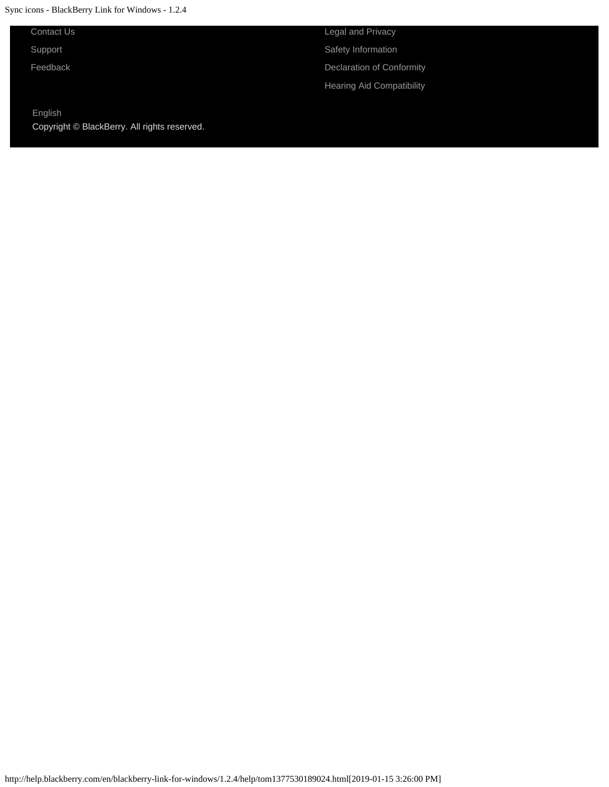Sync icons - BlackBerry Link for Windows - 1.2.4

[Contact Us](http://web.blackberry.com/customer-service/contact-us.html)

[Support](http://web.blackberry.com/support.html)

[Feedback](https://blackberry.icanmakeitbetter.com/?source=532c96c687167fb55f000067)

[English](http://help.blackberry.com/en/selectLang?prev=blackberry-link-for-windows/1.2.4/help/tom1377530189024.html) Copyright © BlackBerry. All rights reserved.

[Legal and Privacy](http://blackberry.com/legal) [Safety Information](http://help.blackberry.com/en/content/sib/index.html) [Declaration of Conformity](http://help.blackberry.com/en/content/doc/index.html) [Hearing Aid Compatibility](http://help.blackberry.com/en/content/hac/index.html)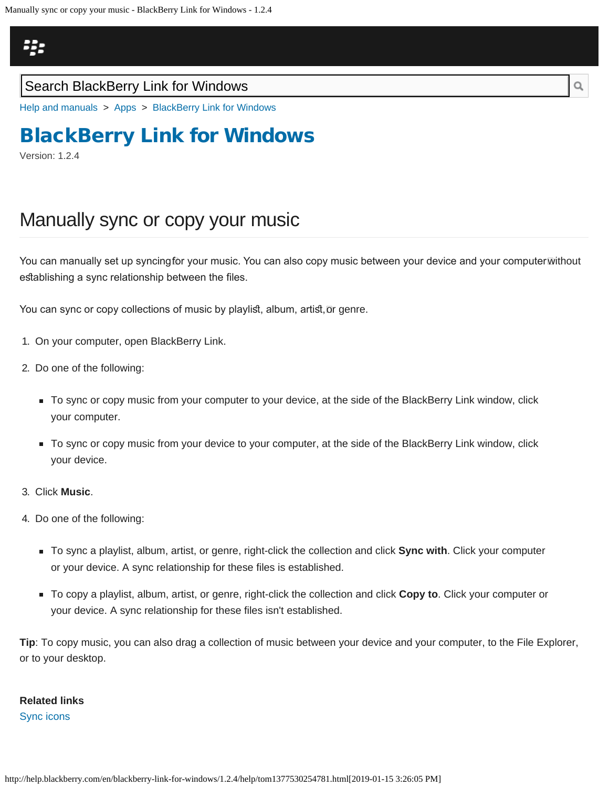## <span id="page-69-0"></span>23

### Search BlackBerry Link for Windows

[Help and manuals](http://help.blackberry.com/en/) > [Apps](http://help.blackberry.com/en/category/apps/) > [BlackBerry Link for Windows](http://help.blackberry.com/en/blackberry-link-for-windows/1.2.4/)

# [BlackBerry Link for Windows](http://help.blackberry.com/en/blackberry-link-for-windows/1.2.4/)

Version: 1.2.4

## Manually sync or copy your music

You can manually set up syncingfor your music. You can also copy music between your device and your computer™ithout establishing a sync relationship between the files.

You can sync or copy collections of music by playlist, album, artist,ōr genre.

- 1. On your computer, open BlackBerry Link.
- 2. Do one of the following:
	- To sync or copy music from your computer to your device, at the side of the BlackBerry Link window, click your computer.
	- To sync or copy music from your device to your computer, at the side of the BlackBerry Link window, click your device.
- 3. Click **Music**.
- 4. Do one of the following:
	- To sync a playlist, album, artist, or genre, right-click the collection and click **Sync with**. Click your computer or your device. A sync relationship for these files is established.
	- To copy a playlist, album, artist, or genre, right-click the collection and click **Copy to**. Click your computer or your device. A sync relationship for these files isn't established.

**Tip**: To copy music, you can also drag a collection of music between your device and your computer, to the File Explorer, or to your desktop.

### **Related links** [Sync icons](#page-66-0)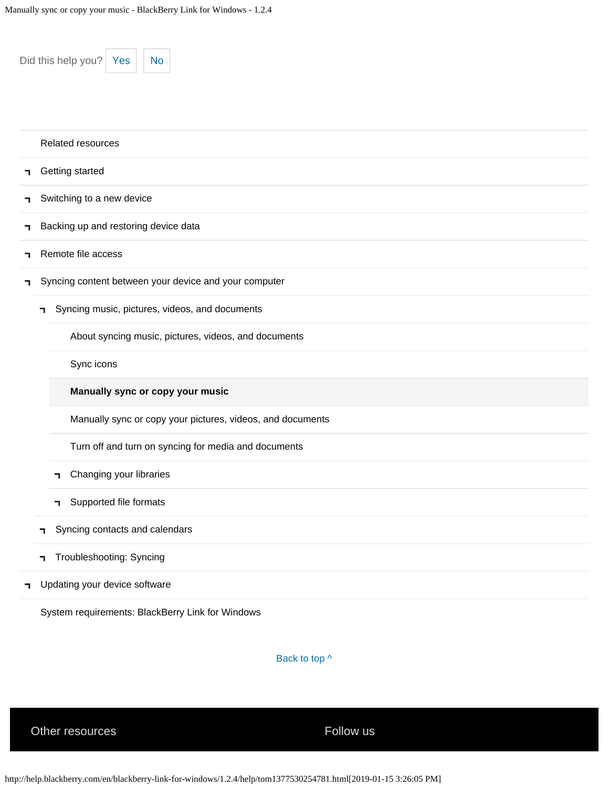|   | Did this help you?<br><b>No</b><br>Yes                     |
|---|------------------------------------------------------------|
|   | <b>Related resources</b>                                   |
| ٦ | Getting started                                            |
| ٦ | Switching to a new device                                  |
| ٦ | Backing up and restoring device data                       |
| ٦ | Remote file access                                         |
| ٦ | Syncing content between your device and your computer      |
|   | Syncing music, pictures, videos, and documents<br>٦.       |
|   | About syncing music, pictures, videos, and documents       |
|   | Sync icons                                                 |
|   | Manually sync or copy your music                           |
|   | Manually sync or copy your pictures, videos, and documents |
|   | Turn off and turn on syncing for media and documents       |
|   | Changing your libraries<br>٦                               |
|   | Supported file formats<br>п.                               |
|   | Syncing contacts and calendars<br>٦                        |
|   | Troubleshooting: Syncing<br>٦                              |
| ٦ | Updating your device software                              |
|   | System requirements: BlackBerry Link for Windows           |

Back to top  $\wedge$ 

Other resources The Communication of the Follow us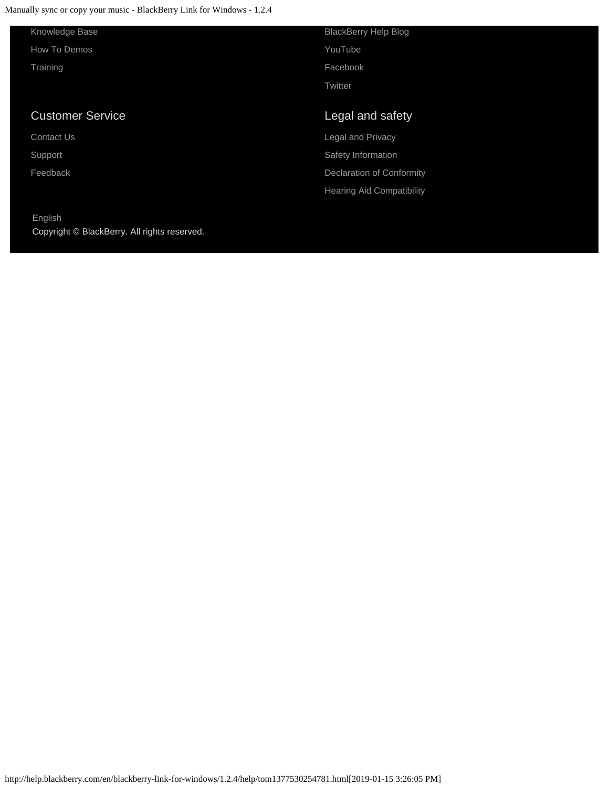Manually sync or copy your music - BlackBerry Link for Windows - 1.2.4

Copyright © BlackBerry. All rights reserved.

[English](http://help.blackberry.com/en/selectLang?prev=blackberry-link-for-windows/1.2.4/help/tom1377530254781.html)

| Knowledge Base          | <b>BlackBerry Help Blog</b>      |
|-------------------------|----------------------------------|
| How To Demos            | YouTube                          |
| Training                | Facebook                         |
|                         | Twitter                          |
|                         |                                  |
| <b>Customer Service</b> |                                  |
|                         | Legal and safety                 |
| <b>Contact Us</b>       | <b>Legal and Privacy</b>         |
| Support                 | Safety Information               |
| Feedback                | Declaration of Conformity        |
|                         | <b>Hearing Aid Compatibility</b> |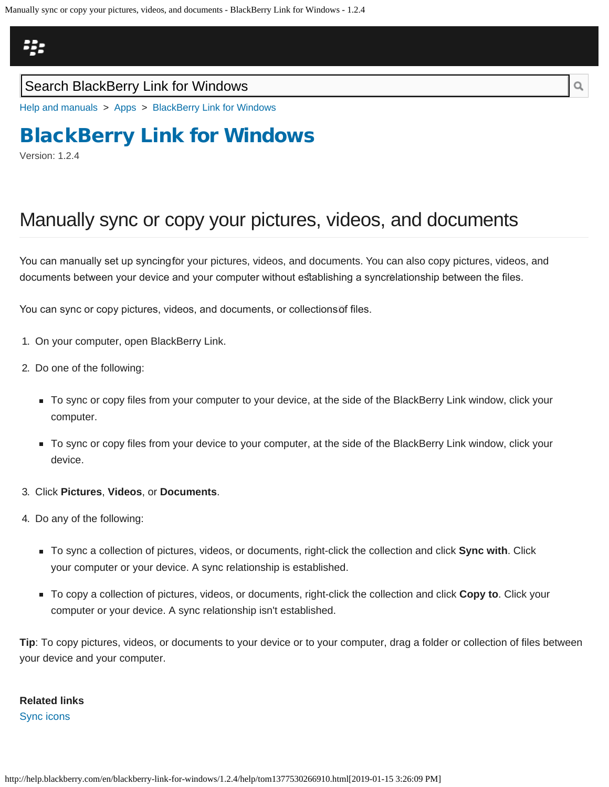<span id="page-72-0"></span>Manually sync or copy your pictures, videos, and documents - BlackBerry Link for Windows - 1.2.4

# 23

### Search BlackBerry Link for Windows

[Help and manuals](http://help.blackberry.com/en/) > [Apps](http://help.blackberry.com/en/category/apps/) > [BlackBerry Link for Windows](http://help.blackberry.com/en/blackberry-link-for-windows/1.2.4/)

# [BlackBerry Link for Windows](http://help.blackberry.com/en/blackberry-link-for-windows/1.2.4/)

Version: 1.2.4

# Manually sync or copy your pictures, videos, and documents

You can manually set up syncingfor your pictures, videos, and documents. You can also copy pictures, videos, and documents between your device and your computer without establishing a syncrelationship between the files.

You can sync or copy pictures, videos, and documents, or collections of fles.

- 1. On your computer, open BlackBerry Link.
- 2. Do one of the following:
	- To sync or copy files from your computer to your device, at the side of the BlackBerry Link window, click your computer.
	- To sync or copy files from your device to your computer, at the side of the BlackBerry Link window, click your device.
- 3. Click **Pictures**, **Videos**, or **Documents**.
- 4. Do any of the following:
	- To sync a collection of pictures, videos, or documents, right-click the collection and click **Sync with**. Click your computer or your device. A sync relationship is established.
	- To copy a collection of pictures, videos, or documents, right-click the collection and click **Copy to**. Click your computer or your device. A sync relationship isn't established.

**Tip**: To copy pictures, videos, or documents to your device or to your computer, drag a folder or collection of files between your device and your computer.

# **Related links**

[Sync icons](#page-66-0)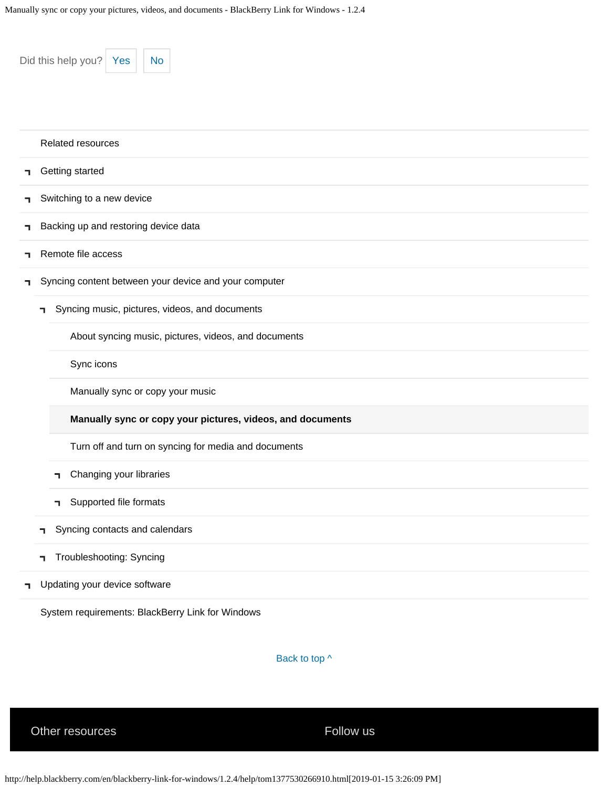| Did this help you? Yes<br><b>No</b> |                                                            |  |  |  |
|-------------------------------------|------------------------------------------------------------|--|--|--|
|                                     | Related resources                                          |  |  |  |
| ٦                                   | Getting started                                            |  |  |  |
| ٦.                                  | Switching to a new device                                  |  |  |  |
| ٦                                   | Backing up and restoring device data                       |  |  |  |
| ٦                                   | Remote file access                                         |  |  |  |
| ٦                                   | Syncing content between your device and your computer      |  |  |  |
|                                     | Syncing music, pictures, videos, and documents<br>П.       |  |  |  |
|                                     | About syncing music, pictures, videos, and documents       |  |  |  |
|                                     | Sync icons                                                 |  |  |  |
|                                     | Manually sync or copy your music                           |  |  |  |
|                                     | Manually sync or copy your pictures, videos, and documents |  |  |  |
|                                     | Turn off and turn on syncing for media and documents       |  |  |  |
|                                     | Changing your libraries<br>٦                               |  |  |  |
|                                     | Supported file formats<br>٦.                               |  |  |  |
|                                     | Syncing contacts and calendars<br>٦                        |  |  |  |
|                                     | Troubleshooting: Syncing<br>٦                              |  |  |  |
| ٦                                   | Updating your device software                              |  |  |  |
|                                     | System requirements: BlackBerry Link for Windows           |  |  |  |

Back to top  $\wedge$ 

Other resources The Communication of the Follow us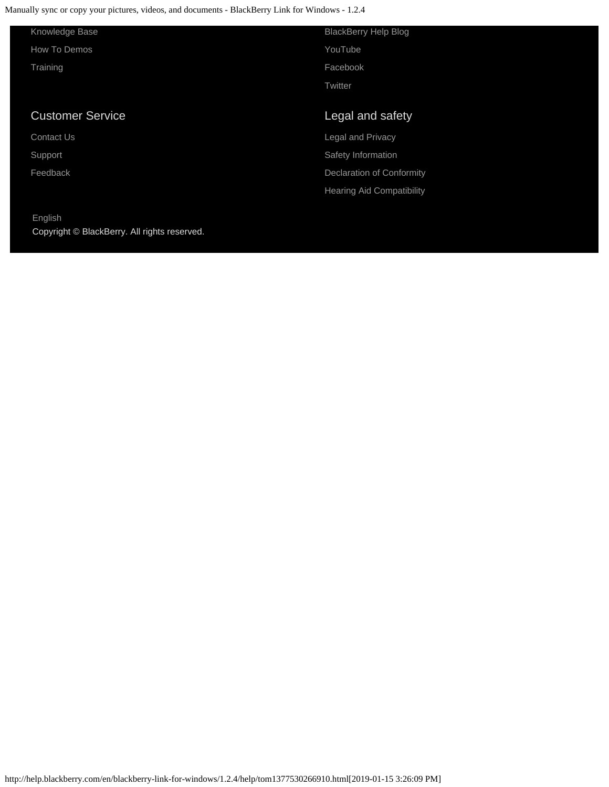Manually sync or copy your pictures, videos, and documents - BlackBerry Link for Windows - 1.2.4

| Knowledge Base          | <b>BlackBerry Help Blog</b> |
|-------------------------|-----------------------------|
| How To Demos            | YouTube                     |
| Training                | Facebook                    |
|                         | Twitter                     |
|                         |                             |
| <b>Customer Service</b> | Legal and safety            |
| <b>Contact Us</b>       | <b>Legal and Privacy</b>    |
| Support                 | Safety Information          |
|                         |                             |
| Feedback                | Declaration of Conformity   |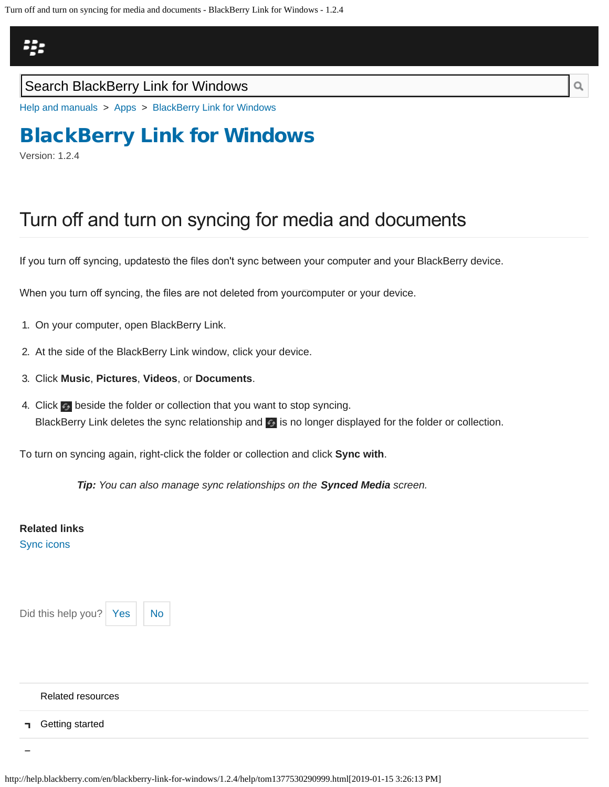<span id="page-75-0"></span>Turn off and turn on syncing for media and documents - BlackBerry Link for Windows - 1.2.4

## Щ.

### Search BlackBerry Link for Windows

[Help and manuals](http://help.blackberry.com/en/) > [Apps](http://help.blackberry.com/en/category/apps/) > [BlackBerry Link for Windows](http://help.blackberry.com/en/blackberry-link-for-windows/1.2.4/)

# [BlackBerry Link for Windows](http://help.blackberry.com/en/blackberry-link-for-windows/1.2.4/)

Version: 1.2.4

## Turn off and turn on syncing for media and documents

If you turn off syncing, updatestō the files don't sync between your computer and your BlackBerry device.

When you turn off syncing, the files are not deleted from your $\bar{c}$ omputer or your device.

- 1. On your computer, open BlackBerry Link.
- 2. At the side of the BlackBerry Link window, click your device.
- 3. Click **Music**, **Pictures**, **Videos**, or **Documents**.
- 4. Click beside the folder or collection that you want to stop syncing. BlackBerry Link deletes the sync relationship and **but all operation** displayed for the folder or collection.

To turn on syncing again, right-click the folder or collection and click **Sync with**.

*Tip: You can also manage sync relationships on the Synced Media screen.*

#### **Related links** [Sync icons](#page-66-0)

Did this help you?  $Yes \mid No$  $Yes \mid No$  $Yes \mid No$ 

#### [Related resources](#page-0-0)

[Getting started](#page-2-0) п.

http://help.blackberry.com/en/blackberry-link-for-windows/1.2.4/help/tom1377530290999.html[2019-01-15 3:26:13 PM]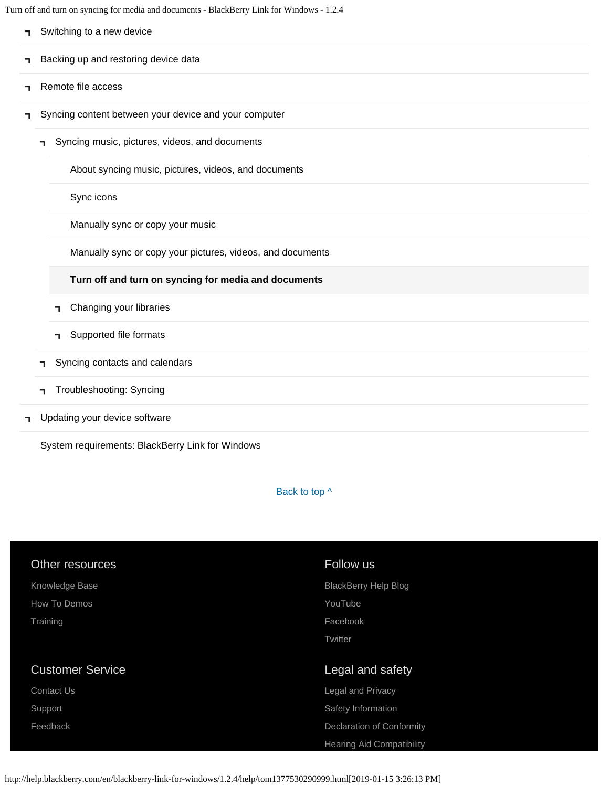Turn off and turn on syncing for media and documents - BlackBerry Link for Windows - 1.2.4

|   |    | Switching to a new device                                  |
|---|----|------------------------------------------------------------|
| ٦ |    | Backing up and restoring device data                       |
| ٦ |    | Remote file access                                         |
| ٦ |    | Syncing content between your device and your computer      |
|   | п  | Syncing music, pictures, videos, and documents             |
|   |    | About syncing music, pictures, videos, and documents       |
|   |    | Sync icons                                                 |
|   |    | Manually sync or copy your music                           |
|   |    | Manually sync or copy your pictures, videos, and documents |
|   |    | Turn off and turn on syncing for media and documents       |
|   |    | Changing your libraries<br>٦                               |
|   |    | Supported file formats<br>п.                               |
|   | ٦  | Syncing contacts and calendars                             |
|   | ٦. | Troubleshooting: Syncing                                   |
| ٦ |    | Updating your device software                              |

[System requirements: BlackBerry Link for Windows](#page-16-0)

Back to top  $\wedge$ 

| Other resources         | Follow us                   |
|-------------------------|-----------------------------|
| Knowledge Base          | <b>BlackBerry Help Blog</b> |
| How To Demos            | YouTube                     |
| Training                | Facebook                    |
|                         | Twitter                     |
|                         |                             |
| <b>Customer Service</b> | Legal and safety            |
| Contact Us              | Legal and Privacy           |
|                         |                             |
| Support                 | Safety Information          |
| Feedback                | Declaration of Conformity   |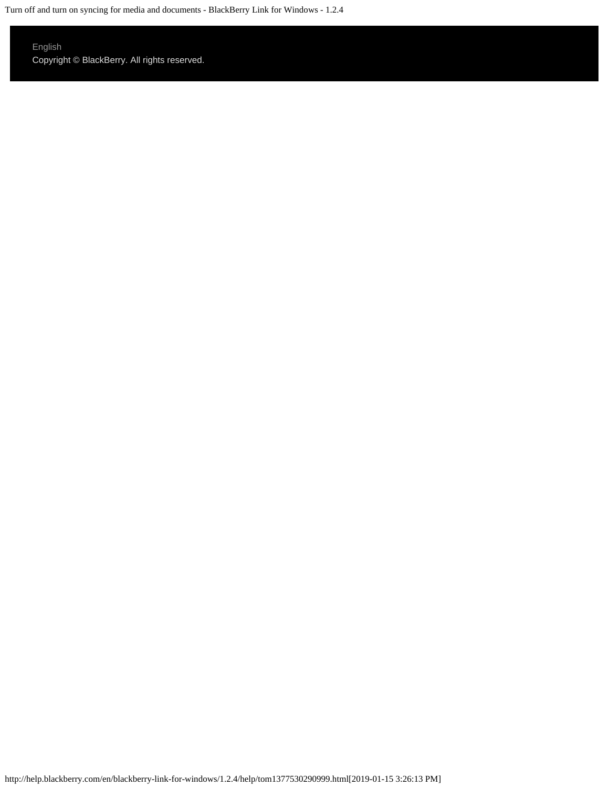Turn off and turn on syncing for media and documents - BlackBerry Link for Windows - 1.2.4

### [English](http://help.blackberry.com/en/selectLang?prev=blackberry-link-for-windows/1.2.4/help/tom1377530290999.html)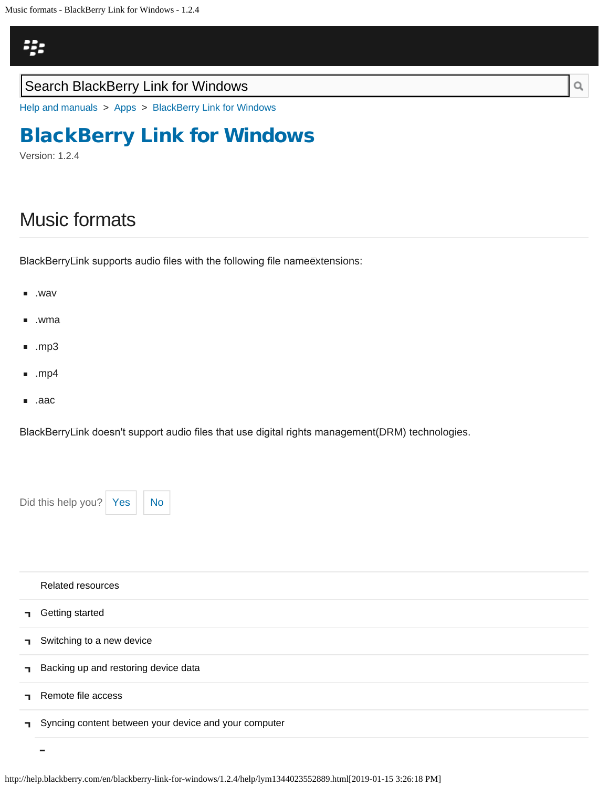<span id="page-78-0"></span>Music formats - BlackBerry Link for Windows - 1.2.4



### Search BlackBerry Link for Windows

[Help and manuals](http://help.blackberry.com/en/) > [Apps](http://help.blackberry.com/en/category/apps/) > [BlackBerry Link for Windows](http://help.blackberry.com/en/blackberry-link-for-windows/1.2.4/)

## [BlackBerry Link for Windows](http://help.blackberry.com/en/blackberry-link-for-windows/1.2.4/)

Version: 1.2.4

# Music formats

BlackBerryLink supports audio files with the following file name@xtensions:

- .wav
- .wma
- $\blacksquare$ .mp3
- .mp4
- .aac п.

BlackBerry Link doesn't support audio fles that use digital rights management (DRM) technologies.

Did this help you?  $Yes$  [No](#page-78-0)

|              | <b>Related resources</b>                              |
|--------------|-------------------------------------------------------|
| $\mathbf{I}$ | Getting started                                       |
|              | Switching to a new device                             |
|              | Backing up and restoring device data                  |
|              | Remote file access                                    |
|              | Syncing content between your device and your computer |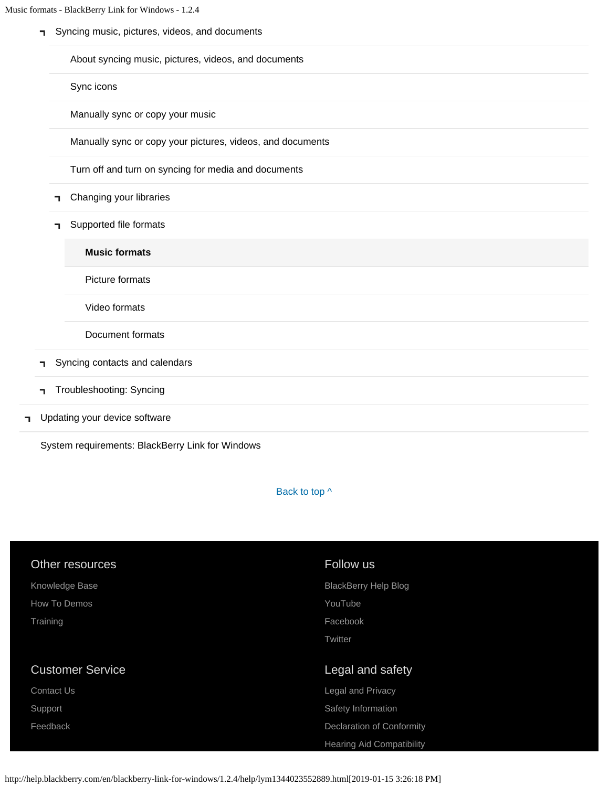[Syncing music, pictures, videos, and documents](#page-12-0)

[About syncing music, pictures, videos, and documents](#page-12-0)

[Sync icons](#page-66-0)

[Manually sync or copy your music](#page-69-0)

[Manually sync or copy your pictures, videos, and documents](#page-72-0)

[Turn off and turn on syncing for media and documents](#page-75-0)

- [Changing your libraries](#page-60-0) Т.
- [Supported file formats](#page-78-0) T.

**[Music formats](#page-78-0)**

[Picture formats](#page-107-0)

[Video formats](#page-110-0)

[Document formats](#page-113-0)

- [Syncing contacts and calendars](#page-81-0)  $\mathbf{L}$
- [Troubleshooting: Syncing](#page-83-0) п.
- [Updating your device software](#page-14-0) ٦

[System requirements: BlackBerry Link for Windows](#page-16-0)

Back to top  $\wedge$ 

| Other resources         | Follow us                        |
|-------------------------|----------------------------------|
| Knowledge Base          | <b>BlackBerry Help Blog</b>      |
| How To Demos            | YouTube                          |
| Training                | Facebook                         |
|                         | Twitter                          |
|                         |                                  |
| <b>Customer Service</b> | Legal and safety                 |
| <b>Contact Us</b>       | Legal and Privacy                |
| Support                 | Safety Information               |
|                         |                                  |
| Feedback                | <b>Declaration of Conformity</b> |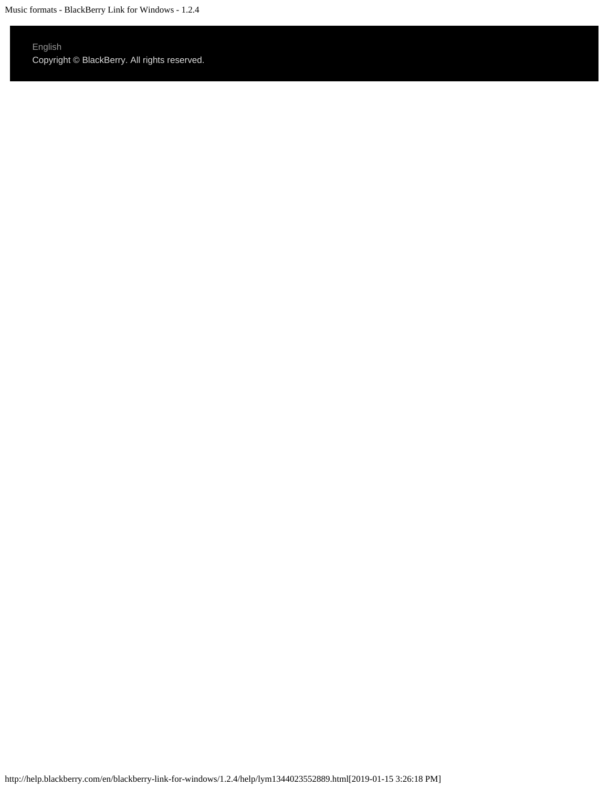Music formats - BlackBerry Link for Windows - 1.2.4

### [English](http://help.blackberry.com/en/selectLang?prev=blackberry-link-for-windows/1.2.4/help/lym1344023552889.html)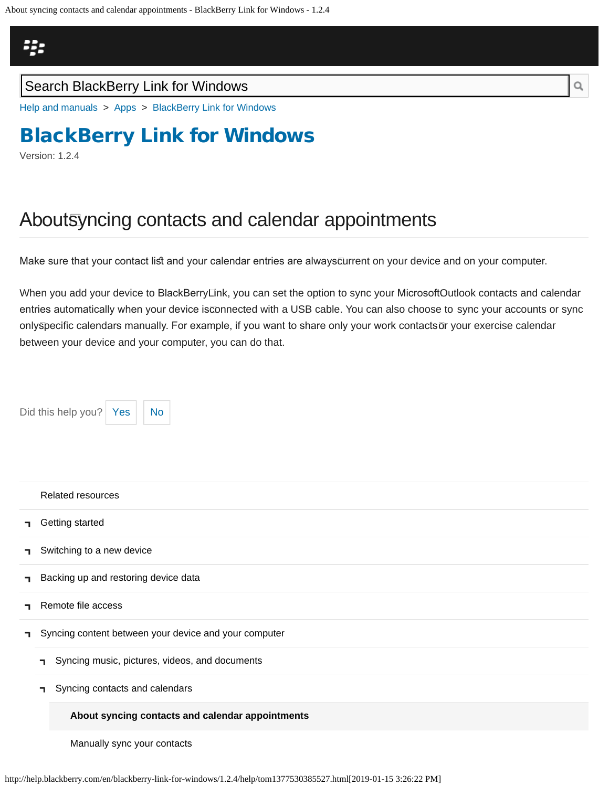<span id="page-81-0"></span>

### Search BlackBerry Link for Windows

[Help and manuals](http://help.blackberry.com/en/) > [Apps](http://help.blackberry.com/en/category/apps/) > [BlackBerry Link for Windows](http://help.blackberry.com/en/blackberry-link-for-windows/1.2.4/)

# [BlackBerry Link for Windows](http://help.blackberry.com/en/blackberry-link-for-windows/1.2.4/)

Version: 1.2.4

## About syncing contacts and calendar appointments

Make sure that your contact list and your calendar entries are always $\bar{c}$ urrent on your device and on your computer.

When you add your device to BlackBerryLink, you can set the option to sync your MicrosoftOutlook contacts and calendar entries automatically when your device isconnected with a USB cable. You can also choose to sync your accounts or sync onlyspecific calendars manually. For example, if you want to share only your work contactsōr your exercise calendar between your device and your computer, you can do that.

Did this help you?  $Yes$   $\big|$  [No](#page-81-0)



[Manually sync your contacts](#page-116-0)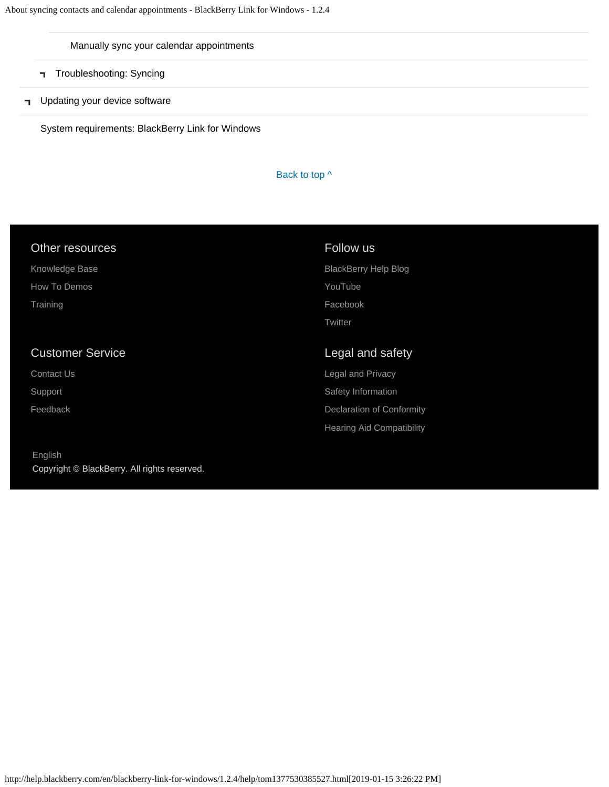#### [Manually sync your calendar appointments](#page-118-0)

- [Troubleshooting: Syncing](#page-83-0)
- **T** [Updating your device software](#page-14-0)

[System requirements: BlackBerry Link for Windows](#page-16-0)

#### Back to top  $\wedge$

| Other resources         | Follow us                   |
|-------------------------|-----------------------------|
| Knowledge Base          | <b>BlackBerry Help Blog</b> |
| How To Demos            | YouTube                     |
| Training                | Facebook                    |
|                         | Twitter                     |
|                         |                             |
| <b>Customer Service</b> | Legal and safety            |
| <b>Contact Us</b>       | <b>Legal and Privacy</b>    |
| Support                 | Safety Information          |
| Feedback                | Declaration of Conformity   |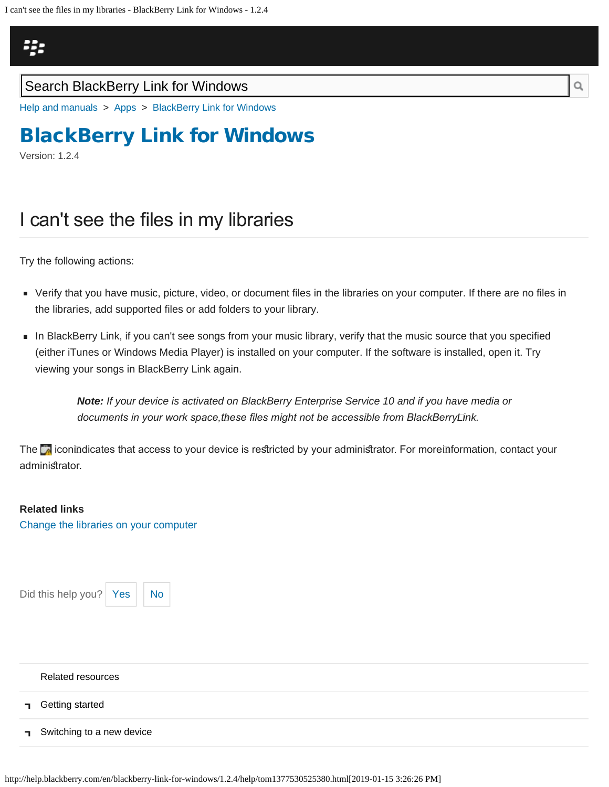# <span id="page-83-0"></span>Щ.

### Search BlackBerry Link for Windows

[Help and manuals](http://help.blackberry.com/en/) > [Apps](http://help.blackberry.com/en/category/apps/) > [BlackBerry Link for Windows](http://help.blackberry.com/en/blackberry-link-for-windows/1.2.4/)

# [BlackBerry Link for Windows](http://help.blackberry.com/en/blackberry-link-for-windows/1.2.4/)

Version: 1.2.4

## I can't see the files in my libraries

Try the following actions:

- Verify that you have music, picture, video, or document files in the libraries on your computer. If there are no files in the libraries, add supported files or add folders to your library.
- In BlackBerry Link, if you can't see songs from your music library, verify that the music source that you specified (either iTunes or Windows Media Player) is installed on your computer. If the software is installed, open it. Try viewing your songs in BlackBerry Link again.

*Note: If your device is activated on BlackBerry Enterprise Service 10 and if you have media or documents in your work space, these fles might not be accessible from BlackBerry Link.*

The  $\bar{\bullet}$  iconindicates that access to your device is restricted by your administrator. For moreinformation, contact your administrator.

# **Related links**

[Change the libraries on your computer](#page-88-0)

Did this help you?  $Yes$   $\big|$  [No](#page-83-0)



[Related resources](#page-0-0)

- [Getting started](#page-2-0) ٦
- [Switching to a new device](#page-5-0) п.

http://help.blackberry.com/en/blackberry-link-for-windows/1.2.4/help/tom1377530525380.html[2019-01-15 3:26:26 PM]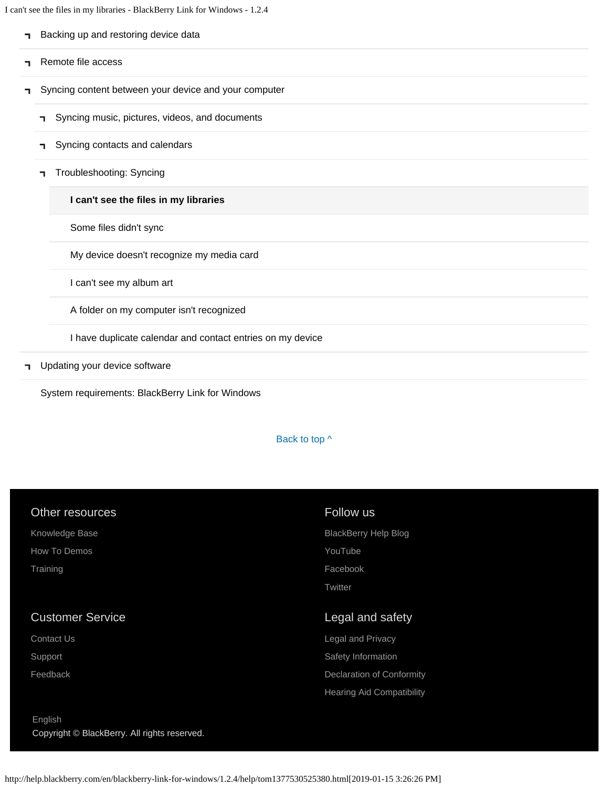I can't see the files in my libraries - BlackBerry Link for Windows - 1.2.4

| ٦. | Backing up and restoring device data                       |  |  |
|----|------------------------------------------------------------|--|--|
|    | Remote file access                                         |  |  |
| п. | Syncing content between your device and your computer      |  |  |
|    | Syncing music, pictures, videos, and documents             |  |  |
|    | Syncing contacts and calendars<br>п.                       |  |  |
|    | Troubleshooting: Syncing<br>п.                             |  |  |
|    | I can't see the files in my libraries                      |  |  |
|    | Some files didn't sync                                     |  |  |
|    | My device doesn't recognize my media card                  |  |  |
|    | I can't see my album art                                   |  |  |
|    | A folder on my computer isn't recognized                   |  |  |
|    | I have duplicate calendar and contact entries on my device |  |  |
|    |                                                            |  |  |

**T** [Updating your device software](#page-14-0)

[System requirements: BlackBerry Link for Windows](#page-16-0)

#### Back to top  $\wedge$

| Other resources         | Follow us                   |
|-------------------------|-----------------------------|
| Knowledge Base          | <b>BlackBerry Help Blog</b> |
| How To Demos            | YouTube                     |
| Training                | Facebook                    |
|                         | Twitter                     |
|                         |                             |
| <b>Customer Service</b> | Legal and safety            |
| <b>Contact Us</b>       | <b>Legal and Privacy</b>    |
| Support                 | Safety Information          |
| Feedback                | Declaration of Conformity   |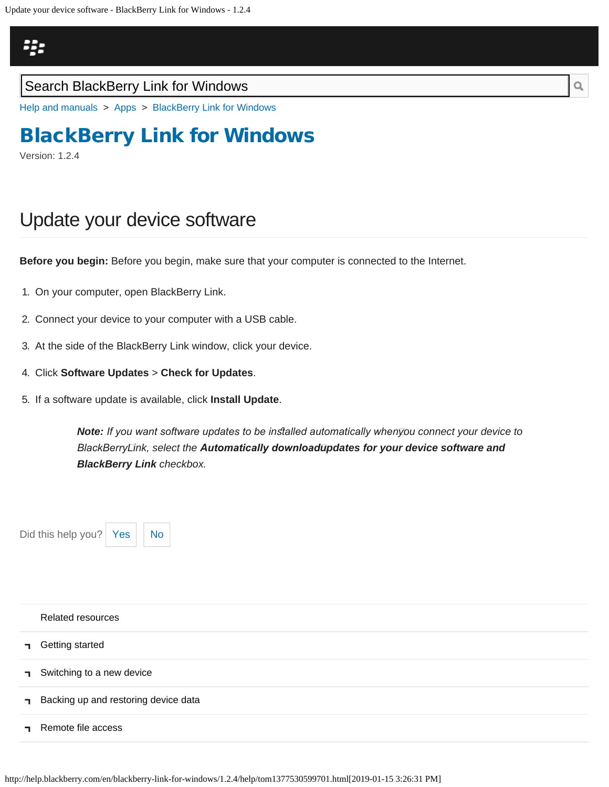# <span id="page-86-0"></span>Щ,

### Search BlackBerry Link for Windows

[Help and manuals](http://help.blackberry.com/en/) > [Apps](http://help.blackberry.com/en/category/apps/) > [BlackBerry Link for Windows](http://help.blackberry.com/en/blackberry-link-for-windows/1.2.4/)

# [BlackBerry Link for Windows](http://help.blackberry.com/en/blackberry-link-for-windows/1.2.4/)

Version: 1.2.4

## Update your device software

**Before you begin:** Before you begin, make sure that your computer is connected to the Internet.

- 1. On your computer, open BlackBerry Link.
- 2. Connect your device to your computer with a USB cable.
- 3. At the side of the BlackBerry Link window, click your device.
- 4. Click **Software Updates** > **Check for Updates**.
- 5. If a software update is available, click **Install Update**.

**Note:** If you want software updates to be installed automatically whenyou connect your device to *BlackBerry Link, select the Automatically download updates for your device software and BlackBerry Link checkbox.*

Did this help you?  $Yes$   $\big|$  [No](#page-86-0)



| <b>Related resources</b>             |
|--------------------------------------|
| <b>n</b> Getting started             |
| Switching to a new device            |
| Backing up and restoring device data |
| Remote file access                   |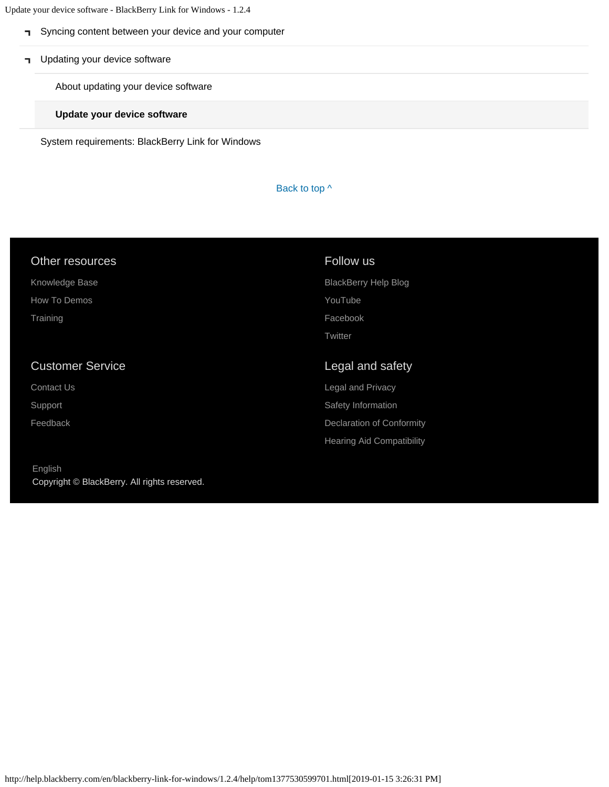Update your device software - BlackBerry Link for Windows - 1.2.4

- [Syncing content between your device and your computer](#page-12-0)
- **T** [Updating your device software](#page-14-0)

[About updating your device software](#page-14-0)

**[Update your device software](#page-86-0)**

[System requirements: BlackBerry Link for Windows](#page-16-0)

Back to top  $\wedge$ 

| <b>Other resources</b>  | Follow us                        |
|-------------------------|----------------------------------|
| Knowledge Base          | <b>BlackBerry Help Blog</b>      |
| How To Demos            | YouTube                          |
| Training                | Facebook                         |
|                         | Twitter                          |
|                         |                                  |
| <b>Customer Service</b> | Legal and safety                 |
| <b>Contact Us</b>       | <b>Legal and Privacy</b>         |
| Support                 | Safety Information               |
| Feedback                | <b>Declaration of Conformity</b> |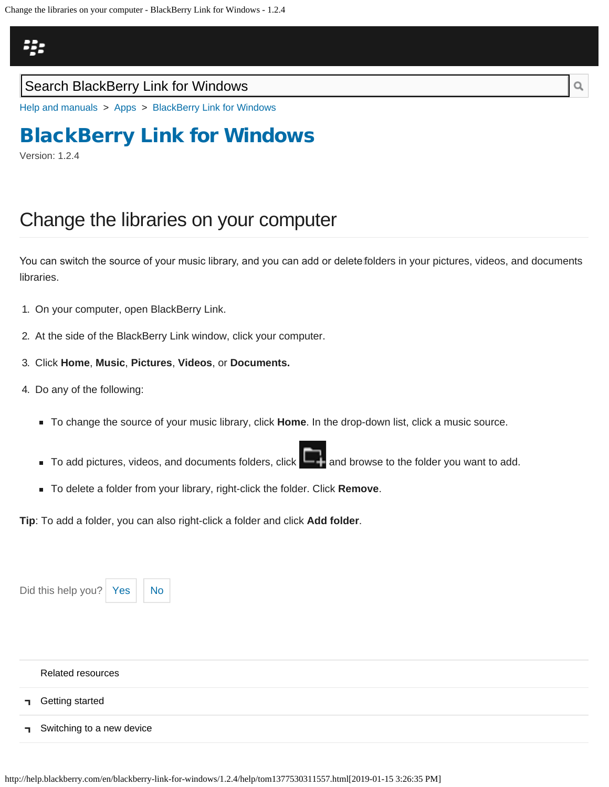<span id="page-88-0"></span>

### Search BlackBerry Link for Windows

[Help and manuals](http://help.blackberry.com/en/) > [Apps](http://help.blackberry.com/en/category/apps/) > [BlackBerry Link for Windows](http://help.blackberry.com/en/blackberry-link-for-windows/1.2.4/)

# [BlackBerry Link for Windows](http://help.blackberry.com/en/blackberry-link-for-windows/1.2.4/)

Version: 1.2.4

## Change the libraries on your computer

You can switch the source of your music library, and you can add or delete folders in your pictures, videos, and documents libraries.

- 1. On your computer, open BlackBerry Link.
- 2. At the side of the BlackBerry Link window, click your computer.
- 3. Click **Home**, **Music**, **Pictures**, **Videos**, or **Documents.**
- 4. Do any of the following:
	- To change the source of your music library, click **Home**. In the drop-down list, click a music source.
	- $\blacksquare$  To add pictures, videos, and documents folders, click  $\blacksquare$  and browse to the folder you want to add.
	- To delete a folder from your library, right-click the folder. Click **Remove**.

**Tip**: To add a folder, you can also right-click a folder and click **Add folder**.

| Did this help you? Yes<br><b>No</b> |  |  |
|-------------------------------------|--|--|
| <b>Related resources</b>            |  |  |
| <b>T</b> Getting started            |  |  |
| Switching to a new device           |  |  |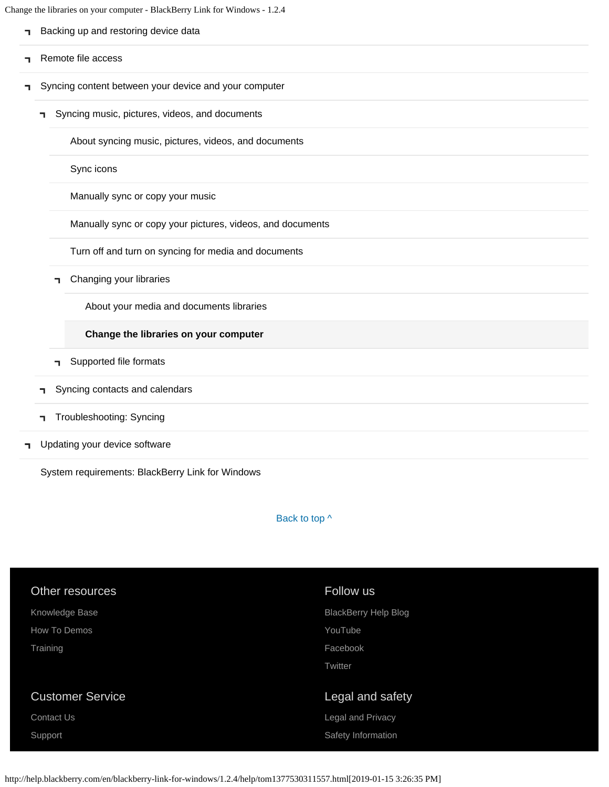Change the libraries on your computer - BlackBerry Link for Windows - 1.2.4

|    |    | ange the horaries on your computer - BlackBerry Link for windows - 1.2.4 |
|----|----|--------------------------------------------------------------------------|
| ٦. |    | Backing up and restoring device data                                     |
| ٦  |    | Remote file access                                                       |
| ٦  |    | Syncing content between your device and your computer                    |
|    | п. | Syncing music, pictures, videos, and documents                           |
|    |    | About syncing music, pictures, videos, and documents                     |
|    |    | Sync icons                                                               |
|    |    | Manually sync or copy your music                                         |
|    |    | Manually sync or copy your pictures, videos, and documents               |
|    |    | Turn off and turn on syncing for media and documents                     |
|    | п. | Changing your libraries                                                  |
|    |    | About your media and documents libraries                                 |
|    |    | Change the libraries on your computer                                    |
|    | ٦  | Supported file formats                                                   |
|    | ٦  | Syncing contacts and calendars                                           |
|    | ٦  | Troubleshooting: Syncing                                                 |

**T** [Updating your device software](#page-14-0)

[System requirements: BlackBerry Link for Windows](#page-16-0)

Back to top  $\wedge$ 

| Other resources         | Follow us                   |
|-------------------------|-----------------------------|
| Knowledge Base          | <b>BlackBerry Help Blog</b> |
| How To Demos            | YouTube                     |
| Training                | Facebook                    |
|                         | Twitter                     |
|                         |                             |
|                         |                             |
| <b>Customer Service</b> | Legal and safety            |
| Contact Us              | Legal and Privacy           |
| Support                 | Safety Information          |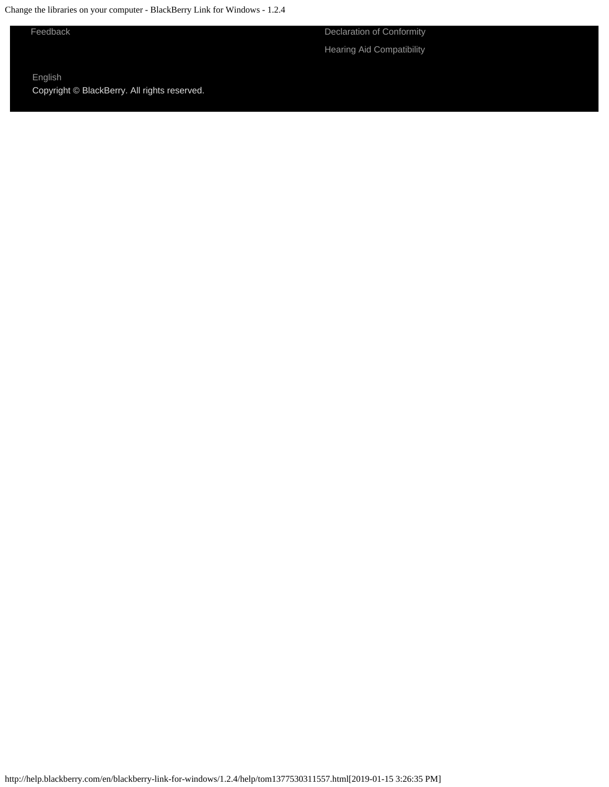Change the libraries on your computer - BlackBerry Link for Windows - 1.2.4

[Feedback](https://blackberry.icanmakeitbetter.com/?source=532c96c687167fb55f000067) [Declaration of Conformity](http://help.blackberry.com/en/content/doc/index.html) [Hearing Aid Compatibility](http://help.blackberry.com/en/content/hac/index.html)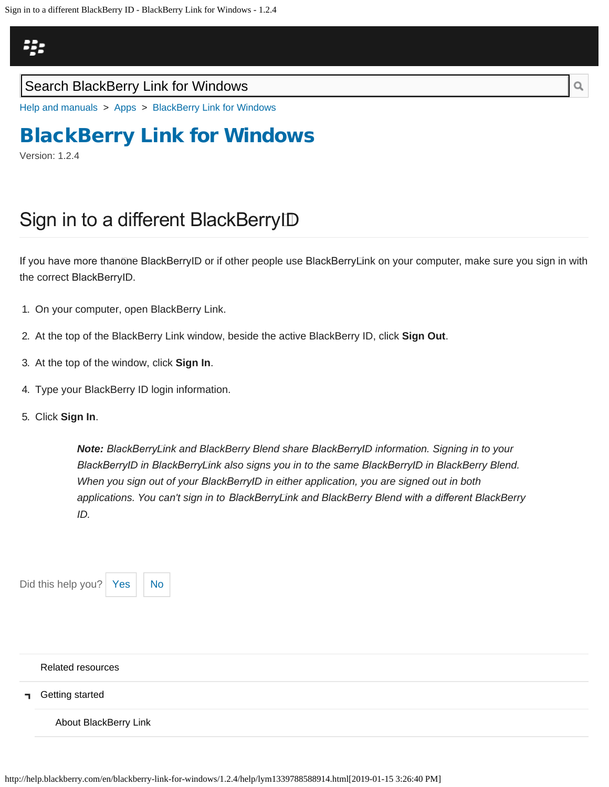## <span id="page-91-0"></span>Щ.

### Search BlackBerry Link for Windows

[Help and manuals](http://help.blackberry.com/en/) > [Apps](http://help.blackberry.com/en/category/apps/) > [BlackBerry Link for Windows](http://help.blackberry.com/en/blackberry-link-for-windows/1.2.4/)

# [BlackBerry Link for Windows](http://help.blackberry.com/en/blackberry-link-for-windows/1.2.4/)

Version: 1.2.4

# Sign in to a diferent BlackBerry ID

If you have more thanōne BlackBerryID or if other people use BlackBerryLink on your computer, make sure you sign in with the correct BlackBerry ID.

- 1. On your computer, open BlackBerry Link.
- 2. At the top of the BlackBerry Link window, beside the active BlackBerry ID, click **Sign Out**.
- 3. At the top of the window, click **Sign In**.
- 4. Type your BlackBerry ID login information.
- 5. Click **Sign In**.

*Note: BlackBerry Link and BlackBerry Blend share BlackBerry ID information. Signing in to your BlackBerry ID in BlackBerry Link also signs you in to the same BlackBerry ID in BlackBerry Blend. When you sign out of your BlackBerry ID in either application, you are signed out in both applications. You can't sign in to BlackBerry Link and BlackBerry Blend with a diferent BlackBerry ID.*

| Did this help you?   Yes     No |  |
|---------------------------------|--|
|                                 |  |

#### [Related resources](#page-0-0)

[Getting started](#page-2-0) п.

[About BlackBerry Link](#page-2-0)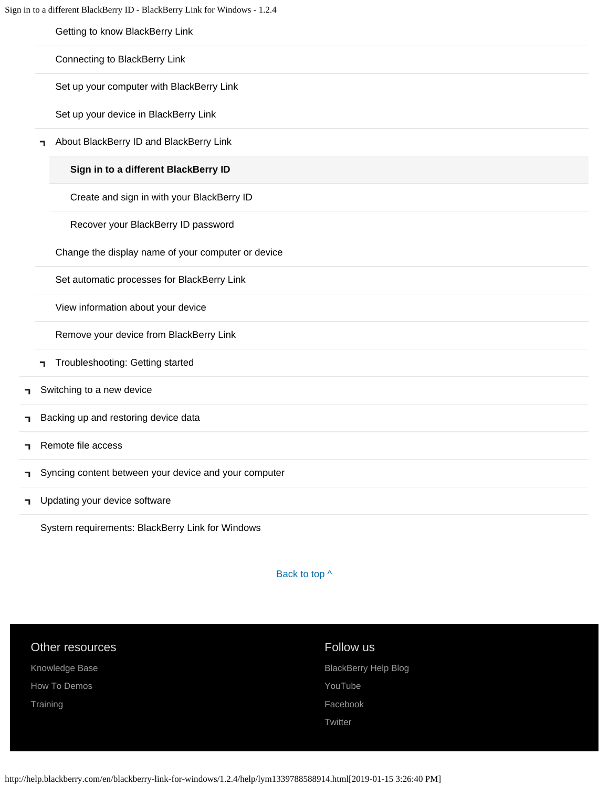[Getting to know BlackBerry Link](#page-18-0)

[Connecting to BlackBerry Link](#page-21-0)

[Set up your computer with BlackBerry Link](#page-24-0)

[Set up your device in BlackBerry Link](#page-27-0)

[About BlackBerry ID and BlackBerry Link](#page-30-0) П.

#### **[Sign in to a different BlackBerry ID](#page-91-0)**

[Create and sign in with your BlackBerry ID](#page-94-0)

[Recover your BlackBerry ID password](#page-97-0)

[Change the display name of your computer or device](#page-33-0)

[Set automatic processes for BlackBerry Link](#page-35-0)

[View information about your device](#page-37-0)

[Remove your device from BlackBerry Link](#page-39-0)

- [Troubleshooting: Getting started](#page-41-0)
- [Switching to a new device](#page-5-0) ٦
- [Backing up and restoring device data](#page-8-0) ٦
- [Remote file access](#page-10-0) ٦
- [Syncing content between your device and your computer](#page-12-0) ٦

#### [Updating your device software](#page-14-0) п.

[System requirements: BlackBerry Link for Windows](#page-16-0)

Back to top  $\wedge$ 

#### Other resources

[Knowledge Base](http://support.blackberry.com/kb) [How To Demos](http://web.blackberry.com/support/blackberry-101.html) **[Training](http://blackberry.com/training)** 

#### Follow us

[BlackBerry Help Blog](http://helpblog.blackberry.com/) [YouTube](https://www.youtube.com/user/blackberrysupport) [Facebook](https://facebook.com/BlackBerry) **[Twitter](https://twitter.com/blackberry)** 

http://help.blackberry.com/en/blackberry-link-for-windows/1.2.4/help/lym1339788588914.html[2019-01-15 3:26:40 PM]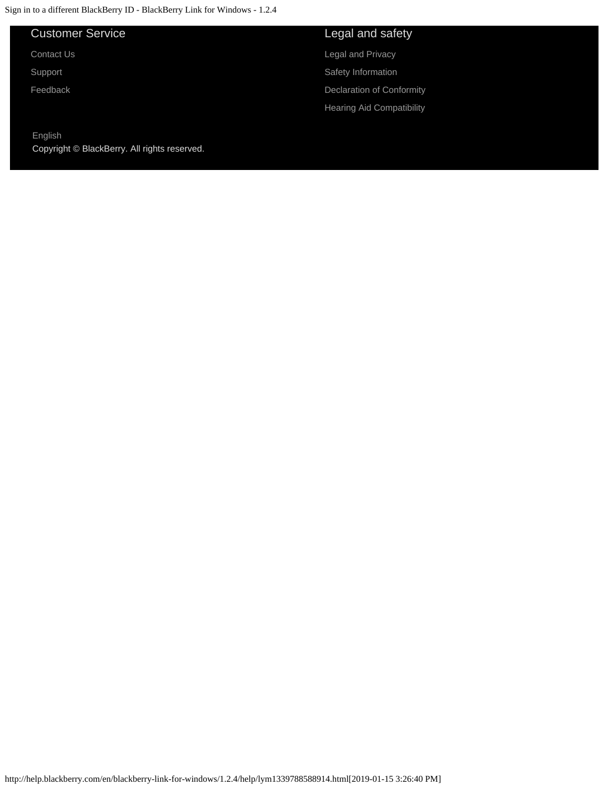### Customer Service

[Contact Us](http://web.blackberry.com/customer-service/contact-us.html)

[Support](http://web.blackberry.com/support.html)

[Feedback](https://blackberry.icanmakeitbetter.com/?source=532c96c687167fb55f000067)

#### [English](http://help.blackberry.com/en/selectLang?prev=blackberry-link-for-windows/1.2.4/help/lym1339788588914.html)

Copyright © BlackBerry. All rights reserved.

### Legal and safety

[Legal and Privacy](http://blackberry.com/legal) [Safety Information](http://help.blackberry.com/en/content/sib/index.html)

[Declaration of Conformity](http://help.blackberry.com/en/content/doc/index.html)

[Hearing Aid Compatibility](http://help.blackberry.com/en/content/hac/index.html)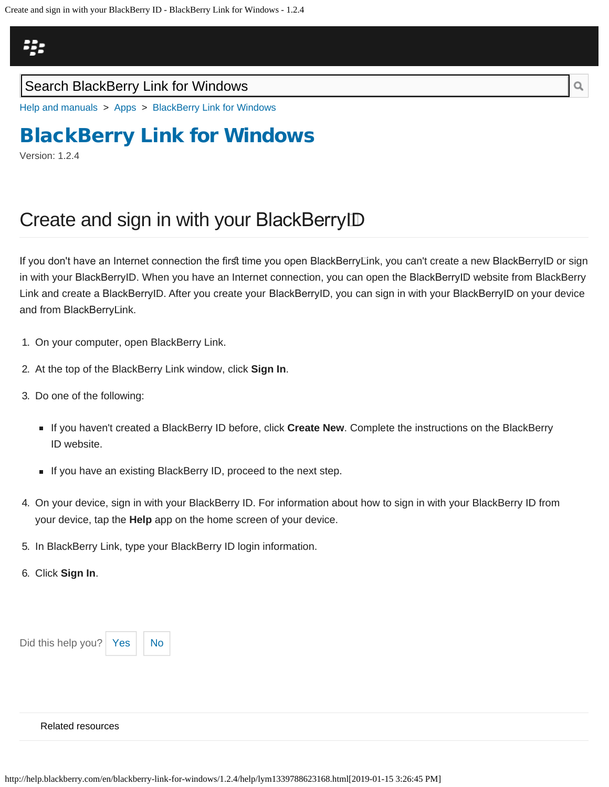<span id="page-94-0"></span>

### Search BlackBerry Link for Windows

[Help and manuals](http://help.blackberry.com/en/) > [Apps](http://help.blackberry.com/en/category/apps/) > [BlackBerry Link for Windows](http://help.blackberry.com/en/blackberry-link-for-windows/1.2.4/)

# [BlackBerry Link for Windows](http://help.blackberry.com/en/blackberry-link-for-windows/1.2.4/)

Version: 1.2.4

# Create and sign in with your BlackBerry ID

If you don't have an Internet connection the first time you open BlackBerryLink, you can't create a new BlackBerryID or sign in with your BlackBerry ID. When you have an Internet connection, you can open the BlackBerry ID website from BlackBerry Link and create a BlackBerryID. After you create your BlackBerryID, you can sign in with your BlackBerryID on your device and from BlackBerry Link.

- 1. On your computer, open BlackBerry Link.
- 2. At the top of the BlackBerry Link window, click **Sign In**.
- 3. Do one of the following:
	- If you haven't created a BlackBerry ID before, click **Create New**. Complete the instructions on the BlackBerry ID website.
	- If you have an existing BlackBerry ID, proceed to the next step.
- 4. On your device, sign in with your BlackBerry ID. For information about how to sign in with your BlackBerry ID from your device, tap the **Help** app on the home screen of your device.
- 5. In BlackBerry Link, type your BlackBerry ID login information.
- 6. Click **Sign In**.



#### [Related resources](#page-0-0)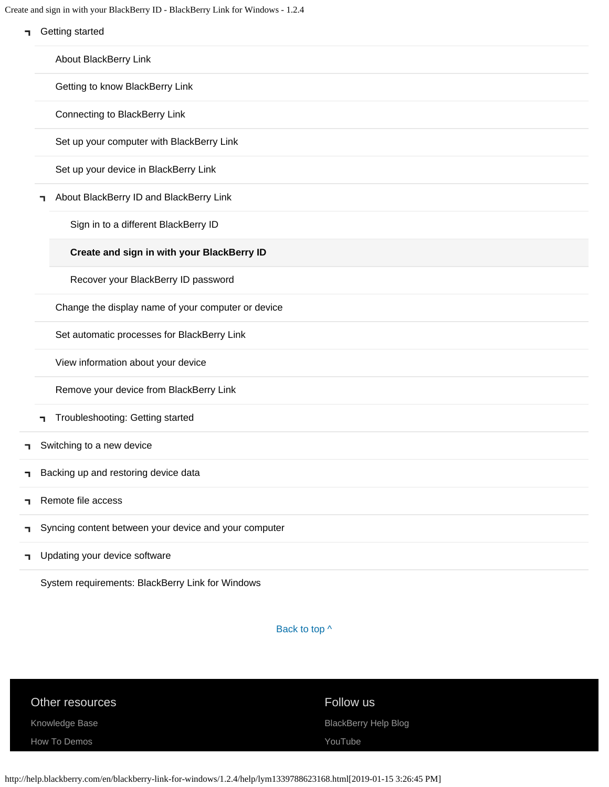| ٦ | Create and sign in with your BlackBerry ID - BlackBerry Link for Windows - 1.2.4<br>Getting started |
|---|-----------------------------------------------------------------------------------------------------|
|   | About BlackBerry Link                                                                               |
|   | Getting to know BlackBerry Link                                                                     |
|   | Connecting to BlackBerry Link                                                                       |
|   | Set up your computer with BlackBerry Link                                                           |
|   | Set up your device in BlackBerry Link                                                               |
| ┑ | About BlackBerry ID and BlackBerry Link                                                             |
|   | Sign in to a different BlackBerry ID                                                                |
|   | Create and sign in with your BlackBerry ID                                                          |
|   | Recover your BlackBerry ID password                                                                 |
|   | Change the display name of your computer or device                                                  |
|   | Set automatic processes for BlackBerry Link                                                         |
|   | View information about your device                                                                  |
|   | Remove your device from BlackBerry Link                                                             |
| ┑ | Troubleshooting: Getting started                                                                    |
|   | Switching to a new device                                                                           |
|   | Backing up and restoring device data                                                                |
|   | Remote file access                                                                                  |
|   | Syncing content between your device and your computer                                               |
|   | Updating your device software                                                                       |

[System requirements: BlackBerry Link for Windows](#page-16-0)

Back to top  $\wedge$ 

| Other resources |  |  |
|-----------------|--|--|
| Knowledge Base  |  |  |

[How To Demos](http://web.blackberry.com/support/blackberry-101.html)

### Follow us

[BlackBerry Help Blog](http://helpblog.blackberry.com/)

[YouTube](https://www.youtube.com/user/blackberrysupport)

http://help.blackberry.com/en/blackberry-link-for-windows/1.2.4/help/lym1339788623168.html[2019-01-15 3:26:45 PM]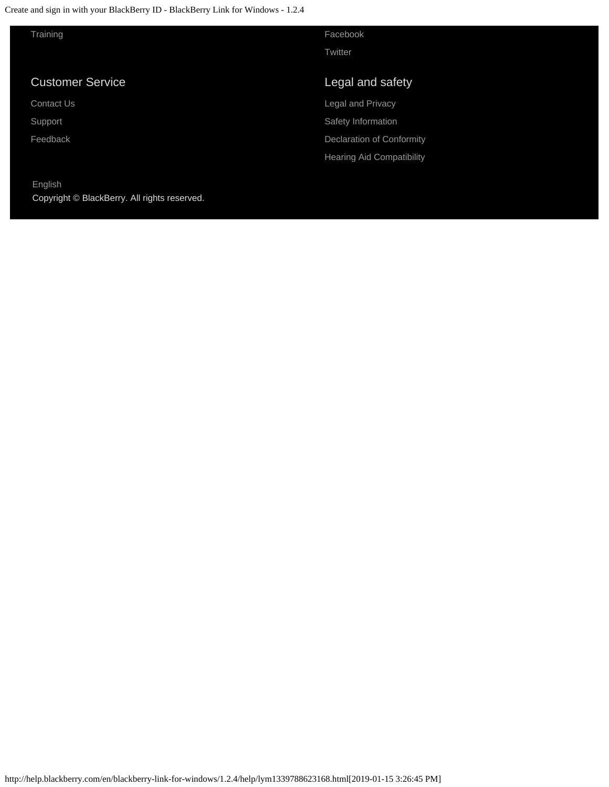Create and sign in with your BlackBerry ID - BlackBerry Link for Windows - 1.2.4

| Training                |  |  |
|-------------------------|--|--|
|                         |  |  |
| <b>Customer Service</b> |  |  |
| Contact Us              |  |  |
| Support                 |  |  |
| Feedback                |  |  |
|                         |  |  |

[English](http://help.blackberry.com/en/selectLang?prev=blackberry-link-for-windows/1.2.4/help/lym1339788623168.html) Copyright © BlackBerry. All rights reserved. [Facebook](https://facebook.com/BlackBerry) **[Twitter](https://twitter.com/blackberry)** 

### Legal and safety

[Legal and Privacy](http://blackberry.com/legal) [Safety Information](http://help.blackberry.com/en/content/sib/index.html) [Declaration of Conformity](http://help.blackberry.com/en/content/doc/index.html) [Hearing Aid Compatibility](http://help.blackberry.com/en/content/hac/index.html)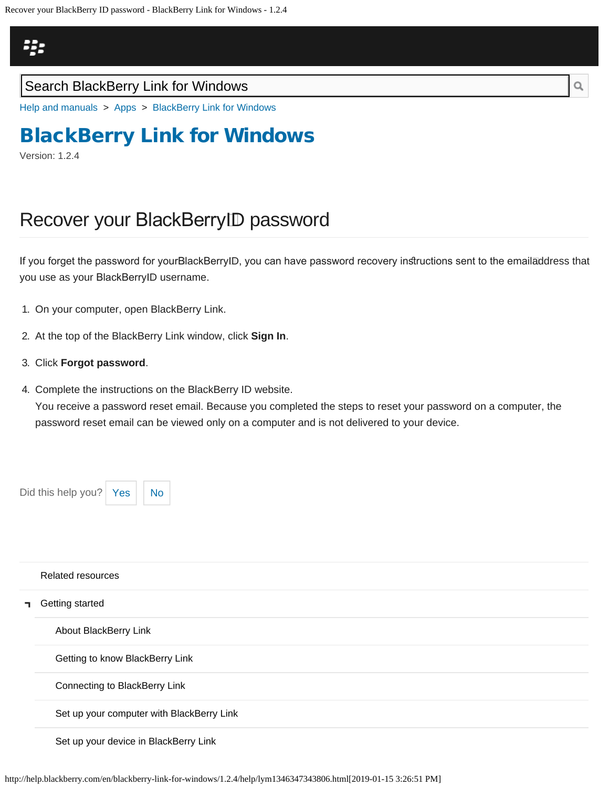## <span id="page-97-0"></span>23

### Search BlackBerry Link for Windows

[Help and manuals](http://help.blackberry.com/en/) > [Apps](http://help.blackberry.com/en/category/apps/) > [BlackBerry Link for Windows](http://help.blackberry.com/en/blackberry-link-for-windows/1.2.4/)

# [BlackBerry Link for Windows](http://help.blackberry.com/en/blackberry-link-for-windows/1.2.4/)

Version: 1.2.4

# Recover your BlackBerry ID password

If you forget the password for yourBlackBerrytD, you can have password recovery instructions sent to the emailāddress that you use as your BlackBerry ID username.

- 1. On your computer, open BlackBerry Link.
- 2. At the top of the BlackBerry Link window, click **Sign In**.
- 3. Click **Forgot password**.
- 4. Complete the instructions on the BlackBerry ID website. You receive a password reset email. Because you completed the steps to reset your password on a computer, the password reset email can be viewed only on a computer and is not delivered to your device.

Did this help you?  $Yes \mid No$  $Yes \mid No$  $Yes \mid No$ 

|    | Related resources                         |
|----|-------------------------------------------|
| п. | Getting started                           |
|    | About BlackBerry Link                     |
|    | Getting to know BlackBerry Link           |
|    | Connecting to BlackBerry Link             |
|    | Set up your computer with BlackBerry Link |
|    | Set up your device in BlackBerry Link     |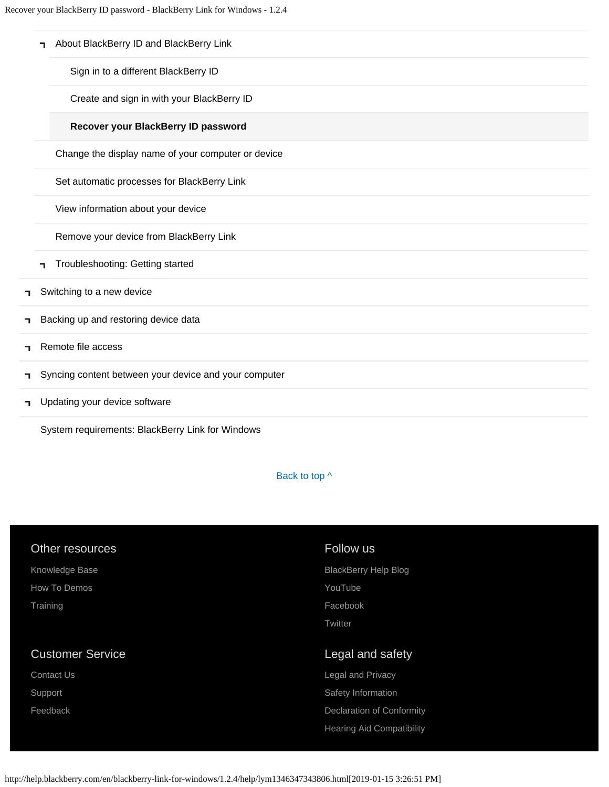|    | About BlackBerry ID and BlackBerry Link<br>п          |
|----|-------------------------------------------------------|
|    | Sign in to a different BlackBerry ID                  |
|    | Create and sign in with your BlackBerry ID            |
|    | Recover your BlackBerry ID password                   |
|    | Change the display name of your computer or device    |
|    | Set automatic processes for BlackBerry Link           |
|    | View information about your device                    |
|    | Remove your device from BlackBerry Link               |
|    | Troubleshooting: Getting started<br>п.                |
| ٦. | Switching to a new device                             |
| ٦  | Backing up and restoring device data                  |
| ┑  | Remote file access                                    |
| ٦  | Syncing content between your device and your computer |
| ٦  | Updating your device software                         |

[System requirements: BlackBerry Link for Windows](#page-16-0)

Back to top  $\wedge$ 

| Other resources         | Follow us                        |
|-------------------------|----------------------------------|
| Knowledge Base          | <b>BlackBerry Help Blog</b>      |
| How To Demos            | YouTube                          |
| Training                | Facebook                         |
|                         | Twitter                          |
|                         |                                  |
|                         |                                  |
| <b>Customer Service</b> | Legal and safety                 |
| Contact Us              | Legal and Privacy                |
| Support                 | Safety Information               |
| Feedback                | <b>Declaration of Conformity</b> |
|                         | <b>Hearing Aid Compatibility</b> |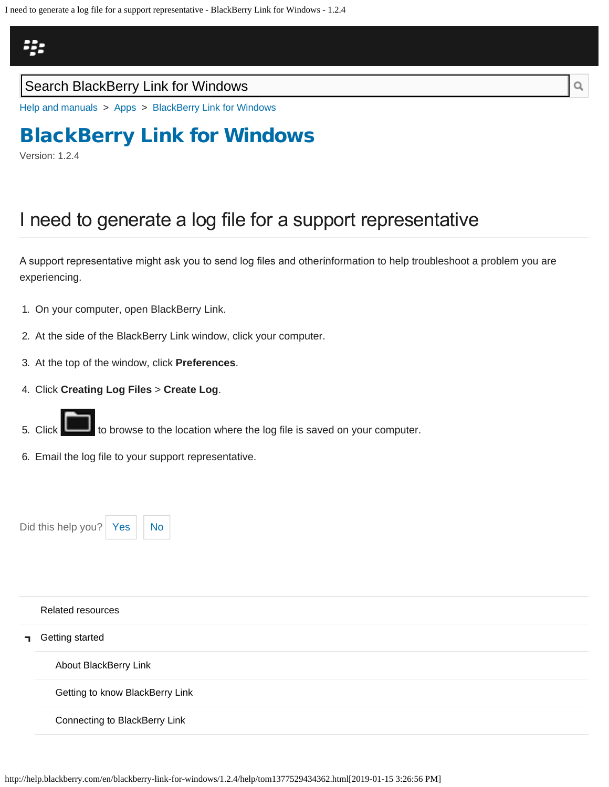# <span id="page-100-0"></span>Щ.

### Search BlackBerry Link for Windows

[Help and manuals](http://help.blackberry.com/en/) > [Apps](http://help.blackberry.com/en/category/apps/) > [BlackBerry Link for Windows](http://help.blackberry.com/en/blackberry-link-for-windows/1.2.4/)

# [BlackBerry Link for Windows](http://help.blackberry.com/en/blackberry-link-for-windows/1.2.4/)

Version: 1.2.4

# I need to generate a log file for a support representative

A support representative might ask you to send log fles and other information to help troubleshoot a problem you are experiencing.

- 1. On your computer, open BlackBerry Link.
- 2. At the side of the BlackBerry Link window, click your computer.
- 3. At the top of the window, click **Preferences**.
- 4. Click **Creating Log Files** > **Create Log**.
- 5. Click to browse to the location where the log file is saved on your computer.
- 6. Email the log file to your support representative.

Did this help you?  $Yes \mid No$  $Yes \mid No$  $Yes \mid No$ 



# [Related resources](#page-0-0) [Getting started](#page-2-0) [About BlackBerry Link](#page-2-0) [Getting to know BlackBerry Link](#page-18-0) [Connecting to BlackBerry Link](#page-21-0)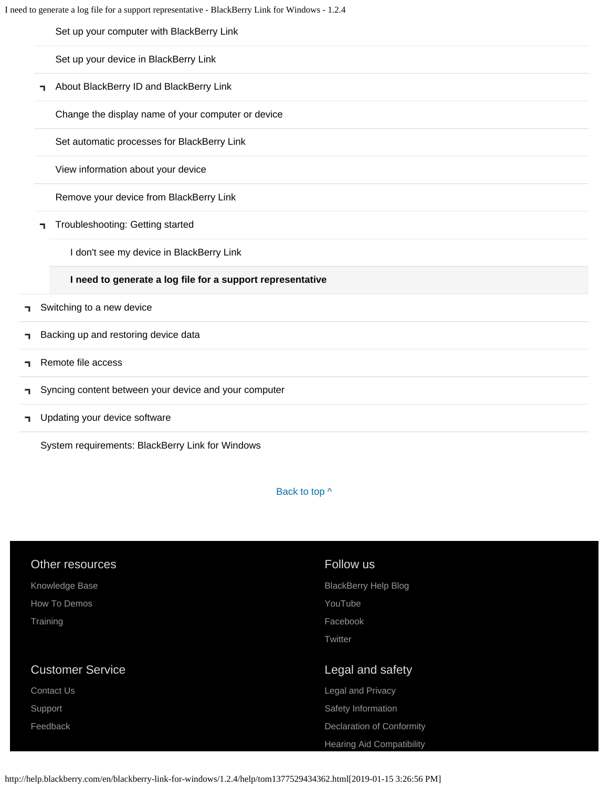[Set up your computer with BlackBerry Link](#page-24-0)

[Set up your device in BlackBerry Link](#page-27-0)

**-** [About BlackBerry ID and BlackBerry Link](#page-30-0)

[Change the display name of your computer or device](#page-33-0)

[Set automatic processes for BlackBerry Link](#page-35-0)

[View information about your device](#page-37-0)

[Remove your device from BlackBerry Link](#page-39-0)

[Troubleshooting: Getting started](#page-41-0)

[I don't see my device in BlackBerry Link](#page-41-0)

#### **[I need to generate a log file for a support representative](#page-100-0)**

- [Switching to a new device](#page-5-0) ٦
- [Backing up and restoring device data](#page-8-0) ٦
- [Remote file access](#page-10-0) п.
- [Syncing content between your device and your computer](#page-12-0) п.
- [Updating your device software](#page-14-0) ٦

[System requirements: BlackBerry Link for Windows](#page-16-0)

Back to top  $\wedge$ 

| Other resources         | Follow us                        |
|-------------------------|----------------------------------|
| Knowledge Base          | <b>BlackBerry Help Blog</b>      |
| How To Demos            | YouTube                          |
| Training                | Facebook                         |
|                         | Twitter                          |
|                         |                                  |
| <b>Customer Service</b> | Legal and safety                 |
| <b>Contact Us</b>       | Legal and Privacy                |
| Support                 | Safety Information               |
| Feedback                | <b>Declaration of Conformity</b> |
|                         | <b>Hearing Aid Compatibility</b> |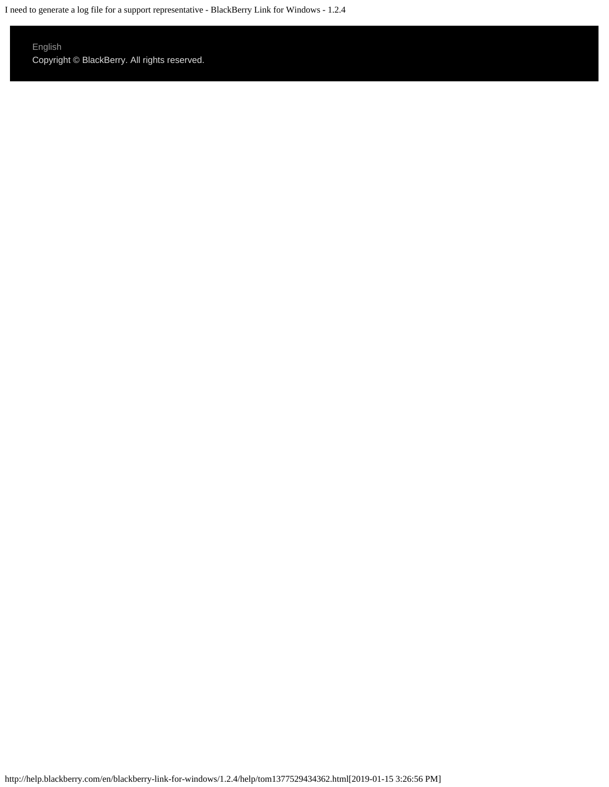I need to generate a log file for a support representative - BlackBerry Link for Windows - 1.2.4

### [English](http://help.blackberry.com/en/selectLang?prev=blackberry-link-for-windows/1.2.4/help/tom1377529434362.html)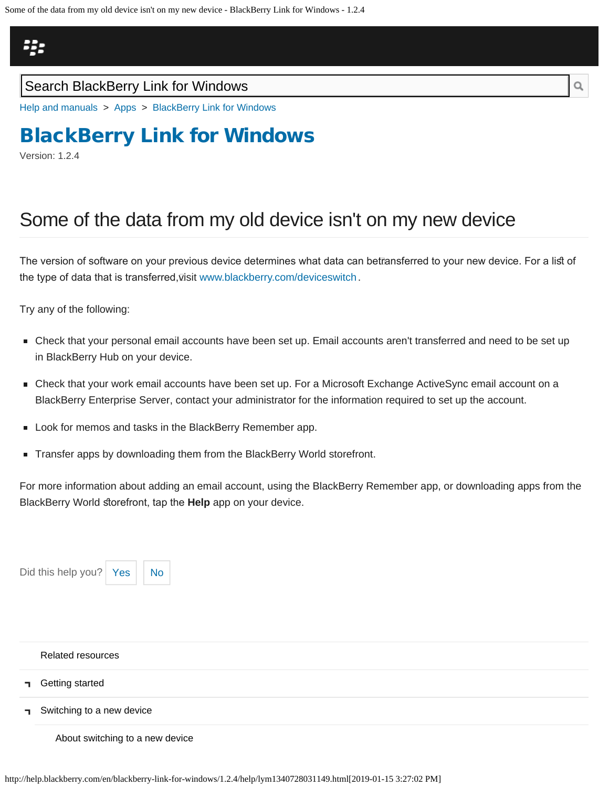<span id="page-103-0"></span>Some of the data from my old device isn't on my new device - BlackBerry Link for Windows - 1.2.4

## Щ.

### Search BlackBerry Link for Windows

[Help and manuals](http://help.blackberry.com/en/) > [Apps](http://help.blackberry.com/en/category/apps/) > [BlackBerry Link for Windows](http://help.blackberry.com/en/blackberry-link-for-windows/1.2.4/)

# [BlackBerry Link for Windows](http://help.blackberry.com/en/blackberry-link-for-windows/1.2.4/)

Version: 1.2.4

# Some of the data from my old device isn't on my new device

The version of software on your previous device determines what data can betīansferred to your new device. For a list of the type of data that is transferred,⊽isit www.blackberry.com/deviceswitch .

Try any of the following:

- Check that your personal email accounts have been set up. Email accounts aren't transferred and need to be set up in BlackBerry Hub on your device.
- Check that your work email accounts have been set up. For a Microsoft Exchange ActiveSync email account on a BlackBerry Enterprise Server, contact your administrator for the information required to set up the account.
- **Look for memos and tasks in the BlackBerry Remember app.**
- Transfer apps by downloading them from the BlackBerry World storefront.

For more information about adding an email account, using the BlackBerry Remember app, or downloading apps from the BlackBerry World storefront, tap the Help app on your device.

|              | Did this help you? Yes          | <b>No</b> |  |
|--------------|---------------------------------|-----------|--|
|              |                                 |           |  |
|              |                                 |           |  |
|              | <b>Related resources</b>        |           |  |
|              |                                 |           |  |
| п.           | Getting started                 |           |  |
| $\mathbf{L}$ | Switching to a new device       |           |  |
|              | About switching to a new device |           |  |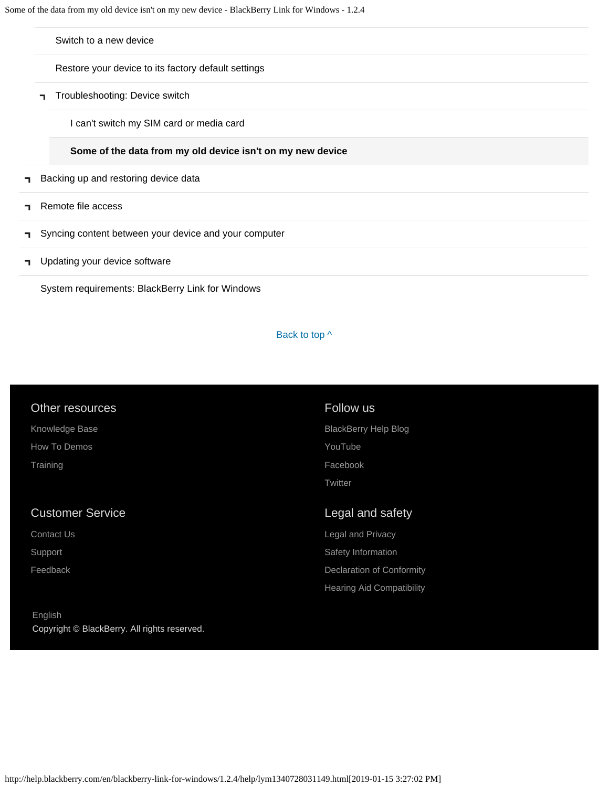[Switch to a new device](#page-44-0)

[Restore your device to its factory default settings](#page-47-0)

[Troubleshooting: Device switch](#page-49-0)

[I can't switch my SIM card or media card](#page-49-0)

#### **[Some of the data from my old device isn't on my new device](#page-103-0)**

- [Backing up and restoring device data](#page-8-0)  $\blacksquare$
- [Remote file access](#page-10-0) п,
- [Syncing content between your device and your computer](#page-12-0)  $\blacksquare$
- [Updating your device software](#page-14-0) F.

[System requirements: BlackBerry Link for Windows](#page-16-0)

#### Back to top  $\wedge$

| Other resources         | Follow us                   |
|-------------------------|-----------------------------|
| Knowledge Base          | <b>BlackBerry Help Blog</b> |
| How To Demos            | YouTube                     |
| Training                | Facebook                    |
|                         | Twitter                     |
|                         |                             |
|                         |                             |
| <b>Customer Service</b> | Legal and safety            |
| Contact Us              | Legal and Privacy           |
| Support                 | Safety Information          |
| Feedback                | Declaration of Conformity   |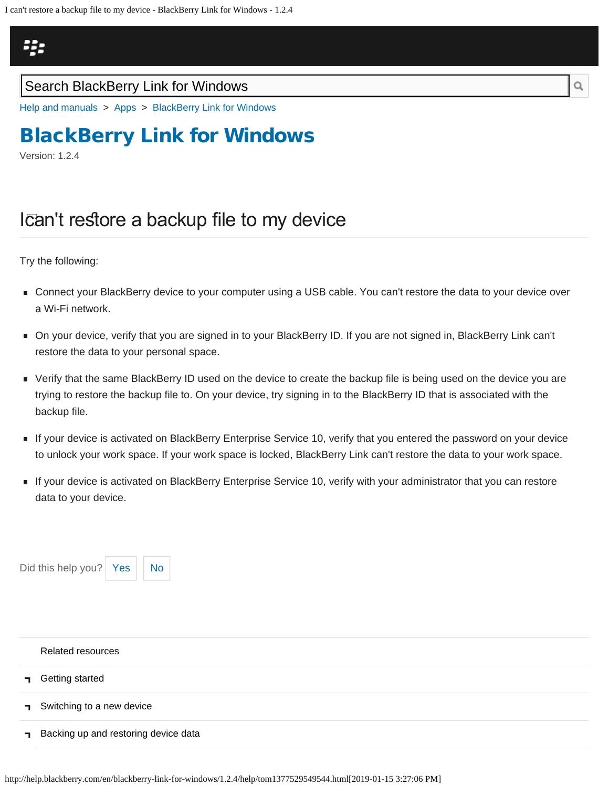<span id="page-105-0"></span>

### Search BlackBerry Link for Windows

[Help and manuals](http://help.blackberry.com/en/) > [Apps](http://help.blackberry.com/en/category/apps/) > [BlackBerry Link for Windows](http://help.blackberry.com/en/blackberry-link-for-windows/1.2.4/)

# [BlackBerry Link for Windows](http://help.blackberry.com/en/blackberry-link-for-windows/1.2.4/)

Version: 1.2.4

## Ican't restore a backup file to my device

Try the following:

- Connect your BlackBerry device to your computer using a USB cable. You can't restore the data to your device over a Wi-Fi network.
- On your device, verify that you are signed in to your BlackBerry ID. If you are not signed in, BlackBerry Link can't restore the data to your personal space.
- Verify that the same BlackBerry ID used on the device to create the backup file is being used on the device you are trying to restore the backup file to. On your device, try signing in to the BlackBerry ID that is associated with the backup file.
- If your device is activated on BlackBerry Enterprise Service 10, verify that you entered the password on your device to unlock your work space. If your work space is locked, BlackBerry Link can't restore the data to your work space.
- If your device is activated on BlackBerry Enterprise Service 10, verify with your administrator that you can restore data to your device.



| Related resources                    |
|--------------------------------------|
| <b>n</b> Getting started             |
| Switching to a new device            |
| Backing up and restoring device data |

http://help.blackberry.com/en/blackberry-link-for-windows/1.2.4/help/tom1377529549544.html[2019-01-15 3:27:06 PM]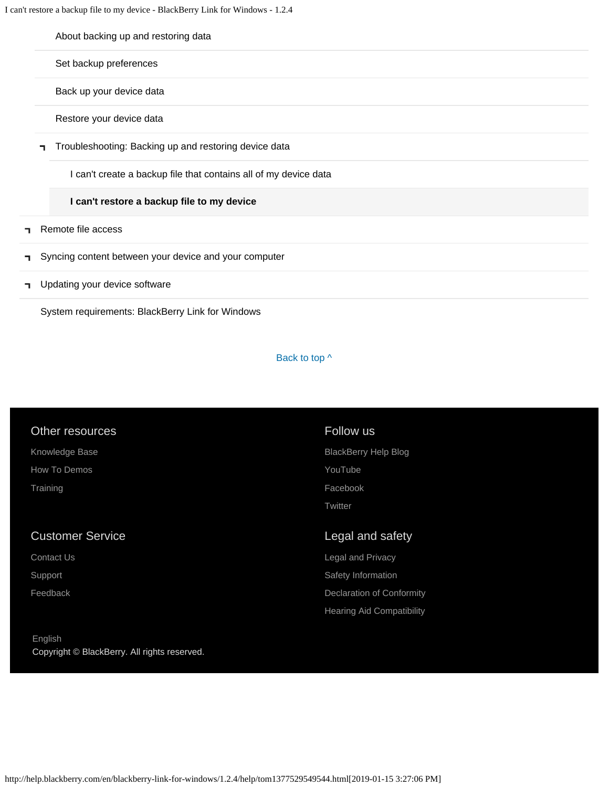I can't restore a backup file to my device - BlackBerry Link for Windows - 1.2.4

|    | About backing up and restoring data                              |
|----|------------------------------------------------------------------|
|    | Set backup preferences                                           |
|    | Back up your device data                                         |
|    | Restore your device data                                         |
|    | Troubleshooting: Backing up and restoring device data            |
|    | I can't create a backup file that contains all of my device data |
|    | I can't restore a backup file to my device                       |
| п. | Remote file access                                               |
| п. | Syncing content between your device and your computer            |
|    | I Updating your device software                                  |

[System requirements: BlackBerry Link for Windows](#page-16-0)

#### Back to top  $\wedge$

#### Other resources

[Knowledge Base](http://support.blackberry.com/kb) [How To Demos](http://web.blackberry.com/support/blackberry-101.html) **[Training](http://blackberry.com/training)** 

#### Customer Service

[Contact Us](http://web.blackberry.com/customer-service/contact-us.html)

[Support](http://web.blackberry.com/support.html)

[Feedback](https://blackberry.icanmakeitbetter.com/?source=532c96c687167fb55f000067)

#### [English](http://help.blackberry.com/en/selectLang?prev=blackberry-link-for-windows/1.2.4/help/tom1377529549544.html) Copyright © BlackBerry. All rights reserved.

### Follow us

[BlackBerry Help Blog](http://helpblog.blackberry.com/) [YouTube](https://www.youtube.com/user/blackberrysupport) [Facebook](https://facebook.com/BlackBerry) **[Twitter](https://twitter.com/blackberry)** 

### Legal and safety

[Legal and Privacy](http://blackberry.com/legal) [Safety Information](http://help.blackberry.com/en/content/sib/index.html) [Declaration of Conformity](http://help.blackberry.com/en/content/doc/index.html) [Hearing Aid Compatibility](http://help.blackberry.com/en/content/hac/index.html)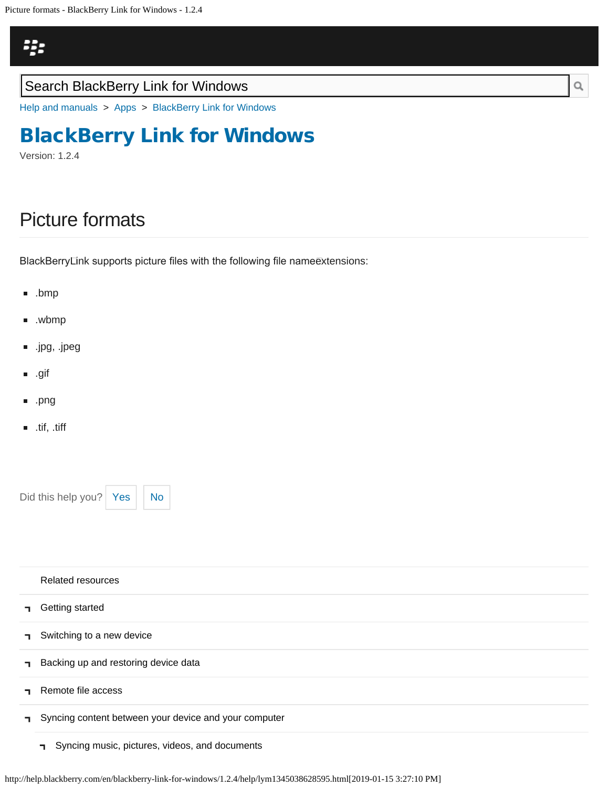<span id="page-107-0"></span>Picture formats - BlackBerry Link for Windows - 1.2.4

# ij.

### Search BlackBerry Link for Windows

[Help and manuals](http://help.blackberry.com/en/) > [Apps](http://help.blackberry.com/en/category/apps/) > [BlackBerry Link for Windows](http://help.blackberry.com/en/blackberry-link-for-windows/1.2.4/)

# [BlackBerry Link for Windows](http://help.blackberry.com/en/blackberry-link-for-windows/1.2.4/)

Version: 1.2.4

# Picture formats

BlackBerry Link supports picture fles with the following fle name extensions:

- .bmp
- .wbmp
- .jpg, .jpeg
- .gif
- .png
- $\blacksquare$ .tif, .tiff

Did this help you?  $Yes$  [No](#page-107-0)

|    | <b>Related resources</b>                              |
|----|-------------------------------------------------------|
| п. | Getting started                                       |
| п. | Switching to a new device                             |
| п. | Backing up and restoring device data                  |
|    | Remote file access                                    |
| п. | Syncing content between your device and your computer |
|    | Syncing music, pictures, videos, and documents<br>п.  |

Q

http://help.blackberry.com/en/blackberry-link-for-windows/1.2.4/help/lym1345038628595.html[2019-01-15 3:27:10 PM]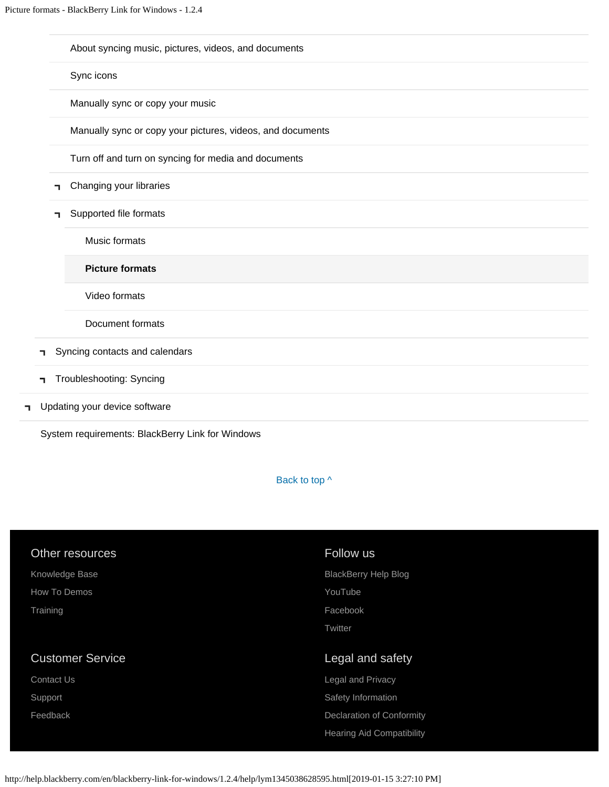[About syncing music, pictures, videos, and documents](#page-12-0)

[Sync icons](#page-66-0)

[Manually sync or copy your music](#page-69-0)

[Manually sync or copy your pictures, videos, and documents](#page-72-0)

[Turn off and turn on syncing for media and documents](#page-75-0)

- [Changing your libraries](#page-60-0)
- [Supported file formats](#page-78-0) T.

[Music formats](#page-78-0)

**[Picture formats](#page-107-0)**

[Video formats](#page-110-0)

[Document formats](#page-113-0)

- [Syncing contacts and calendars](#page-81-0)
- [Troubleshooting: Syncing](#page-83-0)
- [Updating your device software](#page-14-0) ٦.

[System requirements: BlackBerry Link for Windows](#page-16-0)

Back to top  $\wedge$ 

| Other resources         | Follow us                        |
|-------------------------|----------------------------------|
| Knowledge Base          | <b>BlackBerry Help Blog</b>      |
| How To Demos            | YouTube                          |
| Training                | Facebook                         |
|                         | Twitter                          |
|                         |                                  |
|                         |                                  |
| <b>Customer Service</b> | Legal and safety                 |
| <b>Contact Us</b>       | Legal and Privacy                |
| Support                 | Safety Information               |
| Feedback                | <b>Declaration of Conformity</b> |
|                         | <b>Hearing Aid Compatibility</b> |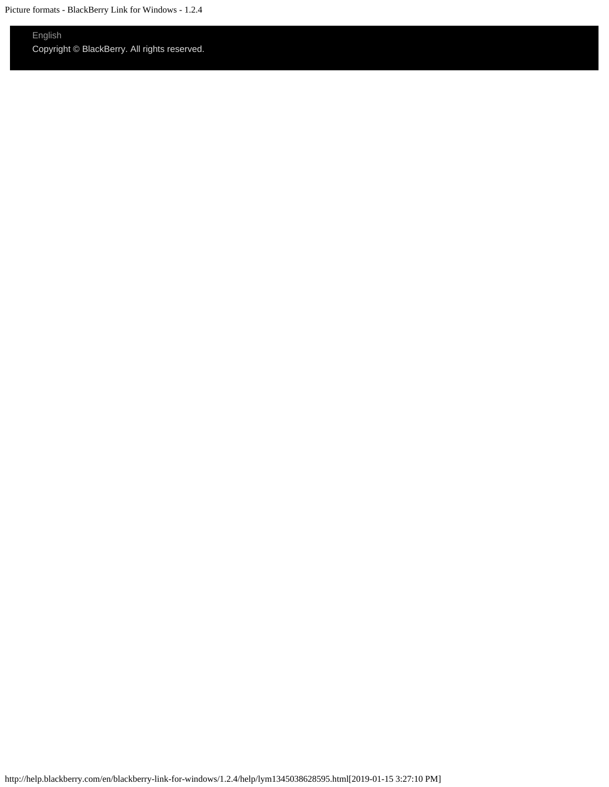### [English](http://help.blackberry.com/en/selectLang?prev=blackberry-link-for-windows/1.2.4/help/lym1345038628595.html)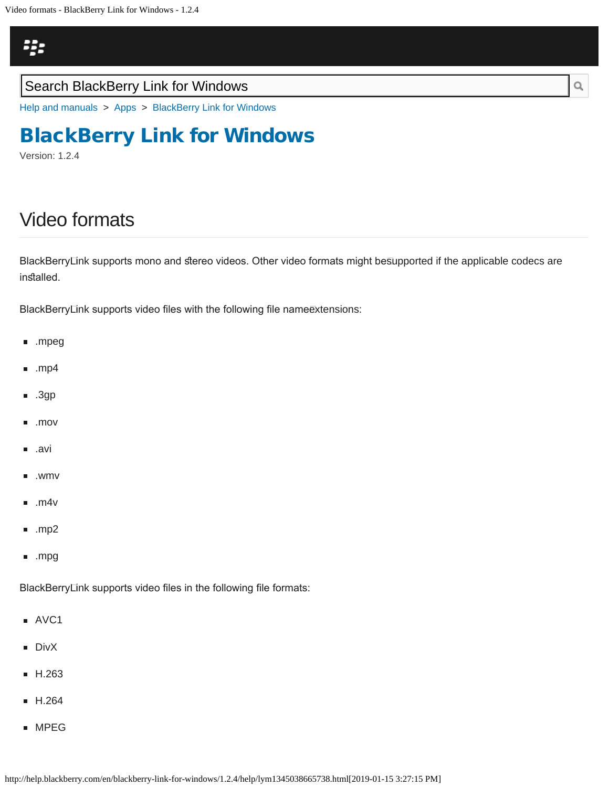<span id="page-110-0"></span>Video formats - BlackBerry Link for Windows - 1.2.4

# 23

## Search BlackBerry Link for Windows

[Help and manuals](http://help.blackberry.com/en/) > [Apps](http://help.blackberry.com/en/category/apps/) > [BlackBerry Link for Windows](http://help.blackberry.com/en/blackberry-link-for-windows/1.2.4/)

# [BlackBerry Link for Windows](http://help.blackberry.com/en/blackberry-link-for-windows/1.2.4/)

Version: 1.2.4

## Video formats

BlackBerryLink supports mono and stereo videos. Other video formats might besupported if the applicable codecs are installed.

BlackBerryLink supports video files with the following file name@xtensions:

- .mpeg
- .mp4
- .3gp
- .mov
- .avi
- .wmv
- $\blacksquare$ .m4v
- $\blacksquare$ .mp2
- .mpg

BlackBerry Link supports video fles in the following fle formats:

- AVC1
- **DivX**
- **H.263**
- **H.264**
- **MPEG**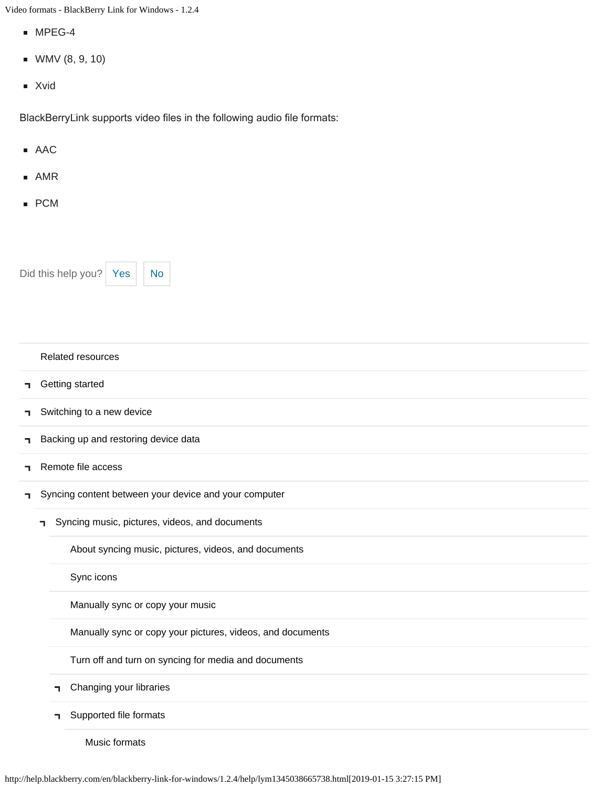Video formats - BlackBerry Link for Windows - 1.2.4

- MPEG-4
- WMV (8, 9, 10)
- Xvid

BlackBerry⊡nk supports video files in the following audio file formats:

- AAC
- AMR
- PCM

Did this help you?  $Yes$  [No](#page-110-0)

|                                                      |                           | <b>Related resources</b>                                   |  |  |  |  |  |
|------------------------------------------------------|---------------------------|------------------------------------------------------------|--|--|--|--|--|
| п.                                                   |                           | Getting started                                            |  |  |  |  |  |
| ٦.                                                   | Switching to a new device |                                                            |  |  |  |  |  |
| ٦.                                                   |                           | Backing up and restoring device data                       |  |  |  |  |  |
| ٦                                                    |                           | Remote file access                                         |  |  |  |  |  |
| п.                                                   |                           | Syncing content between your device and your computer      |  |  |  |  |  |
| Syncing music, pictures, videos, and documents<br>٦  |                           |                                                            |  |  |  |  |  |
| About syncing music, pictures, videos, and documents |                           |                                                            |  |  |  |  |  |
|                                                      | Sync icons                |                                                            |  |  |  |  |  |
|                                                      |                           | Manually sync or copy your music                           |  |  |  |  |  |
|                                                      |                           | Manually sync or copy your pictures, videos, and documents |  |  |  |  |  |
|                                                      |                           | Turn off and turn on syncing for media and documents       |  |  |  |  |  |
|                                                      |                           | Changing your libraries                                    |  |  |  |  |  |
|                                                      |                           | Supported file formats                                     |  |  |  |  |  |
|                                                      |                           |                                                            |  |  |  |  |  |

[Music formats](#page-78-0)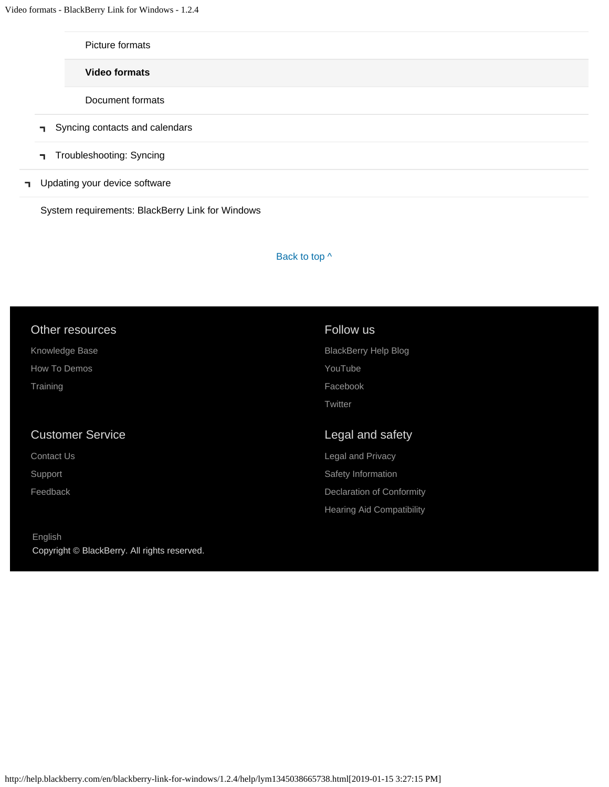| Picture formats                |  |
|--------------------------------|--|
| <b>Video formats</b>           |  |
| Document formats               |  |
| Syncing contacts and calendars |  |
| Troubleshooting: Syncing       |  |
| Updating your device software  |  |
|                                |  |

[System requirements: BlackBerry Link for Windows](#page-16-0)

#### Back to top  $\wedge$

### Other resources

[Knowledge Base](http://support.blackberry.com/kb) [How To Demos](http://web.blackberry.com/support/blackberry-101.html) **[Training](http://blackberry.com/training)** 

 $\mathbf{I}$ 

### Customer Service

[Contact Us](http://web.blackberry.com/customer-service/contact-us.html)

[Support](http://web.blackberry.com/support.html)

[Feedback](https://blackberry.icanmakeitbetter.com/?source=532c96c687167fb55f000067)

[English](http://help.blackberry.com/en/selectLang?prev=blackberry-link-for-windows/1.2.4/help/lym1345038665738.html) Copyright © BlackBerry. All rights reserved.

### Follow us

[BlackBerry Help Blog](http://helpblog.blackberry.com/) [YouTube](https://www.youtube.com/user/blackberrysupport) [Facebook](https://facebook.com/BlackBerry) **[Twitter](https://twitter.com/blackberry)** 

### Legal and safety

[Legal and Privacy](http://blackberry.com/legal) [Safety Information](http://help.blackberry.com/en/content/sib/index.html) [Declaration of Conformity](http://help.blackberry.com/en/content/doc/index.html) [Hearing Aid Compatibility](http://help.blackberry.com/en/content/hac/index.html)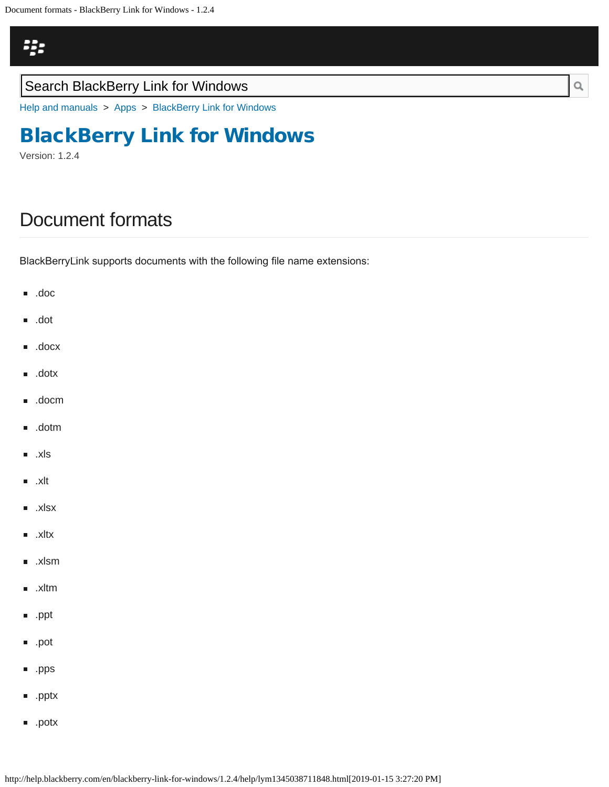<span id="page-113-0"></span>[Help and manuals](http://help.blackberry.com/en/) > [Apps](http://help.blackberry.com/en/category/apps/) > [BlackBerry Link for Windows](http://help.blackberry.com/en/blackberry-link-for-windows/1.2.4/)

## [BlackBerry Link for Windows](http://help.blackberry.com/en/blackberry-link-for-windows/1.2.4/)

Version: 1.2.4

## Document formats

BlackBerry Link supports documents with the following fle name extensions:

- .doc
- .dot
- .docx
- .dotx
- .docm
- .dotm
- .xls
- $\blacksquare$ .xlt
- .xlsx
- .xltx Ē.
- .xlsm
- .xltm n.
- .ppt  $\blacksquare$
- .pot
- .pps
- .pptx
- .potx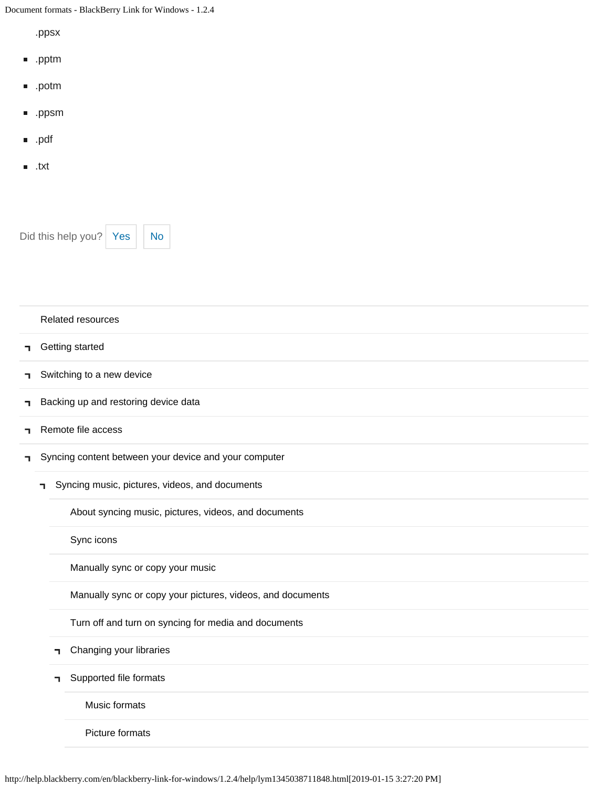Document formats - BlackBerry Link for Windows - 1.2.4

.ppsx

- .pptm
- .potm
- .ppsm
- .pdf
- .txt

Did this help you?  $Yes$  [No](#page-113-0)



|    |                                                            | <b>Related resources</b>                              |  |  |  |  |  |  |
|----|------------------------------------------------------------|-------------------------------------------------------|--|--|--|--|--|--|
| п. |                                                            | Getting started                                       |  |  |  |  |  |  |
| ٦  |                                                            | Switching to a new device                             |  |  |  |  |  |  |
| ٦  |                                                            | Backing up and restoring device data                  |  |  |  |  |  |  |
| ٦  |                                                            | Remote file access                                    |  |  |  |  |  |  |
| ٦  |                                                            | Syncing content between your device and your computer |  |  |  |  |  |  |
|    | п.                                                         | Syncing music, pictures, videos, and documents        |  |  |  |  |  |  |
|    |                                                            | About syncing music, pictures, videos, and documents  |  |  |  |  |  |  |
|    | Sync icons                                                 |                                                       |  |  |  |  |  |  |
|    | Manually sync or copy your music                           |                                                       |  |  |  |  |  |  |
|    | Manually sync or copy your pictures, videos, and documents |                                                       |  |  |  |  |  |  |
|    |                                                            | Turn off and turn on syncing for media and documents  |  |  |  |  |  |  |
|    |                                                            | Changing your libraries<br>٦                          |  |  |  |  |  |  |
|    |                                                            | Supported file formats<br>٦                           |  |  |  |  |  |  |
|    |                                                            | Music formats                                         |  |  |  |  |  |  |
|    |                                                            | Picture formats                                       |  |  |  |  |  |  |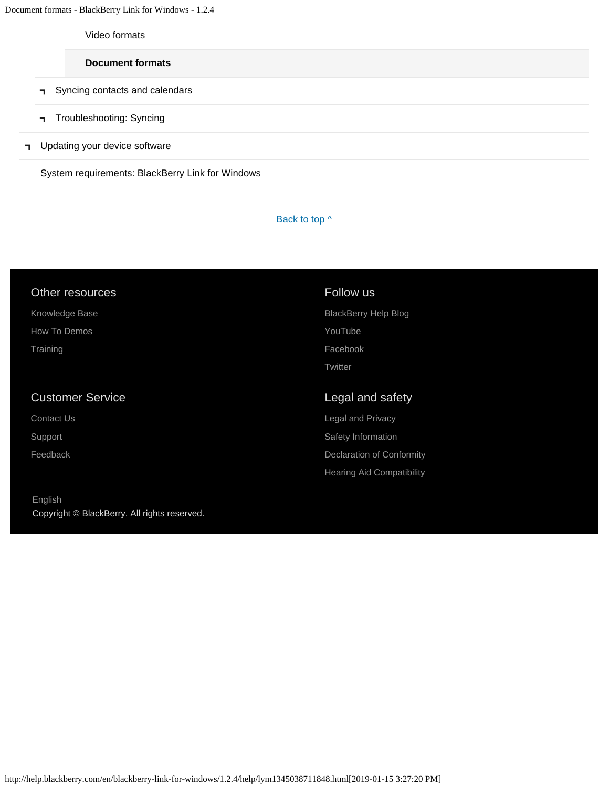Document formats - BlackBerry Link for Windows - 1.2.4

[Video formats](#page-110-0)

#### **[Document formats](#page-113-0)**

- **F** [Syncing contacts and calendars](#page-81-0)
- [Troubleshooting: Syncing](#page-83-0)
- **T** [Updating your device software](#page-14-0)

[System requirements: BlackBerry Link for Windows](#page-16-0)

### Back to top  $\wedge$

#### Other resources

| Knowledge Base |
|----------------|
| How To Demos   |

## Customer Service

[Contact Us](http://web.blackberry.com/customer-service/contact-us.html) [Support](http://web.blackberry.com/support.html)

**[Training](http://blackberry.com/training)** 

[Feedback](https://blackberry.icanmakeitbetter.com/?source=532c96c687167fb55f000067)

[English](http://help.blackberry.com/en/selectLang?prev=blackberry-link-for-windows/1.2.4/help/lym1345038711848.html) Copyright © BlackBerry. All rights reserved.

#### Follow us

[BlackBerry Help Blog](http://helpblog.blackberry.com/) [YouTube](https://www.youtube.com/user/blackberrysupport) [Facebook](https://facebook.com/BlackBerry) **[Twitter](https://twitter.com/blackberry)** 

### Legal and safety

[Legal and Privacy](http://blackberry.com/legal) [Safety Information](http://help.blackberry.com/en/content/sib/index.html) [Declaration of Conformity](http://help.blackberry.com/en/content/doc/index.html) [Hearing Aid Compatibility](http://help.blackberry.com/en/content/hac/index.html)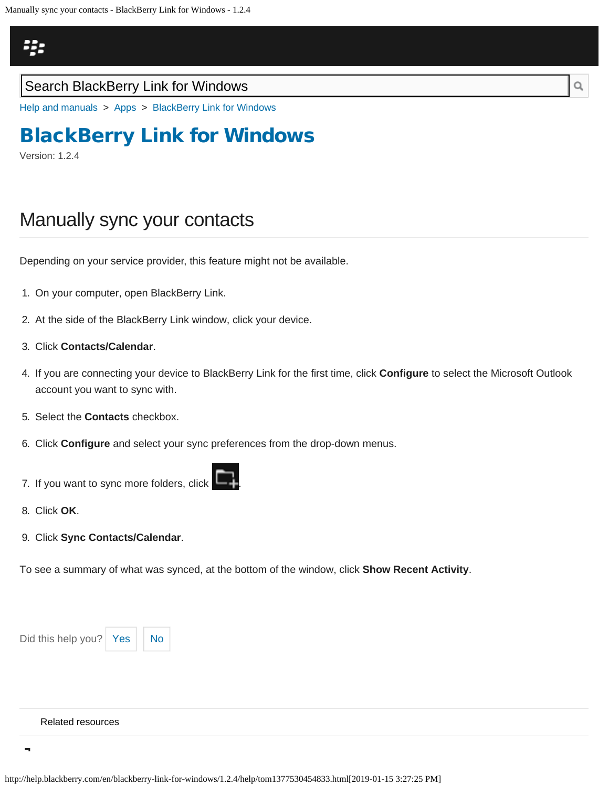## <span id="page-116-0"></span>Щ.

### Search BlackBerry Link for Windows

[Help and manuals](http://help.blackberry.com/en/) > [Apps](http://help.blackberry.com/en/category/apps/) > [BlackBerry Link for Windows](http://help.blackberry.com/en/blackberry-link-for-windows/1.2.4/)

# [BlackBerry Link for Windows](http://help.blackberry.com/en/blackberry-link-for-windows/1.2.4/)

Version: 1.2.4

## Manually sync your contacts

Depending on your service provider, this feature might not be available.

- 1. On your computer, open BlackBerry Link.
- 2. At the side of the BlackBerry Link window, click your device.
- 3. Click **Contacts/Calendar**.
- 4. If you are connecting your device to BlackBerry Link for the first time, click **Configure** to select the Microsoft Outlook account you want to sync with.
- 5. Select the **Contacts** checkbox.
- 6. Click **Configure** and select your sync preferences from the drop-down menus.
- 7. If you want to sync more folders, click
- 8. Click **OK**.
- 9. Click **Sync Contacts/Calendar**.

To see a summary of what was synced, at the bottom of the window, click **Show Recent Activity**.



#### [Related resources](#page-0-0)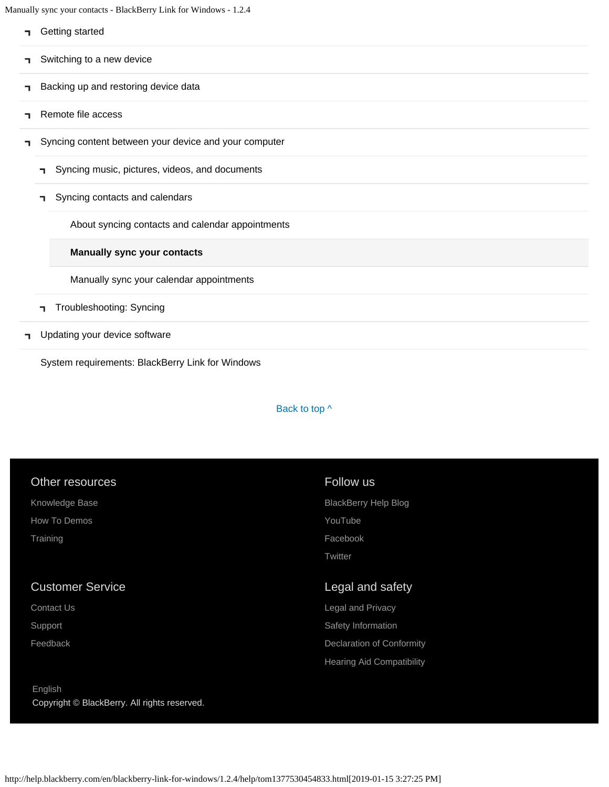Manually sync your contacts - BlackBerry Link for Windows - 1.2.4

|    |                           | Getting started                                       |  |  |  |  |  |
|----|---------------------------|-------------------------------------------------------|--|--|--|--|--|
| п. | Switching to a new device |                                                       |  |  |  |  |  |
| ┑  |                           | Backing up and restoring device data                  |  |  |  |  |  |
| 7. |                           | Remote file access                                    |  |  |  |  |  |
| п. |                           | Syncing content between your device and your computer |  |  |  |  |  |
|    | п.                        | Syncing music, pictures, videos, and documents        |  |  |  |  |  |
|    | п.                        | Syncing contacts and calendars                        |  |  |  |  |  |
|    |                           | About syncing contacts and calendar appointments      |  |  |  |  |  |
|    |                           | <b>Manually sync your contacts</b>                    |  |  |  |  |  |
|    |                           | Manually sync your calendar appointments              |  |  |  |  |  |
|    | п.                        | Troubleshooting: Syncing                              |  |  |  |  |  |
| п. |                           | Updating your device software                         |  |  |  |  |  |

[System requirements: BlackBerry Link for Windows](#page-16-0)

### Back to top  $\wedge$

| Other resources                              | Follow us                        |
|----------------------------------------------|----------------------------------|
| Knowledge Base                               | <b>BlackBerry Help Blog</b>      |
| How To Demos                                 | YouTube                          |
| Training                                     | Facebook                         |
|                                              | Twitter                          |
|                                              |                                  |
| <b>Customer Service</b>                      | Legal and safety                 |
| Contact Us                                   | Legal and Privacy                |
| Support                                      | Safety Information               |
| Feedback                                     | Declaration of Conformity        |
|                                              | <b>Hearing Aid Compatibility</b> |
| English                                      |                                  |
|                                              |                                  |
| Copyright © BlackBerry. All rights reserved. |                                  |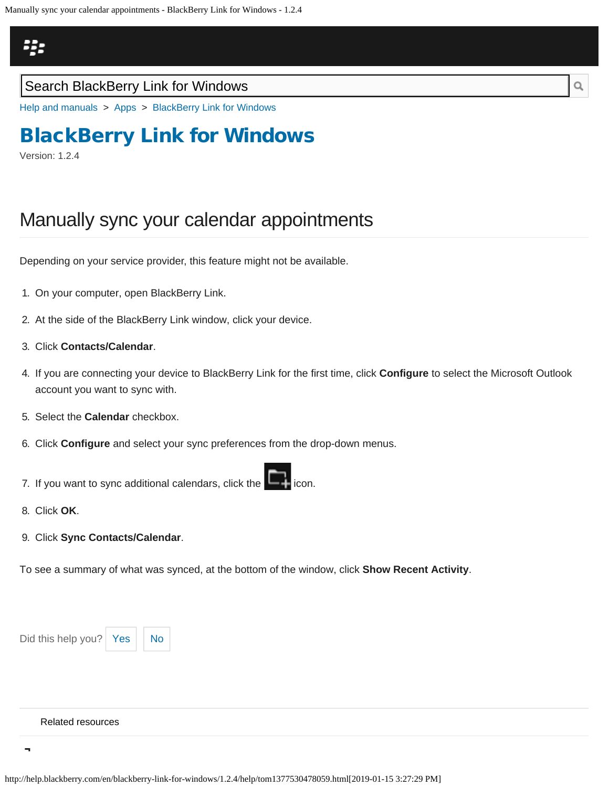## <span id="page-118-0"></span>Щ.

### Search BlackBerry Link for Windows

[Help and manuals](http://help.blackberry.com/en/) > [Apps](http://help.blackberry.com/en/category/apps/) > [BlackBerry Link for Windows](http://help.blackberry.com/en/blackberry-link-for-windows/1.2.4/)

## [BlackBerry Link for Windows](http://help.blackberry.com/en/blackberry-link-for-windows/1.2.4/)

Version: 1.2.4

## Manually sync your calendar appointments

Depending on your service provider, this feature might not be available.

- 1. On your computer, open BlackBerry Link.
- 2. At the side of the BlackBerry Link window, click your device.
- 3. Click **Contacts/Calendar**.
- 4. If you are connecting your device to BlackBerry Link for the first time, click **Configure** to select the Microsoft Outlook account you want to sync with.
- 5. Select the **Calendar** checkbox.
- 6. Click **Configure** and select your sync preferences from the drop-down menus.
- 7. If you want to sync additional calendars, click the
- 8. Click **OK**.
- 9. Click **Sync Contacts/Calendar**.

To see a summary of what was synced, at the bottom of the window, click **Show Recent Activity**.



#### [Related resources](#page-0-0)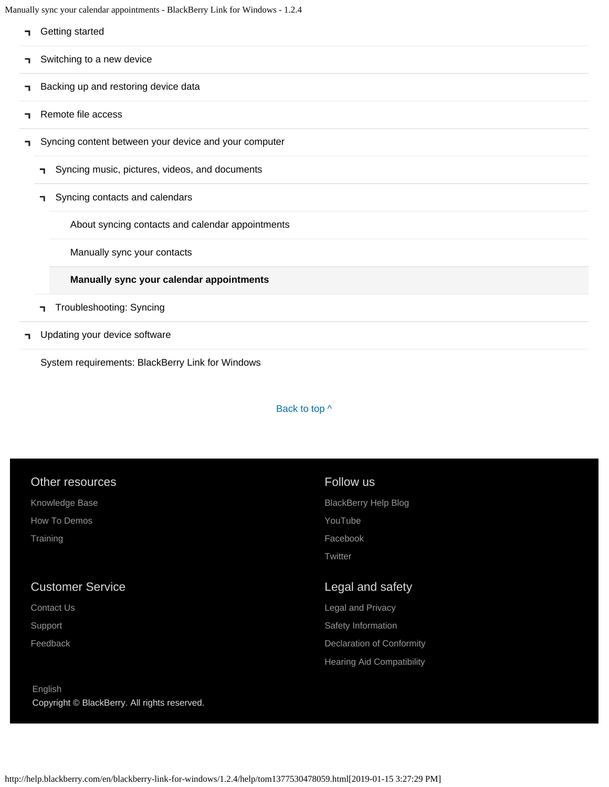Manually sync your calendar appointments - BlackBerry Link for Windows - 1.2.4

| ٦ | Getting started                                       |
|---|-------------------------------------------------------|
| ٦ | Switching to a new device                             |
| ٦ | Backing up and restoring device data                  |
| ٦ | Remote file access                                    |
| ٦ | Syncing content between your device and your computer |
|   | Syncing music, pictures, videos, and documents<br>п.  |
|   | Syncing contacts and calendars<br>٦                   |
|   | About syncing contacts and calendar appointments      |
|   | Manually sync your contacts                           |
|   | Manually sync your calendar appointments              |
|   | Troubleshooting: Syncing<br>٦                         |
| ٦ | Updating your device software                         |

[System requirements: BlackBerry Link for Windows](#page-16-0)

### Back to top  $\wedge$

| Other resources                                         | Follow us                        |
|---------------------------------------------------------|----------------------------------|
| Knowledge Base                                          | <b>BlackBerry Help Blog</b>      |
| How To Demos                                            | YouTube                          |
| Training                                                | Facebook                         |
|                                                         | Twitter                          |
| <b>Customer Service</b>                                 | Legal and safety                 |
| Contact Us                                              | <b>Legal and Privacy</b>         |
| Support                                                 | Safety Information               |
| Feedback                                                | Declaration of Conformity        |
|                                                         | <b>Hearing Aid Compatibility</b> |
| English<br>Copyright © BlackBerry. All rights reserved. |                                  |
|                                                         |                                  |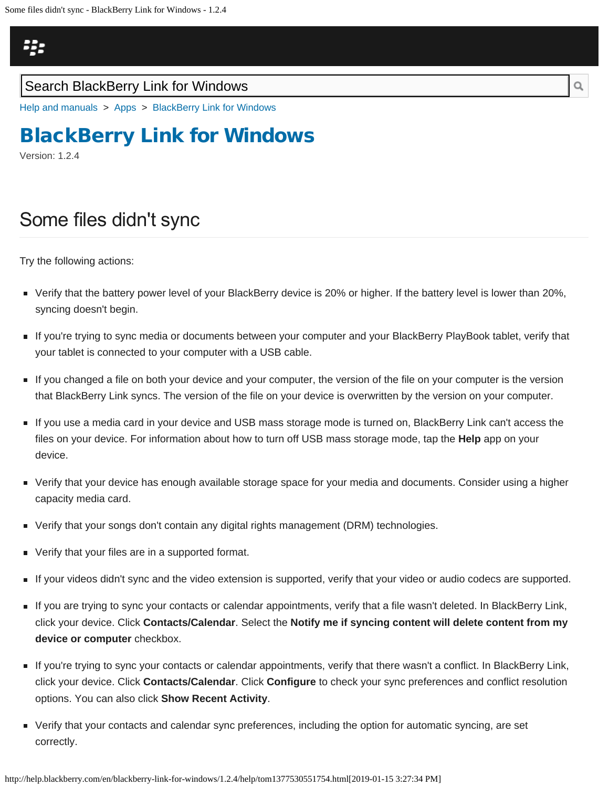<span id="page-120-0"></span>

[Help and manuals](http://help.blackberry.com/en/) > [Apps](http://help.blackberry.com/en/category/apps/) > [BlackBerry Link for Windows](http://help.blackberry.com/en/blackberry-link-for-windows/1.2.4/)

## [BlackBerry Link for Windows](http://help.blackberry.com/en/blackberry-link-for-windows/1.2.4/)

Version: 1.2.4

## Some files didn't sync

Try the following actions:

- Verify that the battery power level of your BlackBerry device is 20% or higher. If the battery level is lower than 20%, syncing doesn't begin.
- If you're trying to sync media or documents between your computer and your BlackBerry PlayBook tablet, verify that your tablet is connected to your computer with a USB cable.
- If you changed a file on both your device and your computer, the version of the file on your computer is the version that BlackBerry Link syncs. The version of the file on your device is overwritten by the version on your computer.
- If you use a media card in your device and USB mass storage mode is turned on, BlackBerry Link can't access the files on your device. For information about how to turn off USB mass storage mode, tap the **Help** app on your device.
- Verify that your device has enough available storage space for your media and documents. Consider using a higher capacity media card.
- Verify that your songs don't contain any digital rights management (DRM) technologies.
- **Verify that your files are in a supported format.**
- If your videos didn't sync and the video extension is supported, verify that your video or audio codecs are supported.
- If you are trying to sync your contacts or calendar appointments, verify that a file wasn't deleted. In BlackBerry Link, click your device. Click **Contacts/Calendar**. Select the **Notify me if syncing content will delete content from my device or computer** checkbox.
- If you're trying to sync your contacts or calendar appointments, verify that there wasn't a conflict. In BlackBerry Link, click your device. Click **Contacts/Calendar**. Click **Configure** to check your sync preferences and conflict resolution options. You can also click **Show Recent Activity**.
- Verify that your contacts and calendar sync preferences, including the option for automatic syncing, are set correctly.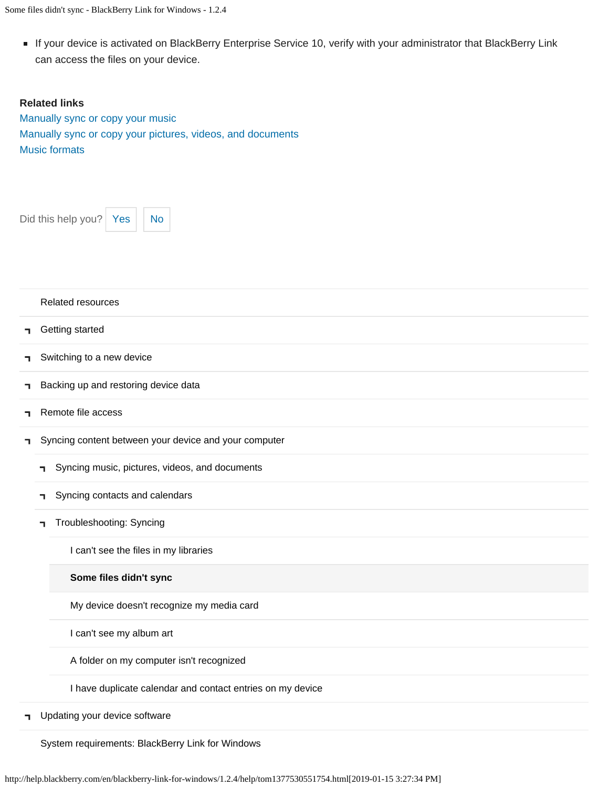Some files didn't sync - BlackBerry Link for Windows - 1.2.4

If your device is activated on BlackBerry Enterprise Service 10, verify with your administrator that BlackBerry Link can access the files on your device.

#### **Related links**

[Manually sync or copy your music](#page-69-0) [Manually sync or copy your pictures, videos, and documents](#page-72-0) [Music formats](#page-78-0)

Did this help you?  $Yes$  [No](#page-120-0)

| Related resources |  |
|-------------------|--|
|-------------------|--|

- [Getting started](#page-2-0) п.
- [Switching to a new device](#page-5-0) E.
- [Backing up and restoring device data](#page-8-0) E.
- [Remote file access](#page-10-0) ٦
- [Syncing content between your device and your computer](#page-12-0) ٦
	- [Syncing music, pictures, videos, and documents](#page-12-0)  $\mathbf{L}$
	- [Syncing contacts and calendars](#page-81-0) ٦.
	- [Troubleshooting: Syncing](#page-83-0) ٦

[I can't see the files in my libraries](#page-83-0)

#### **[Some files didn't sync](#page-120-0)**

[My device doesn't recognize my media card](#page-123-0)

[I can't see my album art](#page-125-0)

[A folder on my computer isn't recognized](#page-127-0)

[I have duplicate calendar and contact entries on my device](#page-129-0)

**T** [Updating your device software](#page-14-0)

[System requirements: BlackBerry Link for Windows](#page-16-0)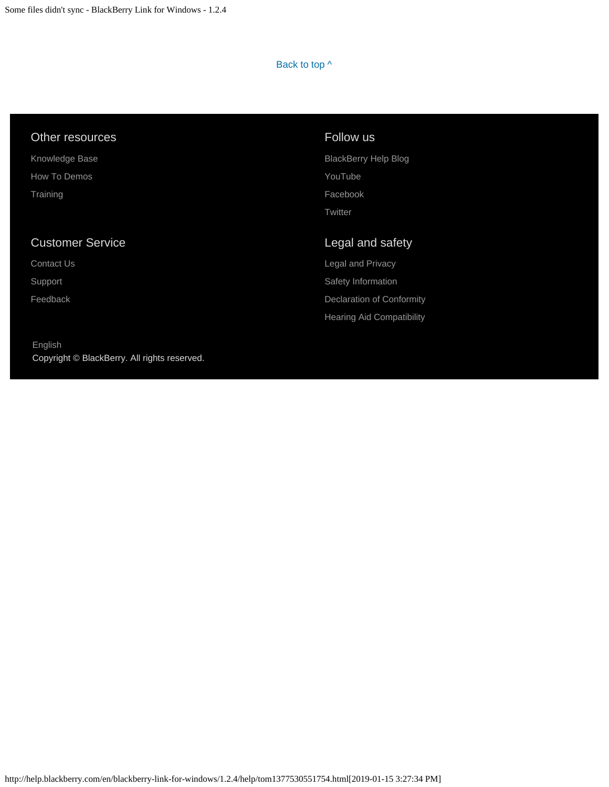### Back to top  $\wedge$

| Follow us                   |
|-----------------------------|
| <b>BlackBerry Help Blog</b> |
| YouTube                     |
| Facebook                    |
| Twitter                     |
|                             |
| Legal and safety            |
| Legal and Privacy           |
| Safety Information          |
| Declaration of Conformity   |
|                             |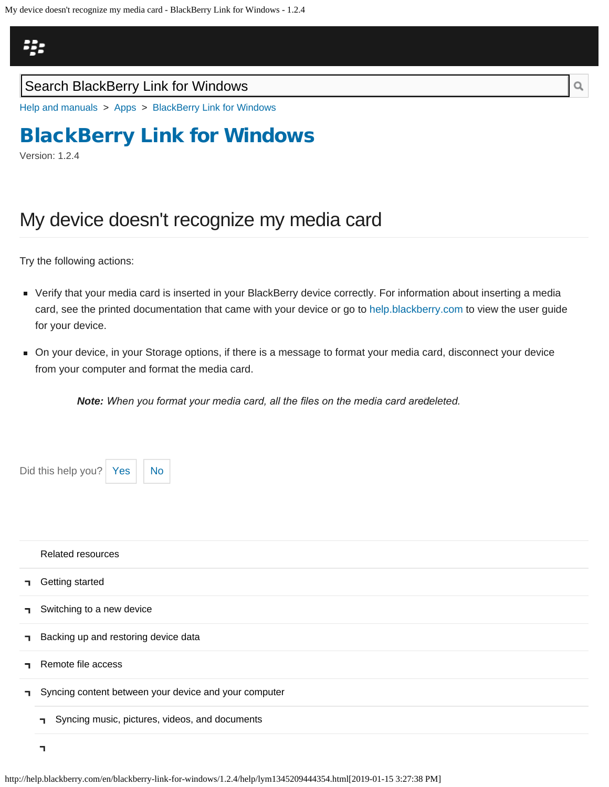<span id="page-123-0"></span>

[Help and manuals](http://help.blackberry.com/en/) > [Apps](http://help.blackberry.com/en/category/apps/) > [BlackBerry Link for Windows](http://help.blackberry.com/en/blackberry-link-for-windows/1.2.4/)

## [BlackBerry Link for Windows](http://help.blackberry.com/en/blackberry-link-for-windows/1.2.4/)

Version: 1.2.4

## My device doesn't recognize my media card

Try the following actions:

- Verify that your media card is inserted in your BlackBerry device correctly. For information about inserting a media card, see the printed documentation that came with your device or go to [help.blackberry.com](http://help.blackberry.com/) to view the user guide for your device.
- On your device, in your Storage options, if there is a message to format your media card, disconnect your device from your computer and format the media card.

**Note:** When you format your media card, all the files on the media card aredeleted.

| Did this help you? Yes                    | <b>No</b> |                                                       |  |  |  |
|-------------------------------------------|-----------|-------------------------------------------------------|--|--|--|
|                                           |           |                                                       |  |  |  |
|                                           |           |                                                       |  |  |  |
|                                           |           |                                                       |  |  |  |
| Related resources                         |           |                                                       |  |  |  |
| Getting started<br>٦                      |           |                                                       |  |  |  |
| Switching to a new device<br>п.           |           |                                                       |  |  |  |
| Backing up and restoring device data<br>٦ |           |                                                       |  |  |  |
| Remote file access<br>٦                   |           |                                                       |  |  |  |
| ٦.                                        |           | Syncing content between your device and your computer |  |  |  |
| п.                                        |           | Syncing music, pictures, videos, and documents        |  |  |  |
| 7                                         |           |                                                       |  |  |  |

http://help.blackberry.com/en/blackberry-link-for-windows/1.2.4/help/lym1345209444354.html[2019-01-15 3:27:38 PM]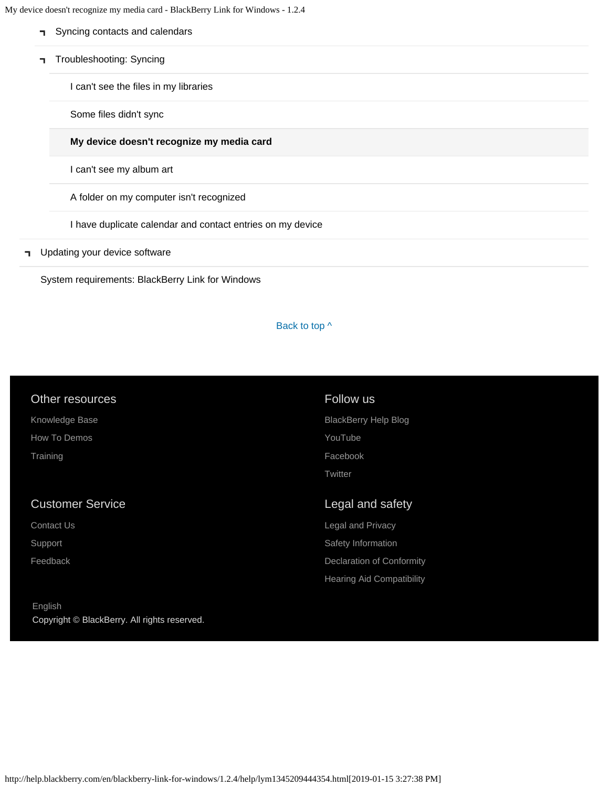My device doesn't recognize my media card - BlackBerry Link for Windows - 1.2.4

- [Syncing contacts and calendars](#page-81-0)  $\blacksquare$
- [Troubleshooting: Syncing](#page-83-0)

[I can't see the files in my libraries](#page-83-0)

[Some files didn't sync](#page-120-0)

#### **[My device doesn't recognize my media card](#page-123-0)**

[I can't see my album art](#page-125-0)

[A folder on my computer isn't recognized](#page-127-0)

[I have duplicate calendar and contact entries on my device](#page-129-0)

**T** [Updating your device software](#page-14-0)

[System requirements: BlackBerry Link for Windows](#page-16-0)

#### Back to top  $\wedge$

| Other resources         | Follow us                   |
|-------------------------|-----------------------------|
| Knowledge Base          | <b>BlackBerry Help Blog</b> |
| How To Demos            | YouTube                     |
| Training                | Facebook                    |
|                         | Twitter                     |
|                         |                             |
| <b>Customer Service</b> | Legal and safety            |
| <b>Contact Us</b>       | Legal and Privacy           |
| Support                 | Safety Information          |
| Feedback                | Declaration of Conformity   |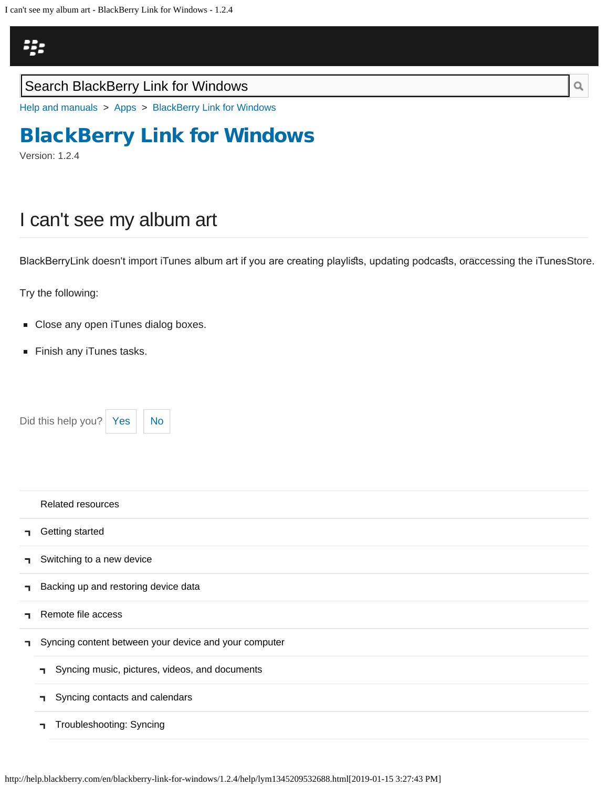<span id="page-125-0"></span>

[Help and manuals](http://help.blackberry.com/en/) > [Apps](http://help.blackberry.com/en/category/apps/) > [BlackBerry Link for Windows](http://help.blackberry.com/en/blackberry-link-for-windows/1.2.4/)

## [BlackBerry Link for Windows](http://help.blackberry.com/en/blackberry-link-for-windows/1.2.4/)

Version: 1.2.4

# I can't see my album art

BlackBerryLink doesn't import iTunes album art if you are creating playlists, updating podcasts, orāccessing the iTunesStore.

Try the following:

- **Close any open iTunes dialog boxes.**
- Finish any iTunes tasks.

Did this help you?  $\left| \right|$  [Yes](#page-125-0)  $\left| \right|$  [No](#page-125-0)



|    | Related resources                                     |
|----|-------------------------------------------------------|
| п. | Getting started                                       |
| п. | Switching to a new device                             |
| п. | Backing up and restoring device data                  |
| п. | Remote file access                                    |
| п. | Syncing content between your device and your computer |
|    | Syncing music, pictures, videos, and documents<br>п.  |
|    | Syncing contacts and calendars<br>п.                  |
|    | Troubleshooting: Syncing<br>п.                        |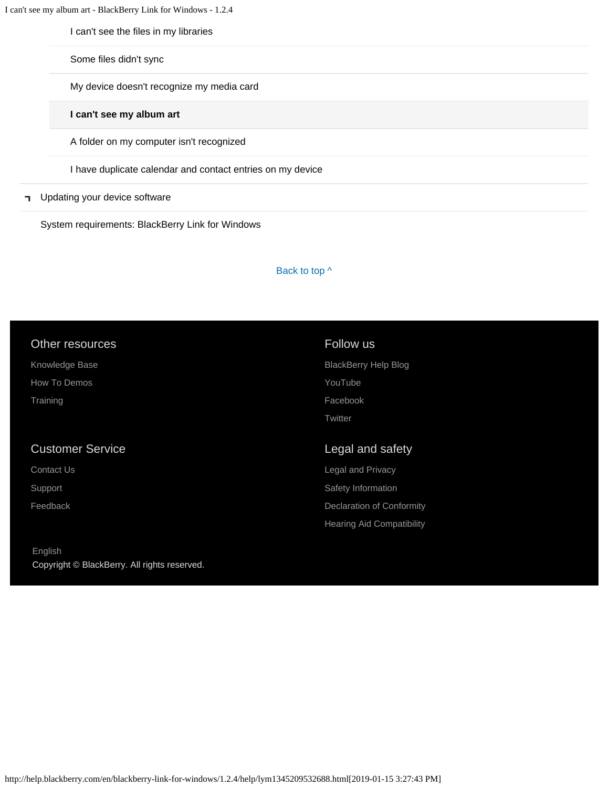I can't see my album art - BlackBerry Link for Windows - 1.2.4

[I can't see the files in my libraries](#page-83-0)

[Some files didn't sync](#page-120-0)

[My device doesn't recognize my media card](#page-123-0)

**[I can't see my album art](#page-125-0)**

[A folder on my computer isn't recognized](#page-127-0)

[I have duplicate calendar and contact entries on my device](#page-129-0)

#### [Updating your device software](#page-14-0)  $\mathbf{L}$

[System requirements: BlackBerry Link for Windows](#page-16-0)

#### Back to top  $\wedge$

| Other resources         | Follow us                   |  |  |
|-------------------------|-----------------------------|--|--|
| Knowledge Base          | <b>BlackBerry Help Blog</b> |  |  |
| How To Demos            | YouTube                     |  |  |
| Training                | Facebook                    |  |  |
|                         | Twitter                     |  |  |
|                         |                             |  |  |
| <b>Customer Service</b> | Legal and safety            |  |  |
| Contact Us              | Legal and Privacy           |  |  |
| Support                 | Safety Information          |  |  |
| Feedback                | Declaration of Conformity   |  |  |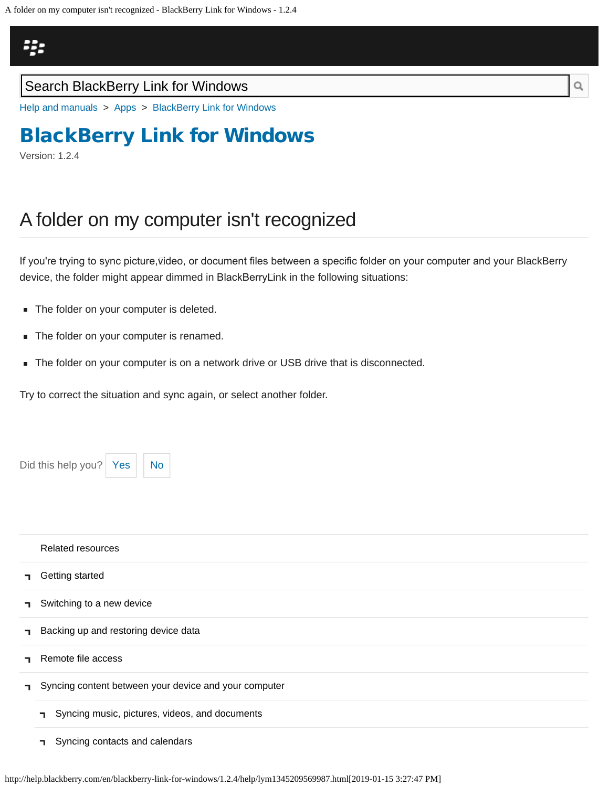<span id="page-127-0"></span>

[Help and manuals](http://help.blackberry.com/en/) > [Apps](http://help.blackberry.com/en/category/apps/) > [BlackBerry Link for Windows](http://help.blackberry.com/en/blackberry-link-for-windows/1.2.4/)

## [BlackBerry Link for Windows](http://help.blackberry.com/en/blackberry-link-for-windows/1.2.4/)

Version: 1.2.4

## A folder on my computer isn't recognized

If you're trying to sync picture,⊽ideo, or document files between a specific folder on your computer and your BlackBerry device, the folder might appear dimmed in BlackBerry Link in the following situations:

- The folder on your computer is deleted.
- The folder on your computer is renamed.
- The folder on your computer is on a network drive or USB drive that is disconnected.

Try to correct the situation and sync again, or select another folder.

Did this help you?  $Yes \mid No$  $Yes \mid No$  $Yes \mid No$ [Related resources](#page-0-0) [Getting started](#page-2-0) ┑ [Switching to a new device](#page-5-0) ٦ [Backing up and restoring device data](#page-8-0) ٦ [Remote file access](#page-10-0) Ŧ. [Syncing content between your device and your computer](#page-12-0) E. [Syncing music, pictures, videos, and documents](#page-12-0)  $\blacksquare$ 

[Syncing contacts and calendars](#page-81-0) п.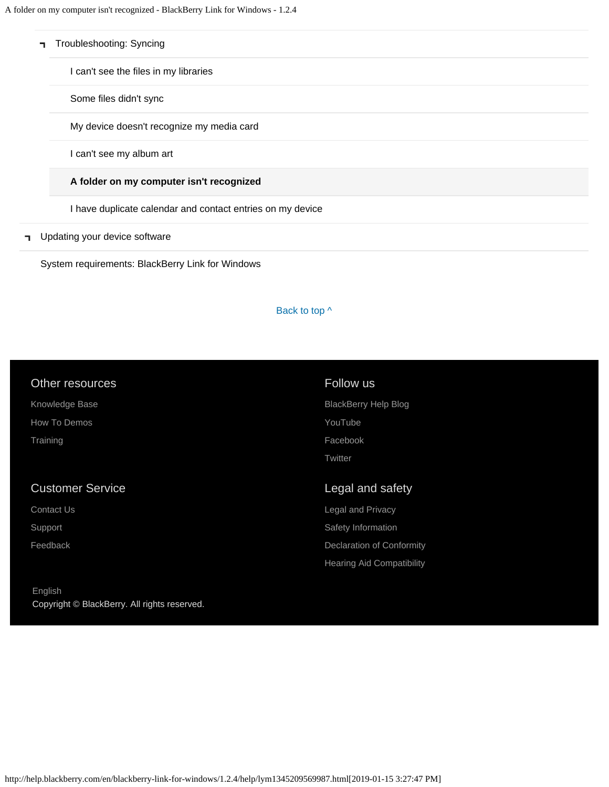| Troubleshooting: Syncing |  |  |
|--------------------------|--|--|
|                          |  |  |

[I can't see the files in my libraries](#page-83-0)

[Some files didn't sync](#page-120-0)

[My device doesn't recognize my media card](#page-123-0)

[I can't see my album art](#page-125-0)

#### **[A folder on my computer isn't recognized](#page-127-0)**

[I have duplicate calendar and contact entries on my device](#page-129-0)

#### **T** [Updating your device software](#page-14-0)

[System requirements: BlackBerry Link for Windows](#page-16-0)

#### Back to top  $\wedge$

|  | Other resources |  |
|--|-----------------|--|
|  |                 |  |

[Knowledge Base](http://support.blackberry.com/kb)

[How To Demos](http://web.blackberry.com/support/blackberry-101.html)

**[Training](http://blackberry.com/training)** 

### Customer Service

[Contact Us](http://web.blackberry.com/customer-service/contact-us.html)

[Support](http://web.blackberry.com/support.html)

[Feedback](https://blackberry.icanmakeitbetter.com/?source=532c96c687167fb55f000067)

### Follow us

[BlackBerry Help Blog](http://helpblog.blackberry.com/) [YouTube](https://www.youtube.com/user/blackberrysupport) [Facebook](https://facebook.com/BlackBerry) **[Twitter](https://twitter.com/blackberry)** 

### Legal and safety

[Legal and Privacy](http://blackberry.com/legal) [Safety Information](http://help.blackberry.com/en/content/sib/index.html) [Declaration of Conformity](http://help.blackberry.com/en/content/doc/index.html) [Hearing Aid Compatibility](http://help.blackberry.com/en/content/hac/index.html)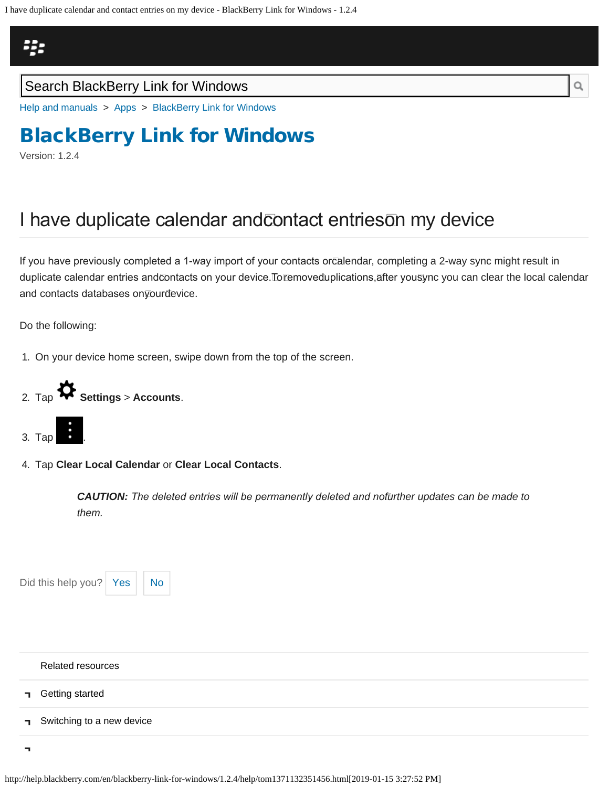<span id="page-129-0"></span>I have duplicate calendar and contact entries on my device - BlackBerry Link for Windows - 1.2.4

# Щ.

## Search BlackBerry Link for Windows

[Help and manuals](http://help.blackberry.com/en/) > [Apps](http://help.blackberry.com/en/category/apps/) > [BlackBerry Link for Windows](http://help.blackberry.com/en/blackberry-link-for-windows/1.2.4/)

# [BlackBerry Link for Windows](http://help.blackberry.com/en/blackberry-link-for-windows/1.2.4/)

Version: 1.2.4

# I have duplicate calendar andcontact entrieson my device

If you have previously completed a 1-way import of your contacts orcalendar, completing a 2-way sync might result in duplicate calendar entries andcontacts on your device.Toremoveđuplications,āfter you $\bar{\rm{s}}$ ync you can clear the local calendar and contacts databases on your device.

Do the following:

1. On your device home screen, swipe down from the top of the screen.





4. Tap **Clear Local Calendar** or **Clear Local Contacts**.

*CAUTION: The deleted entries will be permanently deleted and no further updates can be made to them.*



## [Related resources](#page-0-0) [Getting started](#page-2-0) п [Switching to a new device](#page-5-0) E.

5